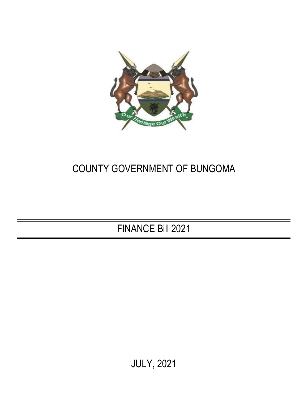

# COUNTY GOVERNMENT OF BUNGOMA

FINANCE Bill 2021

JULY, 2021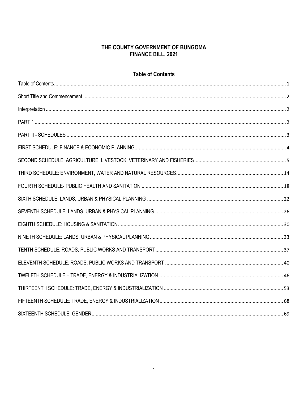#### THE COUNTY GOVERNMENT OF BUNGOMA **FINANCE BILL, 2021**

#### **Table of Contents**

<span id="page-1-0"></span>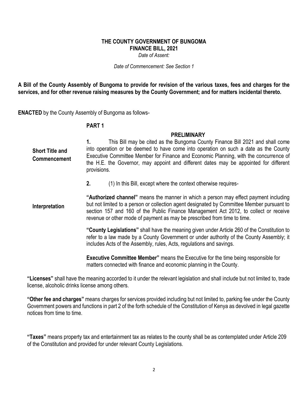#### **THE COUNTY GOVERNMENT OF BUNGOMA FINANCE BILL, 2021**

*Date of Assent:*

*Date of Commencement: See Section 1*

**A Bill of the County Assembly of Bungoma to provide for revision of the various taxes, fees and charges for the services, and for other revenue raising measures by the County Government; and for matters incidental thereto.**

**ENACTED** by the County Assembly of Bungoma as follows-

#### <span id="page-2-2"></span>**PART 1**

#### **PRELIMINARY**

<span id="page-2-0"></span>**1.** This Bill may be cited as the Bungoma County Finance Bill 2021 and shall come into operation or be deemed to have come into operation on such a date as the County Executive Committee Member for Finance and Economic Planning, with the concurrence of the H.E. the Governor, may appoint and different dates may be appointed for different provisions. **Short Title and Commencement**

**2.** (1) In this Bill, except where the context otherwise requires-

<span id="page-2-1"></span>**"Authorized channel"** means the manner in which a person may effect payment including but not limited to a person or collection agent designated by Committee Member pursuant to section 157 and 160 of the Public Finance Management Act 2012, to collect or receive revenue or other mode of payment as may be prescribed from time to time. **Interpretation**

> **"County Legislations"** shall have the meaning given under Article 260 of the Constitution to refer to a law made by a County Government or under authority of the County Assembly; it includes Acts of the Assembly, rules, Acts, regulations and savings.

**Executive Committee Member"** means the Executive for the time being responsible for matters connected with finance and economic planning in the County.

**"Licenses"** shall have the meaning accorded to it under the relevant legislation and shall include but not limited to, trade license, alcoholic drinks license among others.

**"Other fee and charges"** means charges for services provided including but not limited to, parking fee under the County Government powers and functions in part 2 of the forth schedule of the Constitution of Kenya as devolved in legal gazette notices from time to time.

**"Taxes"** means property tax and entertainment tax as relates to the county shall be as contemplated under Article 209 of the Constitution and provided for under relevant County Legislations.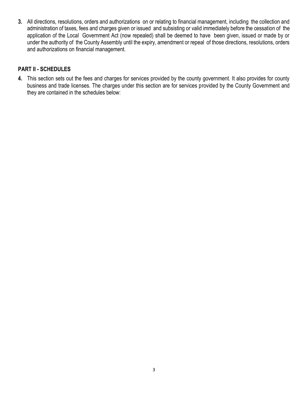**3.** All directions, resolutions, orders and authorizations on or relating to financial management, including the collection and administration of taxes, fees and charges given or issued and subsisting or valid immediately before the cessation of the application of the Local Government Act (now repealed) shall be deemed to have been given, issued or made by or under the authority of the County Assembly until the expiry, amendment or repeal of those directions, resolutions, orders and authorizations on financial management.

#### <span id="page-3-0"></span>**PART II - SCHEDULES**

**4.** This section sets out the fees and charges for services provided by the county government. It also provides for county business and trade licenses. The charges under this section are for services provided by the County Government and they are contained in the schedules below: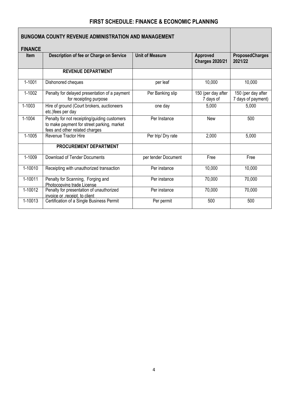#### **FIRST SCHEDULE: FINANCE & ECONOMIC PLANNING**

<span id="page-4-0"></span>

| <b>BUNGOMA COUNTY REVENUE ADMINISTRATION AND MANAGEMENT</b> |                                                                                                                              |                        |                                    |                                          |  |  |
|-------------------------------------------------------------|------------------------------------------------------------------------------------------------------------------------------|------------------------|------------------------------------|------------------------------------------|--|--|
| <b>FINANCE</b>                                              |                                                                                                                              |                        |                                    |                                          |  |  |
| <b>Item</b>                                                 | Description of fee or Charge on Service                                                                                      | <b>Unit of Measure</b> | Approved<br><b>Charges 2020/21</b> | <b>ProposedCharges</b><br>2021/22        |  |  |
|                                                             | <b>REVENUE DEPARTMENT</b>                                                                                                    |                        |                                    |                                          |  |  |
| 1-1001                                                      | Dishonored cheques                                                                                                           | per leaf               | 10,000                             | 10,000                                   |  |  |
| 1-1002                                                      | Penalty for delayed presentation of a payment<br>for receipting purpose                                                      | Per Banking slip       | 150 (per day after<br>7 days of    | 150 (per day after<br>7 days of payment) |  |  |
| 1-1003                                                      | Hire of ground (Court brokers, auctioneers<br>etc.)fees per day                                                              | one day                | 5,000                              | 5,000                                    |  |  |
| 1-1004                                                      | Penalty for not receipting/guiding customers<br>to make payment for street parking, market<br>fees and other related charges | Per Instance           | <b>New</b>                         | 500                                      |  |  |
| 1-1005                                                      | <b>Revenue Tractor Hire</b>                                                                                                  | Per trip/ Dry rate     | 2,000                              | 5,000                                    |  |  |
|                                                             | PROCUREMENT DEPARTMENT                                                                                                       |                        |                                    |                                          |  |  |
| 1-1009                                                      | Download of Tender Documents                                                                                                 | per tender Document    | Free                               | Free                                     |  |  |
| 1-10010                                                     | Receipting with unauthorized transaction                                                                                     | Per instance           | 10,000                             | 10,000                                   |  |  |
| 1-10011                                                     | Penalty for Scanning, Forging and<br>Photocopying trade License                                                              | Per instance           | 70,000                             | 70,000                                   |  |  |
| 1-10012                                                     | Penalty for presentation of unauthorized<br>invoice or , receipt, to client                                                  | Per instance           | 70,000                             | 70,000                                   |  |  |
| 1-10013                                                     | Certification of a Single Business Permit                                                                                    | Per permit             | 500                                | 500                                      |  |  |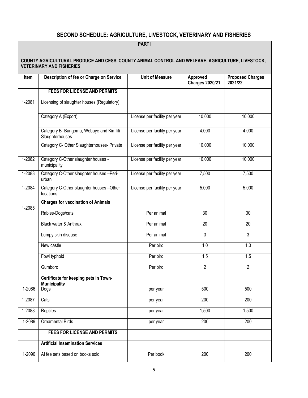# **SECOND SCHEDULE: AGRICULTURE, LIVESTOCK, VETERINARY AND FISHERIES**

<span id="page-5-0"></span>

|        | <b>PARTI</b>                                                                                                                        |                               |                                    |                                    |  |  |
|--------|-------------------------------------------------------------------------------------------------------------------------------------|-------------------------------|------------------------------------|------------------------------------|--|--|
|        | COUNTY AGRICULTURAL PRODUCE AND CESS, COUNTY ANIMAL CONTROL AND WELFARE, AGRICULTURE, LIVESTOCK,<br><b>VETERINARY AND FISHERIES</b> |                               |                                    |                                    |  |  |
| Item   | Description of fee or Charge on Service                                                                                             | <b>Unit of Measure</b>        | Approved<br><b>Charges 2020/21</b> | <b>Proposed Charges</b><br>2021/22 |  |  |
|        | <b>FEES FOR LICENSE AND PERMITS</b>                                                                                                 |                               |                                    |                                    |  |  |
| 1-2081 | Licensing of slaughter houses (Regulatory)                                                                                          |                               |                                    |                                    |  |  |
|        | Category A (Export)                                                                                                                 | License per facility per year | 10,000                             | 10,000                             |  |  |
|        | Category B- Bungoma, Webuye and Kimilili<br>Slaughterhouses                                                                         | License per facility per year | 4,000                              | 4,000                              |  |  |
|        | Category C- Other Slaughterhouses- Private                                                                                          | License per facility per year | 10,000                             | 10,000                             |  |  |
| 1-2082 | Category C-Other slaughter houses -<br>municipality                                                                                 | License per facility per year | 10,000                             | 10,000                             |  |  |
| 1-2083 | Category C-Other slaughter houses -Peri-<br>urban                                                                                   | License per facility per year | 7,500                              | 7,500                              |  |  |
| 1-2084 | Category C-Other slaughter houses -Other<br>locations                                                                               | License per facility per year | 5,000                              | 5,000                              |  |  |
| 1-2085 | <b>Charges for vaccination of Animals</b>                                                                                           |                               |                                    |                                    |  |  |
|        | Rabies-Dogs/cats                                                                                                                    | Per animal                    | $\overline{30}$                    | 30                                 |  |  |
|        | Black water & Anthrax                                                                                                               | Per animal                    | 20                                 | 20                                 |  |  |
|        | Lumpy skin disease                                                                                                                  | Per animal                    | 3                                  | 3                                  |  |  |
|        | New castle                                                                                                                          | Per bird                      | 1.0                                | 1.0                                |  |  |
|        | Fowl typhoid                                                                                                                        | Per bird                      | 1.5                                | 1.5                                |  |  |
|        | Gumboro                                                                                                                             | Per bird                      | 2                                  | $\overline{2}$                     |  |  |
|        | Certificate for keeping pets in Town-<br><b>Municipality</b>                                                                        |                               |                                    |                                    |  |  |
| 1-2086 | Dogs                                                                                                                                | per year                      | 500                                | 500                                |  |  |
| 1-2087 | Cats                                                                                                                                | per year                      | 200                                | 200                                |  |  |
| 1-2088 | Reptiles                                                                                                                            | per year                      | 1,500                              | 1,500                              |  |  |
| 1-2089 | <b>Ornamental Birds</b>                                                                                                             | per year                      | 200                                | 200                                |  |  |
|        | FEES FOR LICENSE AND PERMITS                                                                                                        |                               |                                    |                                    |  |  |
|        | <b>Artificial Insemination Services</b>                                                                                             |                               |                                    |                                    |  |  |
| 1-2090 | Al fee sets based on books sold                                                                                                     | Per book                      | 200                                | 200                                |  |  |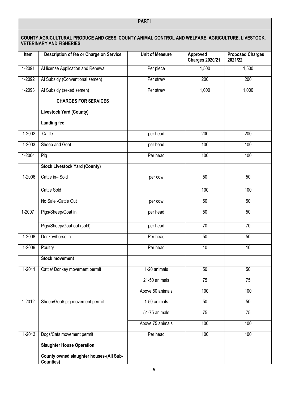| COUNTY AGRICULTURAL PRODUCE AND CESS, COUNTY ANIMAL CONTROL AND WELFARE, AGRICULTURE, LIVESTOCK,<br><b>VETERINARY AND FISHERIES</b> |                                                      |                        |                                    |                                    |
|-------------------------------------------------------------------------------------------------------------------------------------|------------------------------------------------------|------------------------|------------------------------------|------------------------------------|
| Item                                                                                                                                | Description of fee or Charge on Service              | <b>Unit of Measure</b> | Approved<br><b>Charges 2020/21</b> | <b>Proposed Charges</b><br>2021/22 |
| 1-2091                                                                                                                              | Al license Application and Renewal                   | Per piece              | 1,500                              | 1,500                              |
| 1-2092                                                                                                                              | Al Subsidy (Conventional semen)                      | Per straw              | 200                                | 200                                |
| 1-2093                                                                                                                              | Al Subsidy (sexed semen)                             | Per straw              | 1,000                              | 1,000                              |
|                                                                                                                                     | <b>CHARGES FOR SERVICES</b>                          |                        |                                    |                                    |
|                                                                                                                                     | <b>Livestock Yard (County)</b>                       |                        |                                    |                                    |
|                                                                                                                                     | <b>Landing fee</b>                                   |                        |                                    |                                    |
| $1 - 2002$                                                                                                                          | Cattle                                               | per head               | 200                                | 200                                |
| 1-2003                                                                                                                              | Sheep and Goat                                       | per head               | 100                                | 100                                |
| $1 - 2004$                                                                                                                          | Pig                                                  | Per head               | 100                                | 100                                |
|                                                                                                                                     | <b>Stock Livestock Yard (County)</b>                 |                        |                                    |                                    |
| $1 - 2006$                                                                                                                          | Cattle in-Sold                                       | per cow                | 50                                 | 50                                 |
|                                                                                                                                     | Cattle Sold                                          |                        | 100                                | 100                                |
|                                                                                                                                     | No Sale - Cattle Out                                 | per cow                | 50                                 | 50                                 |
| $1 - 2007$                                                                                                                          | Pigs/Sheep/Goat in                                   | per head               | 50                                 | 50                                 |
|                                                                                                                                     | Pigs/Sheep/Goat out (sold)                           | per head               | 70                                 | 70                                 |
| 1-2008                                                                                                                              | Donkey/horse in                                      | Per head               | 50                                 | 50                                 |
| 1-2009                                                                                                                              | Poultry                                              | Per head               | 10                                 | 10                                 |
|                                                                                                                                     | <b>Stock movement</b>                                |                        |                                    |                                    |
| $1 - 2011$                                                                                                                          | Cattle/ Donkey movement permit                       | 1-20 animals           | $\overline{50}$                    | 50                                 |
|                                                                                                                                     |                                                      | 21-50 animals          | 75                                 | 75                                 |
|                                                                                                                                     |                                                      | Above 50 animals       | 100                                | 100                                |
| 1-2012                                                                                                                              | Sheep/Goat/ pig movement permit                      | 1-50 animals           | 50                                 | 50                                 |
|                                                                                                                                     |                                                      | 51-75 animals          | $\overline{75}$                    | $\overline{75}$                    |
|                                                                                                                                     |                                                      | Above 75 animals       | 100                                | 100                                |
| 1-2013                                                                                                                              | Dogs/Cats movement permit                            | Per head               | 100                                | 100                                |
|                                                                                                                                     | <b>Slaughter House Operation</b>                     |                        |                                    |                                    |
|                                                                                                                                     | County owned slaughter houses-(All Sub-<br>Counties) |                        |                                    |                                    |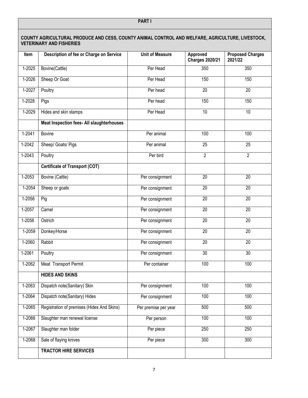|            | COUNTY AGRICULTURAL PRODUCE AND CESS, COUNTY ANIMAL CONTROL AND WELFARE, AGRICULTURE, LIVESTOCK,<br><b>VETERINARY AND FISHERIES</b> |                        |                                    |                                    |
|------------|-------------------------------------------------------------------------------------------------------------------------------------|------------------------|------------------------------------|------------------------------------|
| Item       | Description of fee or Charge on Service                                                                                             | <b>Unit of Measure</b> | Approved<br><b>Charges 2020/21</b> | <b>Proposed Charges</b><br>2021/22 |
| 1-2025     | Bovine(Cattle)                                                                                                                      | Per Head               | 350                                | 350                                |
| $1-2026$   | Sheep Or Goat                                                                                                                       | Per Head               | 150                                | 150                                |
| 1-2027     | Poultry                                                                                                                             | Per head               | 20                                 | 20                                 |
| 1-2028     | Pigs                                                                                                                                | Per head               | 150                                | 150                                |
| 1-2029     | Hides and skin stamps                                                                                                               | Per Head               | $\overline{10}$                    | 10                                 |
|            | <b>Meat Inspection fees- All slaughterhouses</b>                                                                                    |                        |                                    |                                    |
| $1 - 2041$ | <b>Bovine</b>                                                                                                                       | Per animal             | 100                                | 100                                |
| $1-2042$   | Sheep/ Goats/ Pigs                                                                                                                  | Per animal             | $\overline{25}$                    | 25                                 |
| $1-2043$   | Poultry                                                                                                                             | Per bird               | $\overline{2}$                     | $\overline{2}$                     |
|            | <b>Certificate of Transport (COT)</b>                                                                                               |                        |                                    |                                    |
| 1-2053     | Bovine (Cattle)                                                                                                                     | Per consignment        | 20                                 | 20                                 |
| $1-2054$   | Sheep or goats                                                                                                                      | Per consignment        | $\overline{20}$                    | $\overline{20}$                    |
| $1-2056$   | Pig                                                                                                                                 | Per consignment        | 20                                 | 20                                 |
| 1-2057     | Camel                                                                                                                               | Per consignment        | $\overline{20}$                    | 20                                 |
| 1-2058     | Ostrich                                                                                                                             | Per consignment        | $\overline{20}$                    | 20                                 |
| 1-2059     | Donkey/Horse                                                                                                                        | Per consignment        | 20                                 | 20                                 |
| $1 - 2060$ | Rabbit                                                                                                                              | Per consignment        | $\overline{20}$                    | 20                                 |
| $1 - 2061$ | Poultry                                                                                                                             | Per consignment        | 30                                 | 30                                 |
| 1-2062     | Meat Transport Permit                                                                                                               | Per container          | 100                                | 100                                |
|            | <b>HIDES AND SKINS</b>                                                                                                              |                        |                                    |                                    |
| 1-2063     | Dispatch note(Sanitary) Skin                                                                                                        | Per consignment        | 100                                | 100                                |
| 1-2064     | Dispatch note(Sanitary) Hides                                                                                                       | Per consignment        | 100                                | 100                                |
| 1-2065     | Registration of premises (Hides And Skins)                                                                                          | Per premise per year   | 500                                | 500                                |
| 1-2066     | Slaughter man renewal license                                                                                                       | Per person             | 100                                | 100                                |
| 1-2067     | Slaughter man folder                                                                                                                | Per piece              | 250                                | 250                                |
| 1-2068     | Sale of flaying knives                                                                                                              | Per piece              | 300                                | 300                                |
|            | <b>TRACTOR HIRE SERVICES</b>                                                                                                        |                        |                                    |                                    |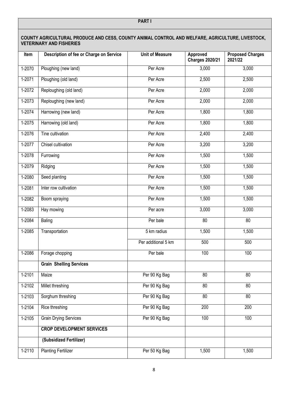| COUNTY AGRICULTURAL PRODUCE AND CESS, COUNTY ANIMAL CONTROL AND WELFARE, AGRICULTURE, LIVESTOCK,<br><b>VETERINARY AND FISHERIES</b> |                                         |                        |                                    |                                    |
|-------------------------------------------------------------------------------------------------------------------------------------|-----------------------------------------|------------------------|------------------------------------|------------------------------------|
| Item                                                                                                                                | Description of fee or Charge on Service | <b>Unit of Measure</b> | Approved<br><b>Charges 2020/21</b> | <b>Proposed Charges</b><br>2021/22 |
| 1-2070                                                                                                                              | Ploughing (new land)                    | Per Acre               | 3,000                              | 3,000                              |
| 1-2071                                                                                                                              | Ploughing (old land)                    | Per Acre               | 2,500                              | 2,500                              |
| $1-2072$                                                                                                                            | Reploughing (old land)                  | Per Acre               | 2,000                              | 2,000                              |
| 1-2073                                                                                                                              | Reploughing (new land)                  | Per Acre               | 2,000                              | 2,000                              |
| 1-2074                                                                                                                              | Harrowing (new land)                    | Per Acre               | 1,800                              | 1,800                              |
| $1-2075$                                                                                                                            | Harrowing (old land)                    | Per Acre               | 1,800                              | 1,800                              |
| $1-2076$                                                                                                                            | Tine cultivation                        | Per Acre               | 2,400                              | 2,400                              |
| 1-2077                                                                                                                              | Chisel cultivation                      | Per Acre               | 3,200                              | 3,200                              |
| 1-2078                                                                                                                              | Furrowing                               | Per Acre               | 1,500                              | 1,500                              |
| 1-2079                                                                                                                              | Ridging                                 | Per Acre               | 1,500                              | 1,500                              |
| $1 - 2080$                                                                                                                          | Seed planting                           | Per Acre               | 1,500                              | 1,500                              |
| 1-2081                                                                                                                              | Inter row cultivation                   | Per Acre               | 1,500                              | 1,500                              |
| 1-2082                                                                                                                              | Boom spraying                           | Per Acre               | 1,500                              | 1,500                              |
| 1-2083                                                                                                                              | Hay mowing                              | Per acre               | 3,000                              | 3,000                              |
| 1-2084                                                                                                                              | Baling                                  | Per bale               | $\overline{80}$                    | $\overline{80}$                    |
| 1-2085                                                                                                                              | Transportation                          | 5 km radius            | 1,500                              | 1,500                              |
|                                                                                                                                     |                                         | Per additional 5 km    | 500                                | 500                                |
| 1-2086                                                                                                                              | Forage chopping                         | Per bale               | 100                                | 100                                |
|                                                                                                                                     | <b>Grain Shelling Services</b>          |                        |                                    |                                    |
| 1-2101                                                                                                                              | Maize                                   | Per 90 Kg Bag          | $\overline{80}$                    | 80                                 |
| $1-2102$                                                                                                                            | Millet threshing                        | Per 90 Kg Bag          | 80                                 | $\overline{80}$                    |
| $1 - 2103$                                                                                                                          | Sorghum threshing                       | Per 90 Kg Bag          | 80                                 | 80                                 |
| $1 - 2104$                                                                                                                          | Rice threshing                          | Per 90 Kg Bag          | 200                                | 200                                |
| $1-2105$                                                                                                                            | <b>Grain Drying Services</b>            | Per 90 Kg Bag          | 100                                | 100                                |
|                                                                                                                                     | <b>CROP DEVELOPMENT SERVICES</b>        |                        |                                    |                                    |
|                                                                                                                                     | (Subsidized Fertilizer)                 |                        |                                    |                                    |
| 1-2110                                                                                                                              | <b>Planting Fertilizer</b>              | Per 50 Kg Bag          | 1,500                              | 1,500                              |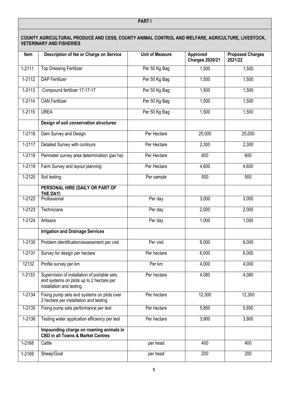|            | COUNTY AGRICULTURAL PRODUCE AND CESS, COUNTY ANIMAL CONTROL AND WELFARE, AGRICULTURE, LIVESTOCK,<br><b>VETERINARY AND FISHERIES</b> |                        |                                    |                                    |
|------------|-------------------------------------------------------------------------------------------------------------------------------------|------------------------|------------------------------------|------------------------------------|
| Item       | Description of fee or Charge on Service                                                                                             | <b>Unit of Measure</b> | Approved<br><b>Charges 2020/21</b> | <b>Proposed Charges</b><br>2021/22 |
| $1 - 2111$ | <b>Top Dressing Fertilizer</b>                                                                                                      | Per 50 Kg Bag          | 1,500                              | 1,500                              |
| 1-2112     | <b>DAP Fertilizer</b>                                                                                                               | Per 50 Kg Bag          | 1,500                              | 1,500                              |
| 1-2113     | Compound fertilizer 17-17-17                                                                                                        | Per 50 Kg Bag          | 1,500                              | 1,500                              |
| $1 - 2114$ | <b>CAN Fertilizer</b>                                                                                                               | Per 50 Kg Bag          | 1,500                              | 1,500                              |
| 1-2115     | <b>UREA</b>                                                                                                                         | Per 50 Kg Bag          | 1,500                              | 1,500                              |
|            | Design of soil conservation structures                                                                                              |                        |                                    |                                    |
| $1 - 2116$ | Dam Survey and Design                                                                                                               | Per Hectare            | 25,000                             | 25,000                             |
| 1-2117     | Detailed Survey with contours                                                                                                       | Per Hectare            | 2,300                              | 2,300                              |
| $1 - 2118$ | Perimeter survey area determination (per ha)                                                                                        | Per Hectare            | 600                                | 600                                |
| 1-2119     | Farm Survey and layout planning                                                                                                     | Per Hectare            | 4,600                              | 4,600                              |
| $1-2120$   | Soil testing                                                                                                                        | Per sample             | 500                                | 500                                |
|            | PERSONAL HIRE (DAILY OR PART OF<br>THE DAY)                                                                                         |                        |                                    |                                    |
| 1-2122     | Professional                                                                                                                        | Per day                | 3,000                              | 3,000                              |
| $1 - 2123$ | Technicians                                                                                                                         | Per day                | 2,000                              | 2,000                              |
| 1-2124     | Artisans                                                                                                                            | Per day                | 1,000                              | 1,000                              |
|            | <b>Irrigation and Drainage Services</b>                                                                                             |                        |                                    |                                    |
| 1-2130     | Problem identification/assessment per visit                                                                                         | Per visit              | 6,000                              | 6,000                              |
| 1-2131     | Survey for design per hectare                                                                                                       | Per hectare            | 6,000                              | 6,000                              |
| 12132      | Profile survey per km                                                                                                               | Per km                 | 4,000                              | 4,000                              |
| 1-2133     | Supervision of installation of portable sets<br>and systems on plots up to 2 hectare per<br>installation and testing                | Per hectare            | 4,080                              | 4,080                              |
| $1 - 2134$ | Fixing pump sets and systems on plots over<br>2 hectare per installation and testing                                                | Per hectare            | 12,300                             | 12,300                             |
| 1-2135     | Fixing pump sets performance per test                                                                                               | Per hectare            | 5,850                              | 5,850                              |
| 1-2136     | Testing water application efficiency per test                                                                                       | Per hectare            | 3,900                              | 3,900                              |
|            | Impounding charge on roaming animals in<br><b>CBD in all Towns &amp; Market Centres</b>                                             |                        |                                    |                                    |
| 1-2168     | Cattle                                                                                                                              | per head               | 400                                | 400                                |
| 1-2169     | Sheep/Goat                                                                                                                          | per head               | 200                                | 200                                |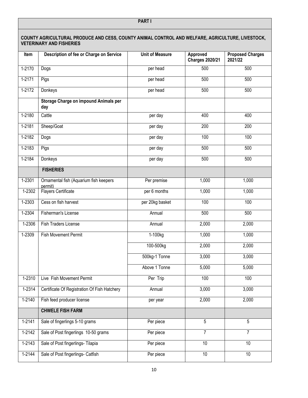|            | COUNTY AGRICULTURAL PRODUCE AND CESS, COUNTY ANIMAL CONTROL AND WELFARE, AGRICULTURE, LIVESTOCK,<br><b>VETERINARY AND FISHERIES</b> |                        |                                    |                                    |
|------------|-------------------------------------------------------------------------------------------------------------------------------------|------------------------|------------------------------------|------------------------------------|
| Item       | Description of fee or Charge on Service                                                                                             | <b>Unit of Measure</b> | Approved<br><b>Charges 2020/21</b> | <b>Proposed Charges</b><br>2021/22 |
| 1-2170     | Dogs                                                                                                                                | per head               | 500                                | 500                                |
| $1-2171$   | Pigs                                                                                                                                | per head               | 500                                | 500                                |
| $1-2172$   | Donkeys                                                                                                                             | per head               | 500                                | 500                                |
|            | Storage Charge on impound Animals per<br>day                                                                                        |                        |                                    |                                    |
| 1-2180     | Cattle                                                                                                                              | per day                | 400                                | 400                                |
| 1-2181     | Sheep/Goat                                                                                                                          | per day                | 200                                | 200                                |
| 1-2182     | Dogs                                                                                                                                | per day                | 100                                | 100                                |
| $1-2183$   | Pigs                                                                                                                                | per day                | 500                                | 500                                |
| $1-2184$   | Donkeys                                                                                                                             | per day                | 500                                | 500                                |
|            | <b>FISHERIES</b>                                                                                                                    |                        |                                    |                                    |
| 1-2301     | Ornamental fish (Aquarium fish keepers<br>permit)                                                                                   | Per premise            | 1,000                              | 1,000                              |
| 1-2302     | Flayers Certificate                                                                                                                 | per 6 months           | 1,000                              | 1,000                              |
| $1 - 2303$ | Cess on fish harvest                                                                                                                | per 20kg basket        | 100                                | 100                                |
| 1-2304     | <b>Fisherman's License</b>                                                                                                          | Annual                 | $\overline{500}$                   | 500                                |
| 1-2306     | Fish Traders License                                                                                                                | Annual                 | 2,000                              | 2,000                              |
| 1-2309     | Fish Movement Permit                                                                                                                | 1-100kg                | 1,000                              | 1,000                              |
|            |                                                                                                                                     | 100-500kg              | 2,000                              | 2,000                              |
|            |                                                                                                                                     | 500kg-1 Tonne          | 3,000                              | 3,000                              |
|            |                                                                                                                                     | Above 1 Tonne          | 5,000                              | 5,000                              |
| 1-2310     | Live Fish Movement Permit                                                                                                           | Per Trip               | 100                                | 100                                |
| 1-2314     | Certificate Of Registration Of Fish Hatchery                                                                                        | Annual                 | 3,000                              | 3,000                              |
| $1 - 2140$ | Fish feed producer license                                                                                                          | per year               | 2,000                              | 2,000                              |
|            | <b>CHWELE FISH FARM</b>                                                                                                             |                        |                                    |                                    |
| 1-2141     | Sale of fingerlings 5-10 grams                                                                                                      | Per piece              | 5                                  | 5                                  |
| 1-2142     | Sale of Post fingerlings 10-50 grams                                                                                                | Per piece              | $\overline{7}$                     | $\overline{7}$                     |
| 1-2143     | Sale of Post fingerlings- Tilapia                                                                                                   | Per piece              | 10                                 | 10                                 |
| $1 - 2144$ | Sale of Post fingerlings- Catfish                                                                                                   | Per piece              | 10 <sup>1</sup>                    | 10                                 |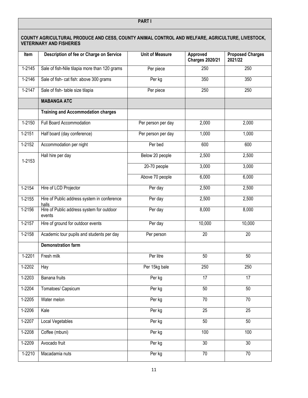| COUNTY AGRICULTURAL PRODUCE AND CESS, COUNTY ANIMAL CONTROL AND WELFARE, AGRICULTURE, LIVESTOCK,<br><b>VETERINARY AND FISHERIES</b> |                                                      |                        |                                    |                                    |  |
|-------------------------------------------------------------------------------------------------------------------------------------|------------------------------------------------------|------------------------|------------------------------------|------------------------------------|--|
| Item                                                                                                                                | Description of fee or Charge on Service              | <b>Unit of Measure</b> | Approved<br><b>Charges 2020/21</b> | <b>Proposed Charges</b><br>2021/22 |  |
| 1-2145                                                                                                                              | Sale of fish-Nile tilapia more than 120 grams        | Per piece              | 250                                | 250                                |  |
| $1 - 2146$                                                                                                                          | Sale of fish- cat fish: above 300 grams              | Per kg                 | 350                                | 350                                |  |
| 1-2147                                                                                                                              | Sale of fish-table size tilapia                      | Per piece              | 250                                | 250                                |  |
|                                                                                                                                     | <b>MABANGA ATC</b>                                   |                        |                                    |                                    |  |
|                                                                                                                                     | <b>Training and Accommodation charges</b>            |                        |                                    |                                    |  |
| 1-2150                                                                                                                              | Full Board Accommodation                             | Per person per day     | 2,000                              | 2,000                              |  |
| $1 - 2151$                                                                                                                          | Half board (day conference)                          | Per person per day     | 1,000                              | 1,000                              |  |
| $1-2152$                                                                                                                            | Accommodation per night                              | Per bed                | $\overline{600}$                   | 600                                |  |
| 1-2153                                                                                                                              | Hall hire per day                                    | Below 20 people        | 2,500                              | 2,500                              |  |
|                                                                                                                                     |                                                      | 20-70 people           | 3,000                              | 3,000                              |  |
|                                                                                                                                     |                                                      | Above 70 people        | 6,000                              | 6,000                              |  |
| $1-2154$                                                                                                                            | Hire of LCD Projector                                | Per day                | 2,500                              | 2,500                              |  |
| 1-2155                                                                                                                              | Hire of Public address system in conference<br>halls | Per day                | 2,500                              | 2,500                              |  |
| $1 - 2156$                                                                                                                          | Hire of Public address system for outdoor<br>events  | Per day                | 8,000                              | 8,000                              |  |
| 1-2157                                                                                                                              | Hire of ground for outdoor events                    | Per day                | 10,000                             | 10,000                             |  |
| 1-2158                                                                                                                              | Academic tour pupils and students per day            | Per person             | 20                                 | 20                                 |  |
|                                                                                                                                     | <b>Demonstration farm</b>                            |                        |                                    |                                    |  |
| 1-2201                                                                                                                              | Fresh milk                                           | Per litre              | 50                                 | 50                                 |  |
| $1 - 2202$                                                                                                                          | Hay                                                  | Per 15kg bale          | 250                                | 250                                |  |
| $1 - 2203$                                                                                                                          | Banana fruits                                        | Per kg                 | $\overline{17}$                    | 17                                 |  |
| 1-2204                                                                                                                              | Tomatoes/ Capsicum                                   | Per kg                 | 50                                 | 50                                 |  |
| 1-2205                                                                                                                              | Water melon                                          | Per kg                 | $\overline{70}$                    | $\overline{70}$                    |  |
| 1-2206                                                                                                                              | Kale                                                 | Per kg                 | $\overline{25}$                    | $\overline{25}$                    |  |
| $1 - 2207$                                                                                                                          | <b>Local Vegetables</b>                              | Per kg                 | 50                                 | 50                                 |  |
| 1-2208                                                                                                                              | Coffee (mbuni)                                       | Per kg                 | 100                                | 100                                |  |
| 1-2209                                                                                                                              | Avocado fruit                                        | Per kg                 | $\overline{30}$                    | 30                                 |  |
| 1-2210                                                                                                                              | Macadamia nuts                                       | Per kg                 | $\overline{70}$                    | $\overline{70}$                    |  |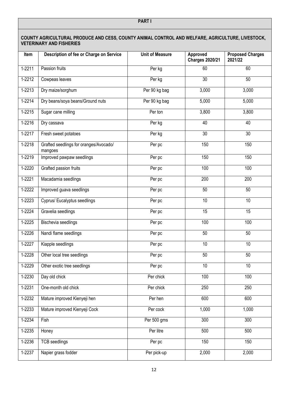| COUNTY AGRICULTURAL PRODUCE AND CESS, COUNTY ANIMAL CONTROL AND WELFARE, AGRICULTURE, LIVESTOCK,<br><b>VETERINARY AND FISHERIES</b> |                                                   |                        |                                    |                                    |
|-------------------------------------------------------------------------------------------------------------------------------------|---------------------------------------------------|------------------------|------------------------------------|------------------------------------|
| Item                                                                                                                                | Description of fee or Charge on Service           | <b>Unit of Measure</b> | Approved<br><b>Charges 2020/21</b> | <b>Proposed Charges</b><br>2021/22 |
| $1 - 2211$                                                                                                                          | Passion fruits                                    | Per kg                 | 60                                 | 60                                 |
| 1-2212                                                                                                                              | Cowpeas leaves                                    | Per kg                 | $\overline{30}$                    | 50                                 |
| 1-2213                                                                                                                              | Dry maize/sorghum                                 | Per 90 kg bag          | 3,000                              | 3,000                              |
| 1-2214                                                                                                                              | Dry beans/soya beans/Ground nuts                  | Per 90 kg bag          | 5,000                              | 5,000                              |
| 1-2215                                                                                                                              | Sugar cane milling                                | Per ton                | 3,800                              | 3,800                              |
| $1 - 2216$                                                                                                                          | Dry cassava                                       | Per kg                 | 40                                 | 40                                 |
| 1-2217                                                                                                                              | Fresh sweet potatoes                              | Per kg                 | 30                                 | 30                                 |
| $1 - 2218$                                                                                                                          | Grafted seedlings for oranges/Avocado/<br>mangoes | Per pc                 | 150                                | 150                                |
| 1-2219                                                                                                                              | Improved pawpaw seedlings                         | Per pc                 | 150                                | 150                                |
| $1 - 2220$                                                                                                                          | Grafted passion fruits                            | Per pc                 | 100                                | 100                                |
| 1-2221                                                                                                                              | Macadamia seedlings                               | Per pc                 | 200                                | 200                                |
| $1-2222$                                                                                                                            | Improved guava seedlings                          | Per pc                 | 50                                 | 50                                 |
| 1-2223                                                                                                                              | Cyprus/ Eucalyptus seedlings                      | Per pc                 | 10                                 | 10                                 |
| 1-2224                                                                                                                              | Gravelia seedlings                                | Per pc                 | 15                                 | 15                                 |
| 1-2225                                                                                                                              | <b>Bischevia</b> seedlings                        | Per pc                 | 100                                | 100                                |
| 1-2226                                                                                                                              | Nandi flame seedlings                             | Per pc                 | 50                                 | 50                                 |
| 1-2227                                                                                                                              | Kiapple seedlings                                 | Per pc                 | 10                                 | 10                                 |
| 1-2228                                                                                                                              | Other local tree seedlings                        | Per pc                 | 50                                 | 50                                 |
| 1-2229                                                                                                                              | Other exotic tree seedlings                       | Per pc                 | 10                                 | 10                                 |
| $1 - 2230$                                                                                                                          | Day old chick                                     | Per chick              | 100                                | 100                                |
| 1-2231                                                                                                                              | One-month old chick                               | Per chick              | 250                                | $\overline{250}$                   |
| 1-2232                                                                                                                              | Mature improved Kienyeji hen                      | Per hen                | 600                                | 600                                |
| $1 - 2233$                                                                                                                          | Mature improved Kienyeji Cock                     | Per cock               | 1,000                              | 1,000                              |
| 1-2234                                                                                                                              | Fish                                              | Per 500 gms            | 300                                | 300                                |
| $1 - 2235$                                                                                                                          | Honey                                             | Per litre              | 500                                | 500                                |
| 1-2236                                                                                                                              | <b>TCB</b> seedlings                              | Per pc                 | 150                                | 150                                |
| 1-2237                                                                                                                              | Napier grass fodder                               | Per pick-up            | 2,000                              | 2,000                              |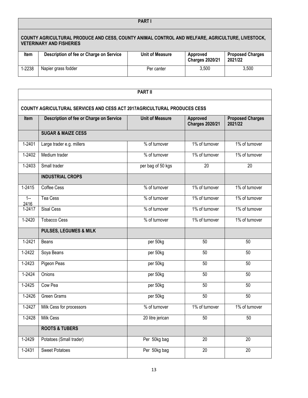#### **PART I**

| COUNTY AGRICULTURAL PRODUCE AND CESS, COUNTY ANIMAL CONTROL AND WELFARE, AGRICULTURE, LIVESTOCK,<br><b>VETERINARY AND FISHERIES</b> |                                         |                 |                                    |                                    |
|-------------------------------------------------------------------------------------------------------------------------------------|-----------------------------------------|-----------------|------------------------------------|------------------------------------|
| Item                                                                                                                                | Description of fee or Charge on Service | Unit of Measure | Approved<br><b>Charges 2020/21</b> | <b>Proposed Charges</b><br>2021/22 |
| 1-2238                                                                                                                              | Napier grass fodder                     | Per canter      | 3.500                              | 3.500                              |

|                                                                          | <b>PART II</b>                          |                        |                                    |                                    |  |
|--------------------------------------------------------------------------|-----------------------------------------|------------------------|------------------------------------|------------------------------------|--|
| COUNTY AGRICULTURAL SERVICES AND CESS ACT 2017AGRICULTURAL PRODUCES CESS |                                         |                        |                                    |                                    |  |
| <b>Item</b>                                                              | Description of fee or Charge on Service | <b>Unit of Measure</b> | Approved<br><b>Charges 2020/21</b> | <b>Proposed Charges</b><br>2021/22 |  |
|                                                                          | <b>SUGAR &amp; MAIZE CESS</b>           |                        |                                    |                                    |  |
| 1-2401                                                                   | Large trader e.g. millers               | % of turnover          | 1% of turnover                     | 1% of turnover                     |  |
| $1 - 2402$                                                               | Medium trader                           | % of turnover          | 1% of turnover                     | 1% of turnover                     |  |
| 1-2403                                                                   | Small trader                            | per bag of 50 kgs      | 20                                 | 20                                 |  |
|                                                                          | <b>INDUSTRIAL CROPS</b>                 |                        |                                    |                                    |  |
| 1-2415                                                                   | Coffee Cess                             | % of turnover          | 1% of turnover                     | 1% of turnover                     |  |
| $1 -$<br>2416                                                            | Tea Cess                                | % of turnover          | 1% of turnover                     | 1% of turnover                     |  |
| $1 - 2417$                                                               | <b>Sisal Cess</b>                       | % of turnover          | 1% of turnover                     | 1% of turnover                     |  |
| 1-2420                                                                   | <b>Tobacco Cess</b>                     | % of turnover          | 1% of turnover                     | 1% of turnover                     |  |
|                                                                          | <b>PULSES, LEGUMES &amp; MILK</b>       |                        |                                    |                                    |  |
| 1-2421                                                                   | Beans                                   | per 50kg               | 50                                 | 50                                 |  |
| 1-2422                                                                   | Soya Beans                              | per 50kg               | 50                                 | 50                                 |  |
| $1 - 2423$                                                               | Pigeon Peas                             | per 50kg               | 50                                 | 50                                 |  |
| $1 - 2424$                                                               | Onions                                  | per 50kg               | $\overline{50}$                    | 50                                 |  |
| 1-2425                                                                   | Cow Pea                                 | per 50kg               | 50                                 | 50                                 |  |
| 1-2426                                                                   | <b>Green Grams</b>                      | per 50kg               | $\overline{50}$                    | 50                                 |  |
| 1-2427                                                                   | Milk Cess for processors                | % of turnover          | 1% of turnover                     | 1% of turnover                     |  |
| 1-2428                                                                   | Milk Cess                               | 20 litre jerican       | 50                                 | 50                                 |  |
|                                                                          | <b>ROOTS &amp; TUBERS</b>               |                        |                                    |                                    |  |
| 1-2429                                                                   | Potatoes (Small trader)                 | Per 50kg bag           | 20                                 | 20                                 |  |
| $1 - 2431$                                                               | <b>Sweet Potatoes</b>                   | Per 50kg bag           | $\overline{20}$                    | $\overline{20}$                    |  |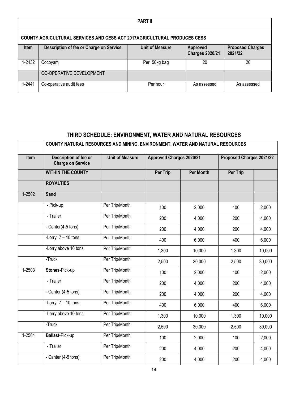| <b>PART II</b>                                                                  |                                         |                        |                                    |                                    |  |
|---------------------------------------------------------------------------------|-----------------------------------------|------------------------|------------------------------------|------------------------------------|--|
| <b>COUNTY AGRICULTURAL SERVICES AND CESS ACT 2017AGRICULTURAL PRODUCES CESS</b> |                                         |                        |                                    |                                    |  |
| <b>Item</b>                                                                     | Description of fee or Charge on Service | <b>Unit of Measure</b> | Approved<br><b>Charges 2020/21</b> | <b>Proposed Charges</b><br>2021/22 |  |
| 1-2432                                                                          | Cocoyam                                 | Per 50kg bag           | 20                                 | 20                                 |  |
|                                                                                 | CO-OPERATIVE DEVELOPMENT                |                        |                                    |                                    |  |
| 1-2441                                                                          | Co-operative audit fees                 | Per hour               | As assessed                        | As assessed                        |  |

## **THIRD SCHEDULE: ENVIRONMENT, WATER AND NATURAL RESOURCES**

<span id="page-14-0"></span>

|            | COUNTY NATURAL RESOURCES AND MINING, ENVIRONMENT, WATER AND NATURAL RESOURCES |                        |                                 |                  |                          |        |
|------------|-------------------------------------------------------------------------------|------------------------|---------------------------------|------------------|--------------------------|--------|
| Item       | <b>Description of fee or</b><br><b>Charge on Service</b>                      | <b>Unit of Measure</b> | <b>Approved Charges 2020/21</b> |                  | Proposed Charges 2021/22 |        |
|            | <b>WITHIN THE COUNTY</b>                                                      |                        | <b>Per Trip</b>                 | <b>Per Month</b> | Per Trip                 |        |
|            | <b>ROYALTIES</b>                                                              |                        |                                 |                  |                          |        |
| $1 - 2502$ | <b>Sand</b>                                                                   |                        |                                 |                  |                          |        |
|            | - Pick-up                                                                     | Per Trip/Month         | 100                             | 2,000            | 100                      | 2,000  |
|            | - Trailer                                                                     | Per Trip/Month         | 200                             | 4,000            | 200                      | 4,000  |
|            | - Canter(4-5 tons)                                                            | Per Trip/Month         | 200                             | 4,000            | 200                      | 4,000  |
|            | -Lorry $7 - 10$ tons                                                          | Per Trip/Month         | 400                             | 6,000            | 400                      | 6,000  |
|            | -Lorry above 10 tons                                                          | Per Trip/Month         | 1,300                           | 10,000           | 1,300                    | 10,000 |
|            | -Truck                                                                        | Per Trip/Month         | 2,500                           | 30,000           | 2,500                    | 30,000 |
| $1 - 2503$ | Stones-Pick-up                                                                | Per Trip/Month         | 100                             | 2,000            | 100                      | 2,000  |
|            | - Trailer                                                                     | Per Trip/Month         | 200                             | 4,000            | 200                      | 4,000  |
|            | - Canter (4-5 tons)                                                           | Per Trip/Month         | 200                             | 4,000            | 200                      | 4,000  |
|            | -Lorry $7 - 10$ tons                                                          | Per Trip/Month         | 400                             | 6,000            | 400                      | 6,000  |
|            | -Lorry above 10 tons                                                          | Per Trip/Month         | 1,300                           | 10,000           | 1,300                    | 10,000 |
|            | -Truck                                                                        | Per Trip/Month         | 2,500                           | 30,000           | 2,500                    | 30,000 |
| $1-2504$   | Ballast-Pick-up                                                               | Per Trip/Month         | 100                             | 2,000            | 100                      | 2,000  |
|            | - Trailer                                                                     | Per Trip/Month         | 200                             | 4,000            | 200                      | 4,000  |
|            | - Canter (4-5 tons)                                                           | Per Trip/Month         | 200                             | 4,000            | 200                      | 4,000  |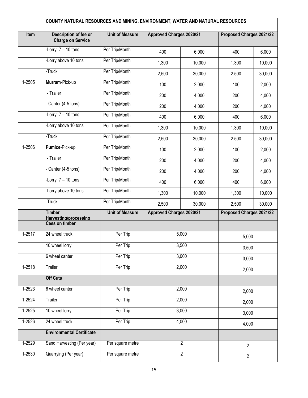|            | COUNTY NATURAL RESOURCES AND MINING, ENVIRONMENT, WATER AND NATURAL RESOURCES |                        |                                 |                |                          |        |
|------------|-------------------------------------------------------------------------------|------------------------|---------------------------------|----------------|--------------------------|--------|
| Item       | <b>Description of fee or</b><br><b>Charge on Service</b>                      | <b>Unit of Measure</b> | <b>Approved Charges 2020/21</b> |                | Proposed Charges 2021/22 |        |
|            | -Lorry $7 - 10$ tons                                                          | Per Trip/Month         | 400                             | 6,000          | 400                      | 6,000  |
|            | -Lorry above 10 tons                                                          | Per Trip/Month         | 1,300                           | 10,000         | 1,300                    | 10,000 |
|            | -Truck                                                                        | Per Trip/Month         | 2,500                           | 30,000         | 2,500                    | 30,000 |
| 1-2505     | Murram-Pick-up                                                                | Per Trip/Month         | 100                             | 2,000          | 100                      | 2,000  |
|            | - Trailer                                                                     | Per Trip/Month         | 200                             | 4,000          | 200                      | 4,000  |
|            | - Canter (4-5 tons)                                                           | Per Trip/Month         | 200                             | 4,000          | 200                      | 4,000  |
|            | -Lorry $7 - 10$ tons                                                          | Per Trip/Month         | 400                             | 6,000          | 400                      | 6,000  |
|            | -Lorry above 10 tons                                                          | Per Trip/Month         | 1,300                           | 10,000         | 1,300                    | 10,000 |
|            | -Truck                                                                        | Per Trip/Month         | 2,500                           | 30,000         | 2,500                    | 30,000 |
| 1-2506     | Pumice-Pick-up                                                                | Per Trip/Month         | 100                             | 2,000          | 100                      | 2,000  |
|            | - Trailer                                                                     | Per Trip/Month         | 200                             | 4,000          | 200                      | 4,000  |
|            | - Canter (4-5 tons)                                                           | Per Trip/Month         | 200                             | 4,000          | 200                      | 4,000  |
|            | -Lorry $7 - 10$ tons                                                          | Per Trip/Month         | 400                             | 6,000          | 400                      | 6,000  |
|            | -Lorry above 10 tons                                                          | Per Trip/Month         | 1,300                           | 10,000         | 1,300                    | 10,000 |
|            | -Truck                                                                        | Per Trip/Month         | 2,500                           | 30,000         | 2,500                    | 30,000 |
|            | <b>Timber</b><br>Harvesting/processing                                        | <b>Unit of Measure</b> | <b>Approved Charges 2020/21</b> |                | Proposed Charges 2021/22 |        |
|            | <b>Cess on timber</b>                                                         |                        |                                 |                |                          |        |
| 1-2517     | 24 wheel truck                                                                | Per Trip               |                                 | 5,000          | 5,000                    |        |
|            | 10 wheel lorry                                                                | Per Trip               |                                 | 3,500          | 3,500                    |        |
|            | 6 wheel canter                                                                | Per Trip               |                                 | 3,000          | 3,000                    |        |
| $1-2518$   | Trailer                                                                       | Per Trip               |                                 | 2,000          | 2,000                    |        |
|            | <b>Off Cuts</b>                                                               |                        |                                 |                |                          |        |
| 1-2523     | 6 wheel canter                                                                | Per Trip               |                                 | 2,000          |                          | 2,000  |
| $1-2524$   | Trailer                                                                       | Per Trip               | 2,000                           |                | 2,000                    |        |
| 1-2525     | 10 wheel lorry                                                                | Per Trip               |                                 | 3,000          |                          | 3,000  |
| $1 - 2526$ | 24 wheel truck                                                                | Per Trip               |                                 | 4,000          | 4,000                    |        |
|            | <b>Environmental Certificate</b>                                              |                        |                                 |                |                          |        |
| 1-2529     | Sand Harvesting (Per year)                                                    | Per square metre       |                                 | $\overline{2}$ | $\overline{2}$           |        |
| $1 - 2530$ | Quarrying (Per year)                                                          | Per square metre       |                                 | $\overline{2}$ | $\overline{2}$           |        |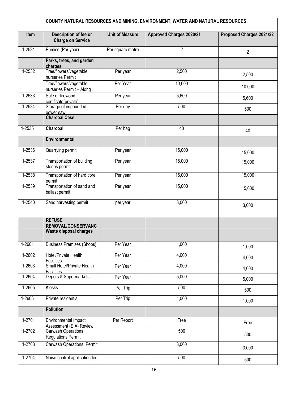|            | COUNTY NATURAL RESOURCES AND MINING, ENVIRONMENT, WATER AND NATURAL RESOURCES |                        |                                 |                          |  |
|------------|-------------------------------------------------------------------------------|------------------------|---------------------------------|--------------------------|--|
| Item       | Description of fee or<br><b>Charge on Service</b>                             | <b>Unit of Measure</b> | <b>Approved Charges 2020/21</b> | Proposed Charges 2021/22 |  |
| 1-2531     | Pumice (Per year)                                                             | Per square metre       | $\overline{2}$                  | $\overline{2}$           |  |
|            | Parks, trees, and garden<br>charges                                           |                        |                                 |                          |  |
| $1-2532$   | Tree/flowers/vegetable<br>nurseries Permit                                    | Per year               | 2,500                           | 2,500                    |  |
|            | Tree/flowers/vegetable<br>nurseries Permit - Along                            | Per Year               | 10,000                          | 10,000                   |  |
| 1-2533     | Sale of firewood<br>certificate(private)                                      | Per year               | 5,600                           | 5,600                    |  |
| $1 - 2534$ | Storage of impounded<br>power saw                                             | Per day                | 500                             | 500                      |  |
|            | <b>Charcoal Cess</b>                                                          |                        |                                 |                          |  |
| 1-2535     | Charcoal                                                                      | Per bag                | 40                              | 40                       |  |
|            | <b>Environmental</b>                                                          |                        |                                 |                          |  |
| 1-2536     | Quarrying permit                                                              | Per year               | 15,000                          | 15,000                   |  |
| 1-2537     | Transportation of building<br>stones permit                                   | Per year               | 15,000                          | 15,000                   |  |
| 1-2538     | Transportation of hard core<br>permit                                         | Per year               | 15,000                          | 15,000                   |  |
| 1-2539     | Transportation of sand and<br>ballast permit                                  | Per year               | 15,000                          | 15,000                   |  |
| $1 - 2540$ | Sand harvesting permit                                                        | per year               | 3,000                           | 3,000                    |  |
|            | <b>REFUSE</b><br><b>REMOVAL/CONSERVANC</b>                                    |                        |                                 |                          |  |
|            | Waste disposal charges                                                        |                        |                                 |                          |  |
| 1-2601     | <b>Business Premises (Shops)</b>                                              | Per Year               | 1,000                           | 1,000                    |  |
| $1-2602$   | Hotel/Private Health<br><b>Facilities</b>                                     | Per Year               | 4,000                           | 4,000                    |  |
| 1-2603     | Small Hotel/Private Health<br><b>Facilities</b>                               | Per Year               | 4,000                           | 4,000                    |  |
| $1 - 2604$ | Depots & Supermarkets                                                         | Per Year               | 5,000                           | 5,000                    |  |
| $1-2605$   | Kiosks                                                                        | Per Trip               | 500                             | 500                      |  |
| 1-2606     | Private residential                                                           | Per Trip               | 1,000                           | 1,000                    |  |
|            | <b>Pollution</b>                                                              |                        |                                 |                          |  |
| 1-2701     | Environmental Impact<br>Assessment (EIA) Review                               | Per Report             | Free                            | Free                     |  |
| 1-2702     | <b>Carwash Operations</b><br><b>Regulations Permit</b>                        |                        | 500                             | 500                      |  |
| $1 - 2703$ | <b>Carwash Operations Permit</b>                                              |                        | 3,000                           | 3,000                    |  |
| $1-2704$   | Noise control application fee                                                 |                        | 500                             | 500                      |  |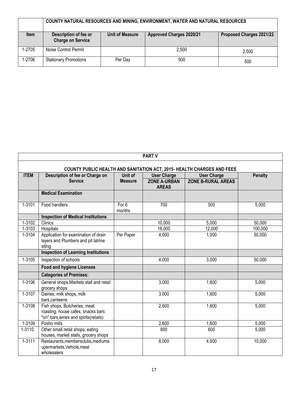|             | COUNTY NATURAL RESOURCES AND MINING, ENVIRONMENT, WATER AND NATURAL RESOURCES |                        |                          |                          |  |  |
|-------------|-------------------------------------------------------------------------------|------------------------|--------------------------|--------------------------|--|--|
| <b>Item</b> | Description of fee or<br><b>Charge on Service</b>                             | <b>Unit of Measure</b> | Approved Charges 2020/21 | Proposed Charges 2021/22 |  |  |
| 1-2705      | Noise Control Permit                                                          |                        | 2,500                    | 2,500                    |  |  |
| 1-2706      | <b>Stationary Promotions</b>                                                  | Per Day                | 500                      | 500                      |  |  |

| <b>PART V</b> |                                                                                                              |                 |                                     |                           |                |  |  |
|---------------|--------------------------------------------------------------------------------------------------------------|-----------------|-------------------------------------|---------------------------|----------------|--|--|
|               | <b>COUNTY PUBLIC HEALTH AND SANITATION ACT, 2015- HEALTH CHARGES AND FEES</b>                                |                 |                                     |                           |                |  |  |
| <b>ITEM</b>   | Description of fee or Charge on                                                                              | Unit of         | <b>User Charge</b>                  | <b>User Charge</b>        | <b>Penalty</b> |  |  |
|               | <b>Service</b>                                                                                               | <b>Measure</b>  | <b>ZONE A-URBAN</b><br><b>AREAS</b> | <b>ZONE B-RURAL AREAS</b> |                |  |  |
|               | <b>Medical Examination</b>                                                                                   |                 |                                     |                           |                |  |  |
| 1-3101        | Food handlers                                                                                                | For 6<br>months | 700                                 | 500                       | 5,000          |  |  |
|               | <b>Inspection of Medical Institutions</b>                                                                    |                 |                                     |                           |                |  |  |
| 1-3102        | <b>Clinics</b>                                                                                               |                 | 10,000                              | 5,000                     | 50,000         |  |  |
| 1-3103        | Hospitals                                                                                                    |                 | 18,000                              | 12,000                    | 100,000        |  |  |
| 1-3104        | Application for examination of drain<br>layers and Plumbers and pit latrine<br>siting                        | Per Paper       | 4,000                               | 1,000                     | 50,000         |  |  |
|               | <b>Inspection of Learning Institutions</b>                                                                   |                 |                                     |                           |                |  |  |
| 1-3105        | Inspection of schools                                                                                        |                 | 4,000                               | 3,000                     | 50,000         |  |  |
|               | <b>Food and hygiene Licenses</b>                                                                             |                 |                                     |                           |                |  |  |
|               | <b>Categories of Premises:</b>                                                                               |                 |                                     |                           |                |  |  |
| 1-3106        | General shops, Markets stall and retail<br>grocery shops                                                     |                 | 3,000                               | 1,600                     | 5,000          |  |  |
| $1 - 3107$    | Dairies, milk shops, milk<br>bars.canteens                                                                   |                 | 3,000                               | 1,600                     | 5,000          |  |  |
| 1-3108        | Fish shops, Butcheries, meat<br>roasting, house cafes, snacks bars<br>"on" bars, wines and spirits (retails) |                 | 2,600                               | 1,600                     | 5,000          |  |  |
| 1-3109        | Posho mills                                                                                                  |                 | 2,600                               | 1,600                     | 5,000          |  |  |
| 1-3110        | Other small retail shops, eating<br>houses, market stalls, grocery shops                                     |                 | 800                                 | 600                       | 5,000          |  |  |
| $1 - 3111$    | Restaurants, membersclubs, mediums<br>upermarkets, Vehicle, meat<br>wholesalers                              |                 | 8,000                               | 4,000                     | 10,000         |  |  |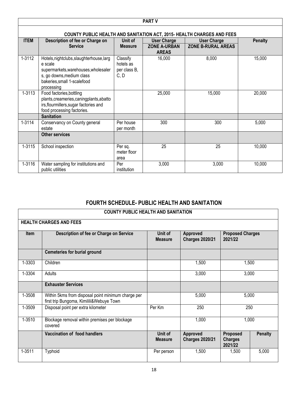|             | <b>PART V</b>                                                                                                                                                         |                                               |                                     |                           |                |  |  |
|-------------|-----------------------------------------------------------------------------------------------------------------------------------------------------------------------|-----------------------------------------------|-------------------------------------|---------------------------|----------------|--|--|
|             | COUNTY PUBLIC HEALTH AND SANITATION ACT, 2015- HEALTH CHARGES AND FEES                                                                                                |                                               |                                     |                           |                |  |  |
| <b>ITEM</b> | Description of fee or Charge on                                                                                                                                       | Unit of                                       | <b>User Charge</b>                  | <b>User Charge</b>        | <b>Penalty</b> |  |  |
|             | <b>Service</b>                                                                                                                                                        | <b>Measure</b>                                | <b>ZONE A-URBAN</b><br><b>AREAS</b> | <b>ZONE B-RURAL AREAS</b> |                |  |  |
| 1-3112      | Hotels, nightclubs, slaughterhouse, larg<br>e scale<br>supermarkets, warehouses, wholesaler<br>s, go downs, medium class<br>bakeries, small 1-scalefood<br>processing | Classify<br>hotels as<br>per class B,<br>C, D | 16,000                              | 8,000                     | 15,000         |  |  |
| 1-3113      | Food factories, bottling<br>plants, creameries, caning plants, abatto<br>irs, flourmillers, sugar factories and<br>food processing factories.                         |                                               | 25,000                              | 15,000                    | 20,000         |  |  |
|             | <b>Sanitation</b>                                                                                                                                                     |                                               |                                     |                           |                |  |  |
| 1-3114      | Conservancy on County general<br>estate                                                                                                                               | Per house<br>per month                        | 300                                 | 300                       | 5,000          |  |  |
|             | <b>Other services</b>                                                                                                                                                 |                                               |                                     |                           |                |  |  |
| 1-3115      | School inspection                                                                                                                                                     | Per sq.<br>meter floor<br>area                | 25                                  | 25                        | 10,000         |  |  |
| 1-3116      | Water sampling for institutions and<br>public utilities                                                                                                               | Per<br>institution                            | 3,000                               | 3,000                     | 10,000         |  |  |

#### **FOURTH SCHEDULE- PUBLIC HEALTH AND SANITATION**

| <b>COUNTY PUBLIC HEALTH AND SANITATION</b> |
|--------------------------------------------|
|--------------------------------------------|

<span id="page-18-0"></span>

|        | <b>HEALTH CHARGES AND FEES</b>                                                                 |                           |                                    |                                       |                |
|--------|------------------------------------------------------------------------------------------------|---------------------------|------------------------------------|---------------------------------------|----------------|
| Item   | Description of fee or Charge on Service                                                        | Unit of<br><b>Measure</b> | Approved<br><b>Charges 2020/21</b> | <b>Proposed Charges</b><br>2021/22    |                |
|        | <b>Cemeteries for burial ground</b>                                                            |                           |                                    |                                       |                |
| 1-3303 | Children                                                                                       |                           | 1,500                              | 1,500                                 |                |
| 1-3304 | Adults                                                                                         |                           | 3,000                              | 3,000                                 |                |
|        | <b>Exhauster Services</b>                                                                      |                           |                                    |                                       |                |
| 1-3508 | Within 5kms from disposal point minimum charge per<br>first trip Bungoma, Kimilili&Webuye Town |                           | 5,000                              | 5,000                                 |                |
| 1-3509 | Disposal point per extra kilometer                                                             | Per Km                    | 250                                | 250                                   |                |
| 1-3510 | Blockage removal within premises per blockage<br>covered                                       |                           | 1,000                              | 1,000                                 |                |
|        | Vaccination of food handlers                                                                   | Unit of<br><b>Measure</b> | Approved<br><b>Charges 2020/21</b> | Proposed<br><b>Charges</b><br>2021/22 | <b>Penalty</b> |
| 1-3511 | <b>Typhoid</b>                                                                                 | Per person                | 1,500                              | 1,500                                 | 5,000          |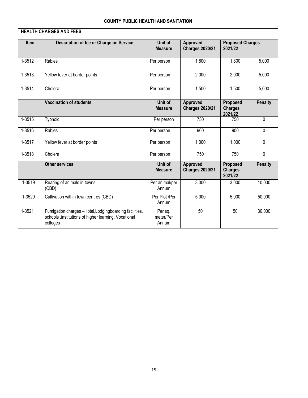#### **COUNTY PUBLIC HEALTH AND SANITATION**

|            | <b>HEALTH CHARGES AND FEES</b>                                                                                              |                               |                                    |                                       |                |
|------------|-----------------------------------------------------------------------------------------------------------------------------|-------------------------------|------------------------------------|---------------------------------------|----------------|
| Item       | Description of fee or Charge on Service                                                                                     | Unit of<br><b>Measure</b>     | Approved<br><b>Charges 2020/21</b> | <b>Proposed Charges</b><br>2021/22    |                |
| $1 - 3512$ | Rabies                                                                                                                      | Per person                    | 1,800                              | 1,800                                 | 5,000          |
| $1 - 3513$ | Yellow fever at border points                                                                                               | Per person                    | 2,000                              | 2,000                                 | 5,000          |
| 1-3514     | Cholera                                                                                                                     | Per person                    | 1,500                              | 1,500                                 | 5,000          |
|            | <b>Vaccination of students</b>                                                                                              | Unit of<br><b>Measure</b>     | Approved<br><b>Charges 2020/21</b> | Proposed<br><b>Charges</b><br>2021/22 | <b>Penalty</b> |
| $1 - 3515$ | Typhoid                                                                                                                     | Per person                    | 750                                | 750                                   | $\Omega$       |
| $1 - 3516$ | Rabies                                                                                                                      | Per person                    | 900                                | 900                                   | $\mathbf 0$    |
| 1-3517     | Yellow fever at border points                                                                                               | Per person                    | 1,000                              | 1,000                                 | $\mathbf 0$    |
| $1 - 3518$ | Cholera                                                                                                                     | Per person                    | 750                                | 750                                   | $\mathbf{0}$   |
|            | <b>Other services</b>                                                                                                       | Unit of<br><b>Measure</b>     | Approved<br><b>Charges 2020/21</b> | Proposed<br><b>Charges</b><br>2021/22 | <b>Penalty</b> |
| 1-3519     | Rearing of animals in towns<br>(CBD)                                                                                        | Per animal/per<br>Annum       | 3,000                              | 3,000                                 | 10,000         |
| 1-3520     | Cultivation within town centres (CBD)                                                                                       | Per Plot /Per<br>Annum        | 5,000                              | 5,000                                 | 50,000         |
| $1 - 3521$ | Fumigation charges -Hotel, Lodgingboarding facilities,<br>schools , institutions of higher learning, Vocational<br>colleges | Per sq.<br>meter/Per<br>Annum | 50                                 | 50                                    | 30,000         |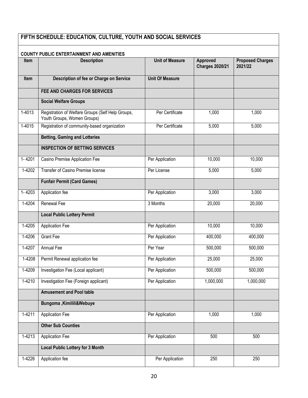# **FIFTH SCHEDULE: EDUCATION, CULTURE, YOUTH AND SOCIAL SERVICES**

| <b>COUNTY PUBLIC ENTERTAINMENT AND AMENITIES</b> |                                                                                  |                        |                                    |                                    |  |  |
|--------------------------------------------------|----------------------------------------------------------------------------------|------------------------|------------------------------------|------------------------------------|--|--|
| <b>Item</b>                                      | <b>Description</b>                                                               | <b>Unit of Measure</b> | Approved<br><b>Charges 2020/21</b> | <b>Proposed Charges</b><br>2021/22 |  |  |
| <b>Item</b>                                      | Description of fee or Charge on Service                                          | <b>Unit Of Measure</b> |                                    |                                    |  |  |
|                                                  | FEE AND CHARGES FOR SERVICES                                                     |                        |                                    |                                    |  |  |
|                                                  | <b>Social Welfare Groups</b>                                                     |                        |                                    |                                    |  |  |
| 1-4013                                           | Registration of Welfare Groups (Self Help Groups,<br>Youth Groups, Women Groups) | Per Certificate        | 1,000                              | 1,000                              |  |  |
| $1-4015$                                         | Registration of community-based organization                                     | Per Certificate        | 5,000                              | 5,000                              |  |  |
|                                                  | <b>Betting, Gaming and Lotteries</b>                                             |                        |                                    |                                    |  |  |
|                                                  | <b>INSPECTION OF BETTING SERVICES</b>                                            |                        |                                    |                                    |  |  |
| 1-4201                                           | Casino Premise Application Fee                                                   | Per Application        | 10,000                             | 10,000                             |  |  |
| 1-4202                                           | Transfer of Casino Premise license                                               | Per License            | 5,000                              | 5,000                              |  |  |
|                                                  | <b>Funfair Permit (Card Games)</b>                                               |                        |                                    |                                    |  |  |
| 1-4203                                           | Application fee                                                                  | Per Application        | 3,000                              | 3,000                              |  |  |
| $1 - 4204$                                       | Renewal Fee                                                                      | 3 Months               | 20,000                             | 20,000                             |  |  |
|                                                  | <b>Local Public Lottery Permit</b>                                               |                        |                                    |                                    |  |  |
| 1-4205                                           | <b>Application Fee</b>                                                           | Per Application        | 10,000                             | 10,000                             |  |  |
| 1-4206                                           | <b>Grant Fee</b>                                                                 | Per Application        | 400,000                            | 400,000                            |  |  |
| 1-4207                                           | Annual Fee                                                                       | Per Year               | 500,000                            | 500,000                            |  |  |
| 1-4208                                           | Permit Renewal application fee                                                   | Per Application        | 25,000                             | 25,000                             |  |  |
| 1-4209                                           | <b>Investigation Fee (Local applicant)</b>                                       | Per Application        | 500,000                            | 500,000                            |  |  |
| 1-4210                                           | Investigation Fee (Foreign applicant)                                            | Per Application        | 1,000,000                          | 1,000,000                          |  |  |
|                                                  | <b>Amusement and Pool table</b>                                                  |                        |                                    |                                    |  |  |
|                                                  | Bungoma, Kimilili&Webuye                                                         |                        |                                    |                                    |  |  |
| 1-4211                                           | <b>Application Fee</b>                                                           | Per Application        | 1,000                              | 1,000                              |  |  |
|                                                  | <b>Other Sub Counties</b>                                                        |                        |                                    |                                    |  |  |
| 1-4213                                           | <b>Application Fee</b>                                                           | Per Application        | 500                                | 500                                |  |  |
|                                                  | <b>Local Public Lottery for 3 Month</b>                                          |                        |                                    |                                    |  |  |
| 1-4226                                           | Application fee                                                                  | Per Application        | 250                                | 250                                |  |  |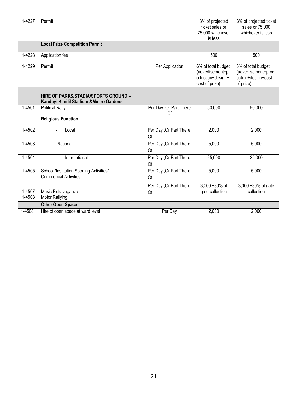| 1-4227           | Permit                                                                                   |                                      | 3% of projected<br>ticket sales or<br>75,000 whichever<br>is less             | 3% of projected ticket<br>sales or 75,000<br>whichever is less               |
|------------------|------------------------------------------------------------------------------------------|--------------------------------------|-------------------------------------------------------------------------------|------------------------------------------------------------------------------|
|                  | <b>Local Prize Competition Permit</b>                                                    |                                      |                                                                               |                                                                              |
| 1-4228           | Application fee                                                                          |                                      | 500                                                                           | 500                                                                          |
| 1-4229           | Permit                                                                                   | Per Application                      | 6% of total budget<br>(advertisement+pr<br>oduction+design+<br>cost of prize) | 6% of total budget<br>(advertisement+prod<br>uction+design+cost<br>of prize) |
|                  | <b>HIRE OF PARKS/STADIA/SPORTS GROUND -</b><br>Kanduyi, Kimilil Stadium & Muliro Gardens |                                      |                                                                               |                                                                              |
| 1-4501           | <b>Political Rally</b>                                                                   | Per Day , Or Part There<br>Of        | 50,000                                                                        | 50,000                                                                       |
|                  | <b>Religious Function</b>                                                                |                                      |                                                                               |                                                                              |
| 1-4502           | Local<br>$\overline{a}$                                                                  | Per Day , Or Part There<br><b>Of</b> | 2,000                                                                         | 2,000                                                                        |
| 1-4503           | -National                                                                                | Per Day , Or Part There<br>Of        | 5,000                                                                         | 5,000                                                                        |
| 1-4504           | International<br>$\blacksquare$                                                          | Per Day , Or Part There<br>Of        | 25,000                                                                        | 25,000                                                                       |
| 1-4505           | School /Institution Sporting Activities/<br><b>Commercial Activities</b>                 | Per Day , Or Part There<br>Of        | 5,000                                                                         | 5,000                                                                        |
| 1-4507<br>1-4508 | Music Extravaganza<br><b>Motor Rallying</b>                                              | Per Day , Or Part There<br>Of        | 3,000 +30% of<br>gate collection                                              | 3,000 +30% of gate<br>collection                                             |
|                  | <b>Other Open Space</b>                                                                  |                                      |                                                                               |                                                                              |
| 1-4508           | Hire of open space at ward level                                                         | Per Day                              | 2,000                                                                         | 2,000                                                                        |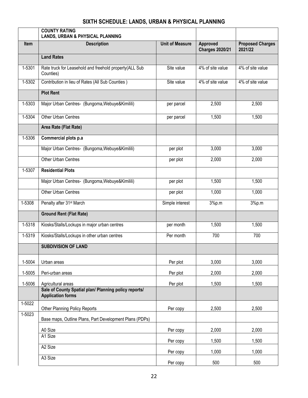## **SIXTH SCHEDULE: LANDS, URBAN & PHYSICAL PLANNING**

<span id="page-22-0"></span>

|            | <b>COUNTY RATING</b><br><b>LANDS, URBAN &amp; PHYSICAL PLANNING</b>               |                        |                                    |                                    |
|------------|-----------------------------------------------------------------------------------|------------------------|------------------------------------|------------------------------------|
| Item       | <b>Description</b>                                                                | <b>Unit of Measure</b> | Approved<br><b>Charges 2020/21</b> | <b>Proposed Charges</b><br>2021/22 |
|            | <b>Land Rates</b>                                                                 |                        |                                    |                                    |
| 1-5301     | Rate truck for Leasehold and freehold property(ALL Sub<br>Counties)               | Site value             | 4% of site value                   | 4% of site value                   |
| 1-5302     | Contribution in lieu of Rates (All Sub Counties)                                  | Site value             | 4% of site value                   | 4% of site value                   |
|            | <b>Plot Rent</b>                                                                  |                        |                                    |                                    |
| 1-5303     | Major Urban Centres- (Bungoma, Webuye&Kimilili)                                   | per parcel             | 2,500                              | 2,500                              |
| 1-5304     | Other Urban Centres                                                               | per parcel             | 1,500                              | 1,500                              |
|            | Area Rate (Flat Rate)                                                             |                        |                                    |                                    |
| 1-5306     | Commercial plots p.a                                                              |                        |                                    |                                    |
|            | Major Urban Centres- (Bungoma, Webuye&Kimilili)                                   | per plot               | 3,000                              | 3,000                              |
|            | Other Urban Centres                                                               | per plot               | 2,000                              | 2,000                              |
| 1-5307     | <b>Residential Plots</b>                                                          |                        |                                    |                                    |
|            | Major Urban Centres- (Bungoma, Webuye & Kimilili)                                 | per plot               | 1,500                              | 1,500                              |
|            | Other Urban Centres                                                               | per plot               | 1,000                              | 1,000                              |
| 1-5308     | Penalty after 31 <sup>st</sup> March                                              | Simple interest        | 3%p.m                              | 3%p.m                              |
|            | <b>Ground Rent (Flat Rate)</b>                                                    |                        |                                    |                                    |
| $1 - 5318$ | Kiosks/Stalls/Lockups in major urban centres                                      | per month              | 1,500                              | 1,500                              |
| 1-5319     | Kiosks/Stalls/Lockups in other urban centres                                      | Per month              | 700                                | 700                                |
|            | <b>SUBDIVISION OF LAND</b>                                                        |                        |                                    |                                    |
| 1-5004     | Urban areas                                                                       | Per plot               | 3,000                              | 3,000                              |
| 1-5005     | Peri-urban areas                                                                  | Per plot               | 2,000                              | 2,000                              |
| 1-5006     | Agricultural areas                                                                | Per plot               | 1,500                              | 1,500                              |
|            | Sale of County Spatial plan/ Planning policy reports/<br><b>Application forms</b> |                        |                                    |                                    |
| 1-5022     | <b>Other Planning Policy Reports</b>                                              | Per copy               | 2,500                              | 2,500                              |
| 1-5023     | Base maps, Outline Plans, Part Development Plans (PDPs)                           |                        |                                    |                                    |
|            |                                                                                   |                        | 2,000                              | 2,000                              |
|            | A0 Size<br>A1 Size                                                                | Per copy               |                                    |                                    |
|            | A <sub>2</sub> Size                                                               | Per copy               | 1,500                              | 1,500                              |
|            | A3 Size                                                                           | Per copy               | 1,000                              | 1,000                              |
|            |                                                                                   | Per copy               | 500                                | 500                                |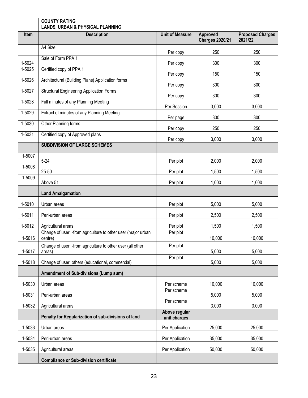|            | <b>COUNTY RATING</b><br><b>LANDS, URBAN &amp; PHYSICAL PLANNING</b>    |                        |                                    |                                    |
|------------|------------------------------------------------------------------------|------------------------|------------------------------------|------------------------------------|
| Item       | <b>Description</b>                                                     | <b>Unit of Measure</b> | Approved<br><b>Charges 2020/21</b> | <b>Proposed Charges</b><br>2021/22 |
|            | A4 Size                                                                | Per copy               | 250                                | 250                                |
| 1-5024     | Sale of Form PPA 1                                                     | Per copy               | 300                                | 300                                |
| 1-5025     | Certified copy of PPA 1                                                | Per copy               | 150                                | 150                                |
| 1-5026     | Architectural (Building Plans) Application forms                       | Per copy               | 300                                | 300                                |
| $1-5027$   | <b>Structural Engineering Application Forms</b>                        | Per copy               | 300                                | 300                                |
| 1-5028     | Full minutes of any Planning Meeting                                   | Per Session            | 3,000                              | 3,000                              |
| 1-5029     | Extract of minutes of any Planning Meeting                             | Per page               | 300                                | 300                                |
| 1-5030     | Other Planning forms                                                   | Per copy               | 250                                | 250                                |
| $1 - 5031$ | Certified copy of Approved plans                                       | Per copy               | 3,000                              | 3,000                              |
|            | <b>SUBDIVISION OF LARGE SCHEMES</b>                                    |                        |                                    |                                    |
| 1-5007     | $5 - 24$                                                               | Per plot               | 2,000                              | 2,000                              |
| 1-5008     | 25-50                                                                  | Per plot               | 1,500                              | 1,500                              |
| 1-5009     | Above 51                                                               | Per plot               | 1,000                              | 1,000                              |
|            | <b>Land Amalgamation</b>                                               |                        |                                    |                                    |
| 1-5010     | Urban areas                                                            | Per plot               | 5,000                              | 5,000                              |
| 1-5011     | Peri-urban areas                                                       | Per plot               | 2,500                              | 2,500                              |
| 1-5012     | Agricultural areas                                                     | Per plot               | 1,500                              | 1,500                              |
| 1-5016     | Change of user -from agriculture to other user (major urban<br>centre) | Per plot               | 10,000                             | 10,000                             |
| 1-5017     | Change of user -from agriculture to other user (all other              | Per plot               | 5,000                              | 5,000                              |
| 1-5018     | areas)<br>Change of user others (educational, commercial)              | Per plot               | 5,000                              | 5,000                              |
|            | Amendment of Sub-divisions (Lump sum)                                  |                        |                                    |                                    |
| 1-5030     | Urban areas                                                            | Per scheme             | 10,000                             | 10,000                             |
|            |                                                                        | Per scheme             |                                    |                                    |
| 1-5031     | Peri-urban areas                                                       | Per scheme             | 5,000                              | 5,000                              |
| 1-5032     | Agricultural areas                                                     | Above regular          | 3,000                              | 3,000                              |
|            | Penalty for Regularization of sub-divisions of land                    | unit charges           |                                    |                                    |
| 1-5033     | Urban areas                                                            | Per Application        | 25,000                             | 25,000                             |
| 1-5034     | Peri-urban areas                                                       | Per Application        | 35,000                             | 35,000                             |
| 1-5035     | Agricultural areas                                                     | Per Application        | 50,000                             | 50,000                             |
|            | <b>Compliance or Sub-division certificate</b>                          |                        |                                    |                                    |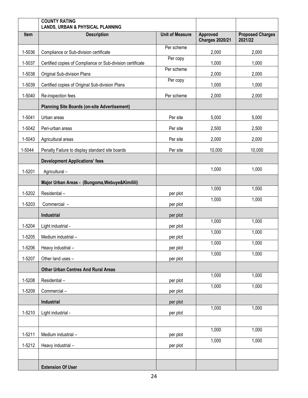|        | <b>COUNTY RATING</b><br><b>LANDS, URBAN &amp; PHYSICAL PLANNING</b> |                        |                                    |                                    |
|--------|---------------------------------------------------------------------|------------------------|------------------------------------|------------------------------------|
| Item   | <b>Description</b>                                                  | <b>Unit of Measure</b> | Approved<br><b>Charges 2020/21</b> | <b>Proposed Charges</b><br>2021/22 |
| 1-5036 | Compliance or Sub-division certificate                              | Per scheme             | 2,000                              | 2,000                              |
| 1-5037 | Certified copies of Compliance or Sub-division certificate          | Per copy               | 1,000                              | 1,000                              |
| 1-5038 | Original Sub-division Plans                                         | Per scheme             | 2,000                              | 2,000                              |
| 1-5039 | Certified copies of Original Sub-division Plans                     | Per copy               | 1,000                              | 1,000                              |
| 1-5040 | Re-inspection fees                                                  | Per scheme             | 2,000                              | 2,000                              |
|        | <b>Planning Site Boards (on-site Advertisement)</b>                 |                        |                                    |                                    |
| 1-5041 | Urban areas                                                         | Per site               | 5,000                              | 5,000                              |
| 1-5042 | Peri-urban areas                                                    | Per site               | 2,500                              | 2,500                              |
| 1-5043 | Agricultural areas                                                  | Per site               | 2,000                              | 2,000                              |
| 1-5044 | Penalty Failure to display standard site boards                     | Per site               | 10,000                             | 10,000                             |
|        | <b>Development Applications' fees</b>                               |                        |                                    |                                    |
| 1-5201 | Agricultural-                                                       |                        | 1,000                              | 1,000                              |
|        | Major Urban Areas - (Bungoma, Webuye & Kimilili)                    |                        |                                    |                                    |
| 1-5202 | Residential-                                                        | per plot               | 1,000                              | 1,000                              |
| 1-5203 | Commercial -                                                        | per plot               | 1,000                              | 1,000                              |
|        | Industrial                                                          | per plot               |                                    |                                    |
| 1-5204 | Light industrial -                                                  | per plot               | 1,000                              | 1,000                              |
| 1-5205 | Medium industrial -                                                 | per plot               | 1,000                              | 1,000                              |
| 1-5206 | Heavy industrial -                                                  | per plot               | 1,000                              | 1,000                              |
| 1-5207 | Other land uses -                                                   | per plot               | 1,000                              | 1,000                              |
|        | <b>Other Urban Centres And Rural Areas</b>                          |                        |                                    |                                    |
| 1-5208 | Residential-                                                        | per plot               | 1,000                              | 1,000                              |
| 1-5209 | Commercial-                                                         | per plot               | 1,000                              | 1,000                              |
|        | Industrial                                                          | per plot               |                                    |                                    |
| 1-5210 | Light industrial -                                                  | per plot               | 1,000                              | 1,000                              |
|        |                                                                     |                        |                                    |                                    |
| 1-5211 | Medium industrial -                                                 | per plot               | 1,000                              | 1,000                              |
| 1-5212 | Heavy industrial -                                                  | per plot               | 1,000                              | 1,000                              |
|        |                                                                     |                        |                                    |                                    |
|        | <b>Extension Of User</b>                                            |                        |                                    |                                    |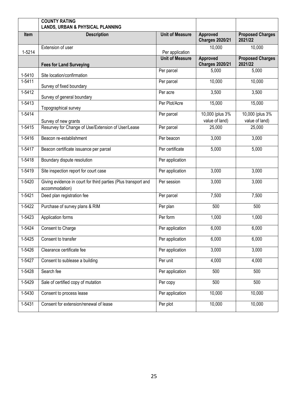|            | <b>COUNTY RATING</b><br><b>LANDS, URBAN &amp; PHYSICAL PLANNING</b>              |                        |                                           |                                    |
|------------|----------------------------------------------------------------------------------|------------------------|-------------------------------------------|------------------------------------|
| Item       | <b>Description</b>                                                               | <b>Unit of Measure</b> | Approved<br><b>Charges 2020/21</b>        | <b>Proposed Charges</b><br>2021/22 |
| 1-5214     | Extension of user                                                                | Per application        | 10,000                                    | 10,000                             |
|            | <b>Fees for Land Surveying</b>                                                   | <b>Unit of Measure</b> | <b>Approved</b><br><b>Charges 2020/21</b> | <b>Proposed Charges</b><br>2021/22 |
| 1-5410     | Site location/confirmation                                                       | Per parcel             | 5,000                                     | 5,000                              |
| 1-5411     | Survey of fixed boundary                                                         | Per parcel             | 10,000                                    | 10,000                             |
| $1 - 5412$ | Survey of general boundary                                                       | Per acre               | 3,500                                     | 3,500                              |
| $1 - 5413$ | Topographical survey                                                             | Per Plot/Acre          | 15,000                                    | 15,000                             |
| $1-5414$   | Survey of new grants                                                             | Per parcel             | 10,000 (plus 3%)<br>value of land)        | 10,000 (plus 3%)<br>value of land) |
| $1-5415$   | Resurvey for Change of Use/Extension of User/Lease                               | Per parcel             | 25,000                                    | 25,000                             |
| $1 - 5416$ | Beacon re-establishment                                                          | Per beacon             | 3,000                                     | 3,000                              |
| $1-5417$   | Beacon certificate issuance per parcel                                           | Per certificate        | 5,000                                     | 5,000                              |
| $1-5418$   | Boundary dispute resolution                                                      | Per application        |                                           |                                    |
| 1-5419     | Site inspection report for court case                                            | Per application        | 3,000                                     | 3,000                              |
| 1-5420     | Giving evidence in court for third parties (Plus transport and<br>accommodation) | Per session            | 3,000                                     | 3,000                              |
| 1-5421     | Deed plan registration fee                                                       | Per parcel             | 7,500                                     | 7,500                              |
| $1-5422$   | Purchase of survey plans & RIM                                                   | Per plan               | 500                                       | 500                                |
| 1-5423     | Application forms                                                                | Per form               | 1,000                                     | 1,000                              |
| 1-5424     | Consent to Charge                                                                | Per application        | 6,000                                     | 6,000                              |
| $1-5425$   | Consent to transfer                                                              | Per application        | 6,000                                     | 6,000                              |
| 1-5426     | Clearance certificate fee                                                        | Per application        | 3,000                                     | 3,000                              |
| 1-5427     | Consent to sublease a building                                                   | Per unit               | 4,000                                     | 4,000                              |
| 1-5428     | Search fee                                                                       | Per application        | 500                                       | 500                                |
| 1-5429     | Sale of certified copy of mutation                                               | Per copy               | 500                                       | 500                                |
| 1-5430     | Consent to process lease                                                         | Per application        | 10,000                                    | 10,000                             |
| 1-5431     | Consent for extension/renewal of lease                                           | Per plot               | 10,000                                    | 10,000                             |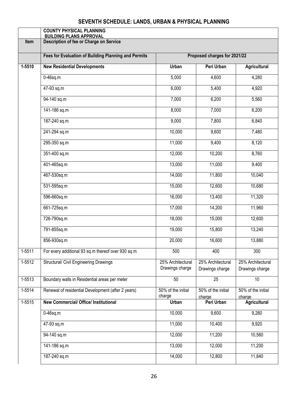## **SEVENTH SCHEDULE: LANDS, URBAN & PHYSICAL PLANNING**

<span id="page-26-0"></span>

|            | <b>COUNTY PHYSICAL PLANNING</b><br><b>BUILDING PLANS APPROVAL</b> |                                      |                                      |                                      |
|------------|-------------------------------------------------------------------|--------------------------------------|--------------------------------------|--------------------------------------|
| Item       | Description of fee or Charge on Service                           |                                      |                                      |                                      |
|            | Fees for Evaluation of Building Planning and Permits              |                                      | Proposed charges for 2021/22         |                                      |
|            |                                                                   |                                      |                                      |                                      |
| $1 - 5510$ | <b>New Residential Developments</b>                               | <b>Urban</b>                         | Peri Urban                           | Agricultural                         |
|            | $0-46$ sq.m                                                       | 5,000                                | 4,600                                | 4,280                                |
|            | 47-93 sq.m                                                        | 6,000                                | 5,400                                | 4,920                                |
|            | 94-140 sq.m                                                       | 7,000                                | 6,200                                | 5,560                                |
|            | 141-186 sq.m                                                      | 8,000                                | 7,000                                | 6,200                                |
|            | 187-240 sq.m                                                      | 9,000                                | 7,800                                | 6,840                                |
|            | 241-294 sq.m                                                      | 10,000                               | 9,600                                | 7,480                                |
|            | 295-350 sq.m                                                      | 11,000                               | 9,400                                | 8,120                                |
|            | 351-400 sq.m                                                      | 12,000                               | 10,200                               | 8,760                                |
|            | 401-465sq.m                                                       | 13,000                               | 11,000                               | 9,400                                |
|            | 467-530sq.m                                                       | 14,000                               | 11,800                               | 10,040                               |
|            | 531-595sq.m                                                       | 15,000                               | 12,600                               | 10,680                               |
|            | 596-660sq.m                                                       | 16,000                               | 13,400                               | 11,320                               |
|            | 661-725sq.m                                                       | 17,000                               | 14,200                               | 11,960                               |
|            | 726-790sq.m                                                       | 18,000                               | 15,000                               | 12,600                               |
|            | 791-855sq.m                                                       | 19,000                               | 15,800                               | 13,240                               |
|            | 856-930sq.m                                                       | 20,000                               | 16,600                               | 13,880                               |
| 1-5511     | For every additional 93 sq.m thereof over 930 sq.m                | 500                                  | 400                                  | 300                                  |
| $1 - 5512$ | Structural/ Civil Engineering Drawings                            | 25% Architectural<br>Drawings charge | 25% Architectural<br>Drawings charge | 25% Architectural<br>Drawings charge |
|            |                                                                   |                                      |                                      |                                      |
| $1 - 5513$ | Boundary walls in Residential areas per meter                     | 50                                   | $\overline{25}$                      | $\overline{10}$                      |
| $1-5514$   | Renewal of residential Development (after 2 years)                | 50% of the initial<br>charge         | 50% of the initial<br>charge         | 50% of the initial<br>charge         |
| 1-5515     | <b>New Commercial/ Office/ Institutional</b>                      | Urban                                | Peri Urban                           | Agricultural                         |
|            | $0-46$ sq.m                                                       | 10,000                               | 9,600                                | 9,280                                |
|            | 47-93 sq.m                                                        | 11,000                               | 10,400                               | 9,920                                |
|            | 94-140 sq.m                                                       | 12,000                               | 11,200                               | 10,560                               |
|            | 141-186 sq.m                                                      | 13,000                               | 12,000                               | 11,200                               |
|            | 187-240 sq.m                                                      | 14,000                               | 12,800                               | 11,840                               |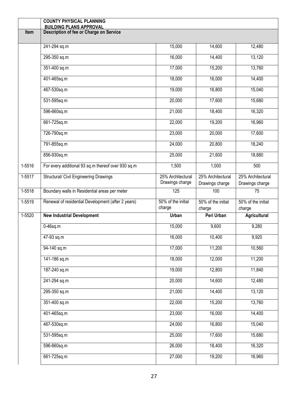|          | <b>COUNTY PHYSICAL PLANNING</b><br><b>BUILDING PLANS APPROVAL</b> |                                      |                                      |                                      |
|----------|-------------------------------------------------------------------|--------------------------------------|--------------------------------------|--------------------------------------|
| Item     | <b>Description of fee or Charge on Service</b>                    |                                      |                                      |                                      |
|          |                                                                   |                                      |                                      |                                      |
|          | 241-294 sq.m                                                      | 15,000                               | 14,600                               | 12,480                               |
|          | 295-350 sq.m                                                      | 16,000                               | 14,400                               | 13,120                               |
|          | 351-400 sq.m                                                      | 17,000                               | 15,200                               | 13,760                               |
|          | 401-465sq.m                                                       | 18,000                               | 16,000                               | 14,400                               |
|          | 467-530sq.m                                                       | 19,000                               | 16,800                               | 15,040                               |
|          | 531-595sq.m                                                       | 20,000                               | 17,600                               | 15,680                               |
|          | 596-660sq.m                                                       | 21,000                               | 18,400                               | 16,320                               |
|          | 661-725sq.m                                                       | 22,000                               | 19,200                               | 16,960                               |
|          | 726-790sq.m                                                       | 23,000                               | 20,000                               | 17,600                               |
|          | 791-855sq.m                                                       | 24,000                               | 20,800                               | 18,240                               |
|          | 856-930sq.m                                                       | 25,000                               | 21,600                               | 18,880                               |
| 1-5516   | For every additional 93 sq.m thereof over 930 sq.m                | 1,500                                | 1,000                                | 500                                  |
| 1-5517   | Structural/ Civil Engineering Drawings                            | 25% Architectural<br>Drawings charge | 25% Architectural<br>Drawings charge | 25% Architectural<br>Drawings charge |
| 1-5518   | Boundary walls in Residential areas per meter                     | 125                                  | 100                                  | $\overline{75}$                      |
| $1-5519$ | Renewal of residential Development (after 2 years)                | 50% of the initial<br>charge         | 50% of the initial<br>charge         | 50% of the initial<br>charge         |
| 1-5520   | <b>New Industrial Development</b>                                 | <b>Urban</b>                         | Peri Urban                           | Agricultural                         |
|          | $0-46$ sq.m                                                       | 15,000                               | 9,600                                | 9,280                                |
|          | 47-93 sq.m                                                        | 16,000                               | 10,400                               | 9,920                                |
|          | $94 - 140$ sq.m                                                   | 17,000                               | 11,200                               | 10,560                               |
|          | 141-186 sq.m                                                      | 18,000                               | 12,000                               | 11,200                               |
|          | 187-240 sq.m                                                      | 19,000                               | 12,800                               | 11,840                               |
|          | 241-294 sq.m                                                      | 20,000                               | 14,600                               | 12,480                               |
|          | 295-350 sq.m                                                      | 21,000                               | 14,400                               | 13,120                               |
|          | 351-400 sq.m                                                      | 22,000                               | 15,200                               | 13,760                               |
|          | 401-465sq.m                                                       | 23,000                               | 16,000                               | 14,400                               |
|          | 467-530sq.m                                                       | 24,000                               | 16,800                               | 15,040                               |
|          | 531-595sq.m                                                       | 25,000                               | 17,600                               | 15,680                               |
|          | 596-660sq.m                                                       | 26,000                               | 18,400                               | 16,320                               |
|          | 661-725sq.m                                                       | 27,000                               | 19,200                               | 16,960                               |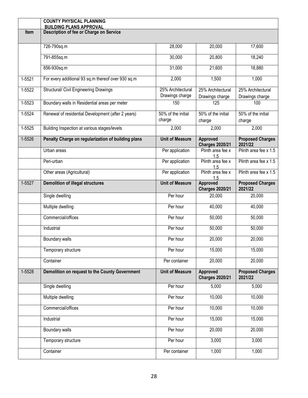|            | <b>COUNTY PHYSICAL PLANNING</b><br><b>BUILDING PLANS APPROVAL</b> |                                      |                                      |                                      |
|------------|-------------------------------------------------------------------|--------------------------------------|--------------------------------------|--------------------------------------|
| Item       | Description of fee or Charge on Service                           |                                      |                                      |                                      |
|            | 726-790sq.m                                                       | 28,000                               | 20,000                               | 17,600                               |
|            | 791-855sq.m                                                       | 30,000                               | 20,800                               | 18,240                               |
|            | 856-930sq.m                                                       | 31,000                               | 21,600                               | 18,880                               |
| $1-5521$   | For every additional 93 sq.m thereof over 930 sq.m                | 2,000                                | 1,500                                | 1,000                                |
| $1 - 5522$ | <b>Structural/ Civil Engineering Drawings</b>                     | 25% Architectural<br>Drawings charge | 25% Architectural<br>Drawings charge | 25% Architectural<br>Drawings charge |
| 1-5523     | Boundary walls in Residential areas per meter                     | 150                                  | 125                                  | 100                                  |
| 1-5524     | Renewal of residential Development (after 2 years)                | 50% of the initial<br>charge         | 50% of the initial<br>charge         | 50% of the initial<br>charge         |
| 1-5525     | Building Inspection at various stages/levels                      | 2,000                                | 2,000                                | 2,000                                |
| 1-5526     | Penalty Charge on regularization of building plans                | <b>Unit of Measure</b>               | Approved<br><b>Charges 2020/21</b>   | <b>Proposed Charges</b><br>2021/22   |
|            | Urban areas                                                       | Per application                      | Plinth area fee x<br>1.5             | Plinth area fee x 1.5                |
|            | Peri-urban                                                        | Per application                      | Plinth area fee x<br>1.5             | Plinth area fee x 1.5                |
|            | Other areas (Agricultural)                                        | Per application                      | Plinth area fee x<br>1.5             | Plinth area fee x 1.5                |
| 1-5527     | <b>Demolition of illegal structures</b>                           | <b>Unit of Measure</b>               | Approved<br><b>Charges 2020/21</b>   | <b>Proposed Charges</b><br>2021/22   |
|            | Single dwelling                                                   | Per hour                             | 20,000                               | 20,000                               |
|            | Multiple dwelling                                                 | Per hour                             | 40,000                               | 40,000                               |
|            | Commercial/offices                                                | Per hour                             | 50,000                               | 50,000                               |
|            | Industrial                                                        | Per hour                             | 50,000                               | 50,000                               |
|            | Boundary walls                                                    | Per hour                             | 20,000                               | 20,000                               |
|            | Temporary structure                                               | Per hour                             | 15,000                               | 15,000                               |
|            | Container                                                         | Per container                        | 20,000                               | 20,000                               |
| 1-5528     | Demolition on request to the County Government                    | <b>Unit of Measure</b>               | Approved<br><b>Charges 2020/21</b>   | <b>Proposed Charges</b><br>2021/22   |
|            | Single dwelling                                                   | Per hour                             | 5,000                                | 5,000                                |
|            | Multiple dwelling                                                 | Per hour                             | 10,000                               | 10,000                               |
|            | Commercial/offices                                                | Per hour                             | 10,000                               | 10,000                               |
|            | Industrial                                                        | Per hour                             | 15,000                               | 15,000                               |
|            | Boundary walls                                                    | Per hour                             | 20,000                               | 20,000                               |
|            | Temporary structure                                               | Per hour                             | 3,000                                | 3,000                                |
|            | Container                                                         | Per container                        | 1,000                                | 1,000                                |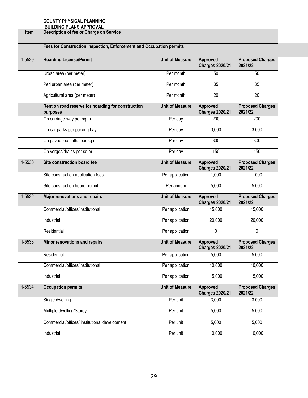|        | <b>COUNTY PHYSICAL PLANNING</b><br><b>BUILDING PLANS APPROVAL</b>    |                        |                                    |                                    |  |
|--------|----------------------------------------------------------------------|------------------------|------------------------------------|------------------------------------|--|
| Item   | Description of fee or Charge on Service                              |                        |                                    |                                    |  |
|        |                                                                      |                        |                                    |                                    |  |
|        | Fees for Construction Inspection, Enforcement and Occupation permits |                        |                                    |                                    |  |
| 1-5529 | <b>Hoarding License/Permit</b>                                       | <b>Unit of Measure</b> | Approved<br><b>Charges 2020/21</b> | <b>Proposed Charges</b><br>2021/22 |  |
|        | Urban area (per meter)                                               | Per month              | 50                                 | 50                                 |  |
|        | Peri urban area (per meter)                                          | Per month              | $\overline{35}$                    | 35                                 |  |
|        | Agricultural area (per meter)                                        | Per month              | 20                                 | 20                                 |  |
|        | Rent on road reserve for hoarding for construction<br>purposes       | <b>Unit of Measure</b> | Approved<br><b>Charges 2020/21</b> | <b>Proposed Charges</b><br>2021/22 |  |
|        | On carriage-way per sq.m                                             | Per day                | 200                                | 200                                |  |
|        | On car parks per parking bay                                         | Per day                | 3,000                              | 3,000                              |  |
|        | On paved footpaths per sq.m                                          | Per day                | 300                                | 300                                |  |
|        | On verges/drains per sq.m                                            | Per day                | 150                                | 150                                |  |
| 1-5530 | Site construction board fee                                          | <b>Unit of Measure</b> | Approved<br><b>Charges 2020/21</b> | <b>Proposed Charges</b><br>2021/22 |  |
|        | Site construction application fees                                   | Per application        | 1,000                              | 1,000                              |  |
|        | Site construction board permit                                       | Per annum              | 5,000                              | 5,000                              |  |
| 1-5532 | <b>Major renovations and repairs</b>                                 | <b>Unit of Measure</b> | Approved<br><b>Charges 2020/21</b> | <b>Proposed Charges</b><br>2021/22 |  |
|        | Commercial/offices/institutional                                     | Per application        | 15,000                             | 15,000                             |  |
|        | Industrial                                                           | Per application        | 20,000                             | 20,000                             |  |
|        | Residential                                                          | Per application        | $\Omega$                           | 0                                  |  |
| 1-5533 | Minor renovations and repairs                                        | <b>Unit of Measure</b> | Approved<br><b>Charges 2020/21</b> | <b>Proposed Charges</b><br>2021/22 |  |
|        | Residential                                                          | Per application        | 5,000                              | 5,000                              |  |
|        | Commercial/offices/institutional                                     | Per application        | 10,000                             | 10,000                             |  |
|        | Industrial                                                           | Per application        | 15,000                             | 15,000                             |  |
| 1-5534 | <b>Occupation permits</b>                                            | <b>Unit of Measure</b> | Approved<br><b>Charges 2020/21</b> | <b>Proposed Charges</b><br>2021/22 |  |
|        | Single dwelling                                                      | Per unit               | 3,000                              | 3,000                              |  |
|        | Multiple dwelling/Storey                                             | Per unit               | 5,000                              | 5,000                              |  |
|        | Commercial/offices/ institutional development                        | Per unit               | 5,000                              | 5,000                              |  |
|        | Industrial                                                           | Per unit               | 10,000                             | 10,000                             |  |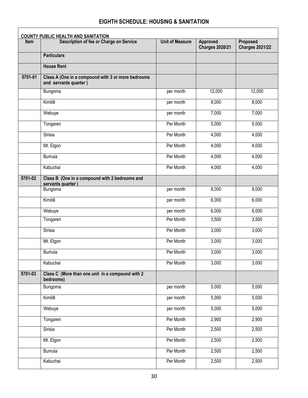#### **EIGHTH SCHEDULE: HOUSING & SANITATION**

<span id="page-30-0"></span> $\mathbf{r}$ 

|         | <b>COUNTY PUBLIC HEALTH AND SANITATION</b>                                  |                        |                                    |                                    |  |
|---------|-----------------------------------------------------------------------------|------------------------|------------------------------------|------------------------------------|--|
| Item    | Description of fee or Charge on Service                                     | <b>Unit of Measure</b> | Approved<br><b>Charges 2020/21</b> | Proposed<br><b>Charges 2021/22</b> |  |
|         | <b>Particulars</b>                                                          |                        |                                    |                                    |  |
|         | <b>House Rent</b>                                                           |                        |                                    |                                    |  |
| 5701-01 | Class A (One in a compound with 3 or more bedrooms<br>and servants quarter) |                        |                                    |                                    |  |
|         | Bungoma                                                                     | per month              | 12,000                             | 12,000                             |  |
|         | Kimilili                                                                    | per month              | 8,000                              | 8,000                              |  |
|         | Webuye                                                                      | per month              | 7,000                              | 7,000                              |  |
|         | Tongaren                                                                    | Per Month              | 5,000                              | 5,000                              |  |
|         | Sirisia                                                                     | Per Month              | 4,000                              | 4,000                              |  |
|         | Mt. Elgon                                                                   | Per Month              | 4,000                              | 4,000                              |  |
|         | <b>Bumula</b>                                                               | Per Month              | 4,000                              | 4,000                              |  |
|         | Kabuchai                                                                    | Per Month              | 4,000                              | 4,000                              |  |
| 5701-02 | Class B (One in a compound with 2 bedrooms and<br>servants quarter)         |                        |                                    |                                    |  |
|         | Bungoma                                                                     | per month              | 8,000                              | 8,000                              |  |
|         | Kimilili                                                                    | per month              | 6,000                              | 6,000                              |  |
|         | Webuye                                                                      | per month              | 6,000                              | 6,000                              |  |
|         | Tongaren                                                                    | Per Month              | 3,500                              | 3,500                              |  |
|         | Sirisia                                                                     | Per Month              | 3,000                              | 3,000                              |  |
|         | Mt. Elgon                                                                   | Per Month              | 3,000                              | 3,000                              |  |
|         | <b>Bumula</b>                                                               | Per Month              | 3,000                              | 3,000                              |  |
|         | Kabuchai                                                                    | Per Month              | 3,000                              | 3,000                              |  |
| 5701-03 | Class C (More than one unit in a compound with 2<br>bedrooms)               |                        |                                    |                                    |  |
|         | Bungoma                                                                     | per month              | 5,000                              | 5,000                              |  |
|         | Kimilili                                                                    | per month              | 5,000                              | 5,000                              |  |
|         | Webuye                                                                      | per month              | 5,000                              | 5,000                              |  |
|         | Tongaren                                                                    | Per Month              | 2,900                              | 2,900                              |  |
|         | Sirisia                                                                     | Per Month              | 2,500                              | 2,500                              |  |
|         | Mt. Elgon                                                                   | Per Month              | 2,500                              | 2,500                              |  |
|         | <b>Bumula</b>                                                               | Per Month              | 2,500                              | 2,500                              |  |
|         | Kabuchai                                                                    | Per Month              | 2,500                              | 2,500                              |  |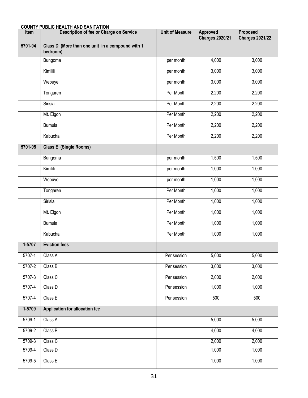|          | <b>COUNTY PUBLIC HEALTH AND SANITATION</b>                   | <b>Unit of Measure</b> |                                    |                                    |
|----------|--------------------------------------------------------------|------------------------|------------------------------------|------------------------------------|
| Item     | Description of fee or Charge on Service                      |                        | Approved<br><b>Charges 2020/21</b> | Proposed<br><b>Charges 2021/22</b> |
| 5701-04  | Class D (More than one unit in a compound with 1<br>bedroom) |                        |                                    |                                    |
|          | Bungoma                                                      | per month              | 4,000                              | 3,000                              |
|          | Kimilili                                                     | per month              | 3,000                              | 3,000                              |
|          | Webuye                                                       | per month              | 3,000                              | 3,000                              |
|          | Tongaren                                                     | Per Month              | 2,200                              | 2,200                              |
|          | Sirisia                                                      | Per Month              | 2,200                              | 2,200                              |
|          | Mt. Elgon                                                    | Per Month              | 2,200                              | 2,200                              |
|          | <b>Bumula</b>                                                | Per Month              | 2,200                              | 2,200                              |
|          | Kabuchai                                                     | Per Month              | 2,200                              | 2,200                              |
| 5701-05  | <b>Class E (Single Rooms)</b>                                |                        |                                    |                                    |
|          | Bungoma                                                      | per month              | 1,500                              | 1,500                              |
|          | Kimilili                                                     | per month              | 1,000                              | 1,000                              |
|          | Webuye                                                       | per month              | 1,000                              | 1,000                              |
|          | Tongaren                                                     | Per Month              | 1,000                              | 1,000                              |
|          | Sirisia                                                      | Per Month              | 1,000                              | 1,000                              |
|          | Mt. Elgon                                                    | Per Month              | 1,000                              | 1,000                              |
|          | <b>Bumula</b>                                                | Per Month              | 1,000                              | 1,000                              |
|          | Kabuchai                                                     | Per Month              | 1,000                              | 1,000                              |
| $1-5707$ | <b>Eviction fees</b>                                         |                        |                                    |                                    |
| 5707-1   | Class A                                                      | Per session            | 5,000                              | 5,000                              |
| 5707-2   | Class B                                                      | Per session            | 3,000                              | 3,000                              |
| 5707-3   | Class C                                                      | Per session            | 2,000                              | 2,000                              |
| 5707-4   | Class D                                                      | Per session            | 1,000                              | 1,000                              |
| 5707-4   | Class E                                                      | Per session            | 500                                | 500                                |
| 1-5709   | <b>Application for allocation fee</b>                        |                        |                                    |                                    |
| 5709-1   | Class A                                                      |                        | 5,000                              | 5,000                              |
| 5709-2   | Class B                                                      |                        | 4,000                              | 4,000                              |
| 5709-3   | Class C                                                      |                        | 2,000                              | 2,000                              |
| 5709-4   | Class D                                                      |                        | 1,000                              | 1,000                              |
| 5709-5   | Class E                                                      |                        | 1,000                              | 1,000                              |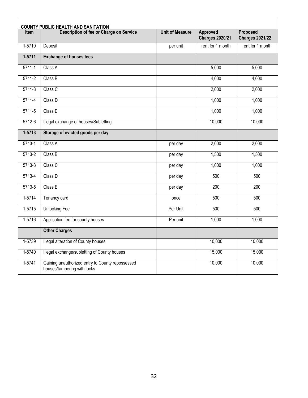| <b>COUNTY PUBLIC HEALTH AND SANITATION</b> |                                                                                 |                        |                                    |                                    |
|--------------------------------------------|---------------------------------------------------------------------------------|------------------------|------------------------------------|------------------------------------|
| <b>Item</b>                                | Description of fee or Charge on Service                                         | <b>Unit of Measure</b> | Approved<br><b>Charges 2020/21</b> | Proposed<br><b>Charges 2021/22</b> |
| $1-5710$                                   | Deposit                                                                         | per unit               | rent for 1 month                   | rent for 1 month                   |
| $1 - 5711$                                 | <b>Exchange of houses fees</b>                                                  |                        |                                    |                                    |
| $5711-1$                                   | Class A                                                                         |                        | 5,000                              | 5,000                              |
| $5711-2$                                   | Class B                                                                         |                        | 4,000                              | 4,000                              |
| $5711-3$                                   | Class C                                                                         |                        | 2,000                              | 2,000                              |
| $5711-4$                                   | Class D                                                                         |                        | 1,000                              | 1,000                              |
| 5711-5                                     | Class E                                                                         |                        | 1,000                              | 1,000                              |
| $5712-6$                                   | Illegal exchange of houses/Subletting                                           |                        | 10,000                             | 10,000                             |
| $1 - 5713$                                 | Storage of evicted goods per day                                                |                        |                                    |                                    |
| $5713-1$                                   | Class A                                                                         | per day                | 2,000                              | 2,000                              |
| $5713-2$                                   | Class B                                                                         | per day                | 1,500                              | 1,500                              |
| $5713-3$                                   | Class C                                                                         | per day                | 1,000                              | 1,000                              |
| 5713-4                                     | Class D                                                                         | per day                | 500                                | 500                                |
| 5713-5                                     | Class E                                                                         | per day                | 200                                | 200                                |
| $1-5714$                                   | Tenancy card                                                                    | once                   | 500                                | 500                                |
| $1-5715$                                   | <b>Unlocking Fee</b>                                                            | Per Unit               | 500                                | 500                                |
| $1 - 5716$                                 | Application fee for county houses                                               | Per unit               | 1,000                              | 1,000                              |
|                                            | <b>Other Charges</b>                                                            |                        |                                    |                                    |
| 1-5739                                     | Illegal alteration of County houses                                             |                        | 10,000                             | 10,000                             |
| $1 - 5740$                                 | Illegal exchange/subletting of County houses                                    |                        | 15,000                             | 15,000                             |
| $1-5741$                                   | Gaining unauthorized entry to County repossessed<br>houses/tampering with locks |                        | 10,000                             | 10,000                             |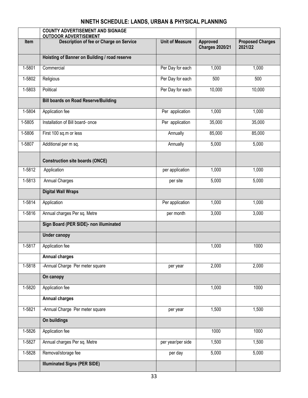## **NINETH SCHEDULE: LANDS, URBAN & PHYSICAL PLANNING**

<span id="page-33-0"></span>

|        | <b>COUNTY ADVERTISEMENT AND SIGNAGE</b><br><b>OUTDOOR ADVERTISEMENT</b> |                        |                                    |                                    |
|--------|-------------------------------------------------------------------------|------------------------|------------------------------------|------------------------------------|
| Item   | Description of fee or Charge on Service                                 | <b>Unit of Measure</b> | Approved<br><b>Charges 2020/21</b> | <b>Proposed Charges</b><br>2021/22 |
|        | Hoisting of Banner on Building / road reserve                           |                        |                                    |                                    |
| 1-5801 | Commercial                                                              | Per Day for each       | 1,000                              | 1,000                              |
| 1-5802 | Religious                                                               | Per Day for each       | 500                                | 500                                |
| 1-5803 | Political                                                               | Per Day for each       | 10,000                             | 10,000                             |
|        | <b>Bill boards on Road Reserve/Building</b>                             |                        |                                    |                                    |
| 1-5804 | Application fee                                                         | Per application        | 1,000                              | 1,000                              |
| 1-5805 | Installation of Bill board- once                                        | Per application        | 35,000                             | 35,000                             |
| 1-5806 | First 100 sq.m or less                                                  | Annually               | 85,000                             | 85,000                             |
| 1-5807 | Additional per m sq.                                                    | Annually               | 5,000                              | 5,000                              |
|        | <b>Construction site boards (ONCE)</b>                                  |                        |                                    |                                    |
| 1-5812 | Application                                                             | per application        | 1,000                              | 1,000                              |
| 1-5813 | <b>Annual Charges</b>                                                   | per site               | 5,000                              | 5,000                              |
|        | <b>Digital Wall Wraps</b>                                               |                        |                                    |                                    |
| 1-5814 | Application                                                             | Per application        | 1,000                              | 1,000                              |
| 1-5816 | Annual charges Per sq. Metre                                            | per month              | 3,000                              | 3,000                              |
|        | Sign Board (PER SIDE)- non illuminated                                  |                        |                                    |                                    |
|        | <b>Under canopy</b>                                                     |                        |                                    |                                    |
| 1-5817 | Application fee                                                         |                        | 1,000                              | 1000                               |
|        | <b>Annual charges</b>                                                   |                        |                                    |                                    |
| 1-5818 | -Annual Charge Per meter square                                         | per year               | 2,000                              | 2,000                              |
|        | On canopy                                                               |                        |                                    |                                    |
| 1-5820 | Application fee                                                         |                        | 1,000                              | 1000                               |
|        | <b>Annual charges</b>                                                   |                        |                                    |                                    |
| 1-5821 | -Annual Charge Per meter square                                         | per year               | 1,500                              | 1,500                              |
|        | On buildings                                                            |                        |                                    |                                    |
| 1-5826 | Application fee                                                         |                        | 1000                               | 1000                               |
| 1-5827 | Annual charges Per sq. Metre                                            | per year/per side      | 1,500                              | 1,500                              |
| 1-5828 | Removal/storage fee                                                     | per day                | 5,000                              | 5,000                              |
|        | <b>Illuminated Signs (PER SIDE)</b>                                     |                        |                                    |                                    |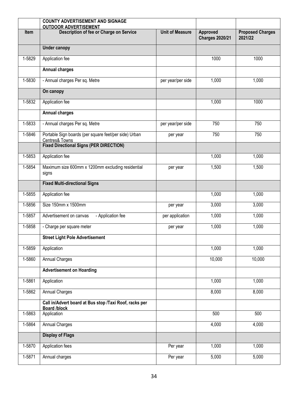|        | <b>COUNTY ADVERTISEMENT AND SIGNAGE</b><br><b>OUTDOOR ADVERTISEMENT</b>       |                        |                                    |                                    |
|--------|-------------------------------------------------------------------------------|------------------------|------------------------------------|------------------------------------|
| Item   | Description of fee or Charge on Service                                       | <b>Unit of Measure</b> | Approved<br><b>Charges 2020/21</b> | <b>Proposed Charges</b><br>2021/22 |
|        | <b>Under canopy</b>                                                           |                        |                                    |                                    |
| 1-5829 | Application fee                                                               |                        | 1000                               | 1000                               |
|        | <b>Annual charges</b>                                                         |                        |                                    |                                    |
| 1-5830 | - Annual charges Per sq. Metre                                                | per year/per side      | 1,000                              | 1,000                              |
|        | On canopy                                                                     |                        |                                    |                                    |
| 1-5832 | Application fee                                                               |                        | 1,000                              | 1000                               |
|        | <b>Annual charges</b>                                                         |                        |                                    |                                    |
| 1-5833 | - Annual charges Per sq. Metre                                                | per year/per side      | 750                                | 750                                |
| 1-5846 | Portable Sign boards (per square feet/per side) Urban<br>Centres& Towns       | per year               | 750                                | 750                                |
|        | <b>Fixed Directional Signs (PER DIRECTION)</b>                                |                        |                                    |                                    |
| 1-5853 | Application fee                                                               |                        | 1,000                              | 1,000                              |
| 1-5854 | Maximum size 600mm x 1200mm excluding residential<br>signs                    | per year               | 1,500                              | 1,500                              |
|        | <b>Fixed Multi-directional Signs</b>                                          |                        |                                    |                                    |
| 1-5855 | Application fee                                                               |                        | 1,000                              | 1,000                              |
| 1-5856 | Size 150mm x 1500mm                                                           | per year               | 3,000                              | 3,000                              |
| 1-5857 | - Application fee<br>Advertisement on canvas                                  | per application        | 1,000                              | 1,000                              |
| 1-5858 | - Charge per square meter                                                     | per year               | 1,000                              | 1,000                              |
|        | <b>Street Light Pole Advertisement</b>                                        |                        |                                    |                                    |
| 1-5859 | Application                                                                   |                        | 1,000                              | 1,000                              |
| 1-5860 | <b>Annual Charges</b>                                                         |                        | 10,000                             | 10,000                             |
|        | <b>Advertisement on Hoarding</b>                                              |                        |                                    |                                    |
| 1-5861 | Application                                                                   |                        | 1,000                              | 1,000                              |
| 1-5862 | <b>Annual Charges</b>                                                         |                        | 8,000                              | 8,000                              |
|        | Call in/Advert board at Bus stop /Taxi Roof, racks per<br><b>Board /block</b> |                        |                                    |                                    |
| 1-5863 | Application                                                                   |                        | 500                                | 500                                |
| 1-5864 | <b>Annual Charges</b>                                                         |                        | 4,000                              | 4,000                              |
|        | <b>Display of Flags</b>                                                       |                        |                                    |                                    |
| 1-5870 | Application fees                                                              | Per year               | 1,000                              | 1,000                              |
| 1-5871 | Annual charges                                                                | Per year               | 5,000                              | 5,000                              |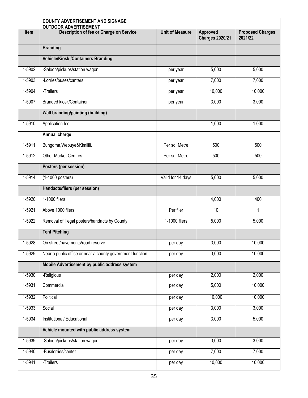|        | <b>COUNTY ADVERTISEMENT AND SIGNAGE</b><br><b>OUTDOOR ADVERTISEMENT</b> |                        |                                    |                                    |
|--------|-------------------------------------------------------------------------|------------------------|------------------------------------|------------------------------------|
| Item   | Description of fee or Charge on Service                                 | <b>Unit of Measure</b> | Approved<br><b>Charges 2020/21</b> | <b>Proposed Charges</b><br>2021/22 |
|        | <b>Branding</b>                                                         |                        |                                    |                                    |
|        | <b>Vehicle/Kiosk /Containers Branding</b>                               |                        |                                    |                                    |
| 1-5902 | -Saloon/pickups/station wagon                                           | per year               | 5,000                              | 5,000                              |
| 1-5903 | -Lorries/buses/canters                                                  | per year               | 7,000                              | 7,000                              |
| 1-5904 | -Trailers                                                               | per year               | 10,000                             | 10,000                             |
| 1-5907 | <b>Branded kiosk/Container</b>                                          | per year               | 3,000                              | 3,000                              |
|        | <b>Wall branding/painting (building)</b>                                |                        |                                    |                                    |
| 1-5910 | Application fee                                                         |                        | 1,000                              | 1,000                              |
|        | Annual charge                                                           |                        |                                    |                                    |
| 1-5911 | Bungoma, Webuye&Kimilili.                                               | Per sq. Metre          | 500                                | 500                                |
| 1-5912 | <b>Other Market Centres</b>                                             | Per sq. Metre          | 500                                | 500                                |
|        | Posters (per session)                                                   |                        |                                    |                                    |
| 1-5914 | (1-1000 posters)                                                        | Valid for 14 days      | 5,000                              | 5,000                              |
|        | Handacts/fliers (per session)                                           |                        |                                    |                                    |
| 1-5920 | 1-1000 fliers                                                           |                        | 4,000                              | 400                                |
| 1-5921 | Above 1000 fliers                                                       | Per flier              | 10                                 | 1                                  |
| 1-5922 | Removal of illegal posters/handacts by County                           | 1-1000 fliers          | 5,000                              | 5,000                              |
|        | <b>Tent Pitching</b>                                                    |                        |                                    |                                    |
| 1-5928 | On street/pavements/road reserve                                        | per day                | 3,000                              | 10,000                             |
| 1-5929 | Near a public office or near a county government function               | per day                | 3,000                              | 10,000                             |
|        | Mobile Advertisement by public address system                           |                        |                                    |                                    |
| 1-5930 | -Religious                                                              | per day                | 2,000                              | 2,000                              |
| 1-5931 | Commercial                                                              | per day                | 5,000                              | 10,000                             |
| 1-5932 | Political                                                               | per day                | 10,000                             | 10,000                             |
| 1-5933 | Social                                                                  | per day                | 3,000                              | 3,000                              |
| 1-5934 | Institutional/ Educational                                              | per day                | 3,000                              | 5,000                              |
|        | Vehicle mounted with public address system                              |                        |                                    |                                    |
| 1-5939 | -Saloon/pickups/station wagon                                           | per day                | 3,000                              | 3,000                              |
| 1-5940 | -Bus/lorries/canter                                                     | per day                | 7,000                              | 7,000                              |
| 1-5941 | -Trailers                                                               | per day                | 10,000                             | 10,000                             |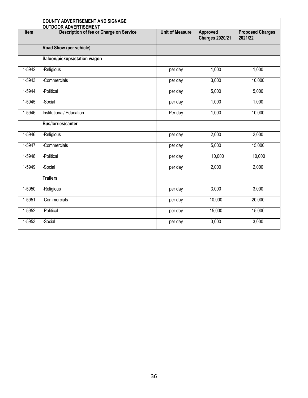|        | <b>COUNTY ADVERTISEMENT AND SIGNAGE</b><br><b>OUTDOOR ADVERTISEMENT</b> |                        |                                    |                                    |
|--------|-------------------------------------------------------------------------|------------------------|------------------------------------|------------------------------------|
| Item   | Description of fee or Charge on Service                                 | <b>Unit of Measure</b> | Approved<br><b>Charges 2020/21</b> | <b>Proposed Charges</b><br>2021/22 |
|        | Road Show (per vehicle)                                                 |                        |                                    |                                    |
|        | Saloon/pickups/station wagon                                            |                        |                                    |                                    |
| 1-5942 | -Religious                                                              | per day                | 1,000                              | 1,000                              |
| 1-5943 | -Commercials                                                            | per day                | 3,000                              | 10,000                             |
| 1-5944 | -Political                                                              | per day                | 5,000                              | 5,000                              |
| 1-5945 | -Social                                                                 | per day                | 1,000                              | 1,000                              |
| 1-5946 | Institutional/Education                                                 | Per day                | 1,000                              | 10,000                             |
|        | <b>Bus/lorries/canter</b>                                               |                        |                                    |                                    |
| 1-5946 | -Religious                                                              | per day                | 2,000                              | 2,000                              |
| 1-5947 | -Commercials                                                            | per day                | 5,000                              | 15,000                             |
| 1-5948 | -Political                                                              | per day                | 10,000                             | 10,000                             |
| 1-5949 | -Social                                                                 | per day                | 2,000                              | 2,000                              |
|        | <b>Trailers</b>                                                         |                        |                                    |                                    |
| 1-5950 | -Religious                                                              | per day                | 3,000                              | 3,000                              |
| 1-5951 | -Commercials                                                            | per day                | 10,000                             | 20,000                             |
| 1-5952 | -Political                                                              | per day                | 15,000                             | 15,000                             |
| 1-5953 | -Social                                                                 | per day                | 3,000                              | 3,000                              |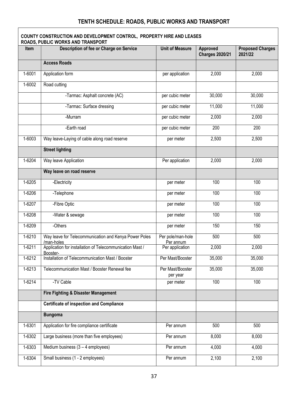## **TENTH SCHEDULE: ROADS, PUBLIC WORKS AND TRANSPORT**

 $\Gamma$ 

|            | COUNTY CONSTRUCTION AND DEVELOPMENT CONTROL, PROPERTY HIRE AND LEASES<br>ROADS, PUBLIC WORKS AND TRANSPORT |                                |                                    |                                    |
|------------|------------------------------------------------------------------------------------------------------------|--------------------------------|------------------------------------|------------------------------------|
| Item       | Description of fee or Charge on Service                                                                    | <b>Unit of Measure</b>         | Approved<br><b>Charges 2020/21</b> | <b>Proposed Charges</b><br>2021/22 |
|            | <b>Access Roads</b>                                                                                        |                                |                                    |                                    |
| 1-6001     | Application form                                                                                           | per application                | 2,000                              | 2,000                              |
| $1 - 6002$ | Road cutting                                                                                               |                                |                                    |                                    |
|            | -Tarmac: Asphalt concrete (AC)                                                                             | per cubic meter                | 30,000                             | 30,000                             |
|            | -Tarmac: Surface dressing                                                                                  | per cubic meter                | 11,000                             | 11,000                             |
|            | -Murram                                                                                                    | per cubic meter                | 2,000                              | 2,000                              |
|            | -Earth road                                                                                                | per cubic meter                | 200                                | 200                                |
| $1 - 6003$ | Way leave-Laying of cable along road reserve                                                               | per meter                      | 2,500                              | 2,500                              |
|            | <b>Street lighting</b>                                                                                     |                                |                                    |                                    |
| 1-6204     | Way leave Application                                                                                      | Per application                | 2,000                              | 2,000                              |
|            | Way leave on road reserve                                                                                  |                                |                                    |                                    |
| $1 - 6205$ | -Electricity                                                                                               | per meter                      | 100                                | 100                                |
| 1-6206     | -Telephone                                                                                                 | per meter                      | 100                                | 100                                |
| 1-6207     | -Fibre Optic                                                                                               | per meter                      | 100                                | 100                                |
| 1-6208     | -Water & sewage                                                                                            | per meter                      | 100                                | 100                                |
| 1-6209     | -Others                                                                                                    | per meter                      | 150                                | 150                                |
| 1-6210     | Way leave for Telecommunication and Kenya Power Poles<br>/man-holes                                        | Per pole/man-hole<br>Per annum | 500                                | 500                                |
| $1-6211$   | Application for installation of Telecommunication Mast /<br>Booster-                                       | Per application                | 2,000                              | 2,000                              |
| 1-6212     | Installation of Telecommunication Mast / Booster                                                           | Per Mast/Booster               | 35,000                             | 35,000                             |
| 1-6213     | Telecommunication Mast / Booster Renewal fee                                                               | Per Mast/Booster<br>per year   | 35,000                             | 35,000                             |
| $1-6214$   | -TV Cable                                                                                                  | per meter                      | 100                                | 100                                |
|            | Fire Fighting & Disaster Management                                                                        |                                |                                    |                                    |
|            | <b>Certificate of inspection and Compliance</b>                                                            |                                |                                    |                                    |
|            | <b>Bungoma</b>                                                                                             |                                |                                    |                                    |
| 1-6301     | Application for fire compliance certificate                                                                | Per annum                      | 500                                | 500                                |
| 1-6302     | Large business (more than five employees)                                                                  | Per annum                      | 8,000                              | 8,000                              |
| 1-6303     | Medium business $(3 - 4$ employees)                                                                        | Per annum                      | 4,000                              | 4,000                              |
| $1 - 6304$ | Small business (1 - 2 employees)                                                                           | Per annum                      | 2,100                              | 2,100                              |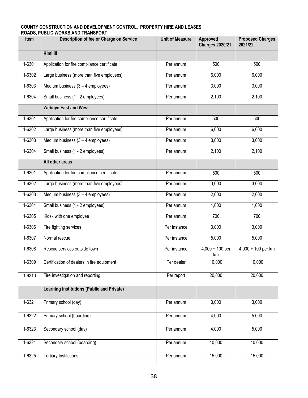# **COUNTY CONSTRUCTION AND DEVELOPMENT CONTROL, PROPERTY HIRE AND LEASES ROADS, PUBLIC WORKS AND TRANSPORT Item Description of fee or Charge on Service Unit of Measure Approved Charges 2020/21 Proposed Charges 2021/22 Kimilili** 1-6301 Application for fire compliance certificate Texas Reference Reference Reference Complete Boo 1-6302 Large business (more than five employees) Per annum 6,000 6,000 6,000 1-6303 Medium business (3 – 4 employees) Per annum 3,000 3,000 3,000 1-6304 Small business (1 - 2 employees) Per annum 2,100 2,100 **Webuye East and West** 1-6301 Application for fire compliance certificate **Per annum 1** 500 500 500 1-6302 Large business (more than five employees) Per annum | 6,000 6,000 6,000 1-6303 Medium business (3 – 4 employees) Per annum 3,000 3,000 3,000 1-6304 Small business (1 - 2 employees) Per annum 2,100 2,100 **All other areas** 1-6301 Application for fire compliance certificate Texas Reference Reference Complete Book 500 500 1-6302 Large business (more than five employees) Per annum 3,000 3,000 3,000 1-6303 Medium business (3 – 4 employees) Per annum 2,000 2,000 1-6304 Small business (1 - 2 employees) Per annum 1,000 1,000 1,000 1-6305 Kiosk with one employee **Per annum** Per annum 700 700 700 1-6306 Fire fighting services **Per instance** Per instance 3,000 3,000 1-6307 | Normal rescue | Per instance | 5,000 5,000 1-6308 Rescue services outside town Per instance 4,000 + 100 per km 4,000 + 100 per km 1-6309 Certification of dealers in fire equipment Per dealer 10,000 10,000 10,000 1-6310 | Fire Investigation and reporting The Report | 20,000 | 20,000 20,000 **Learning Institutions (Public and Private)** 1-6321 Primary school (day) **Per annum** 3,000 3,000 1-6322 Primary school (boarding) Per annum 4,000 5,000 1-6323 Secondary school (day) **Per annum** 4,000 5,000 1-6324 Secondary school (boarding) and the secondary school (boarding) and the Per annum 10,000 100,000 100,000 1-6325 Tertiary Institutions **Per annum 15,000** 15,000 15,000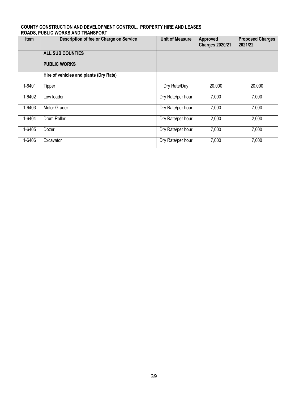|             | COUNTY CONSTRUCTION AND DEVELOPMENT CONTROL, PROPERTY HIRE AND LEASES<br>ROADS, PUBLIC WORKS AND TRANSPORT |                   |                                    |                                    |  |  |  |
|-------------|------------------------------------------------------------------------------------------------------------|-------------------|------------------------------------|------------------------------------|--|--|--|
| <b>Item</b> | Description of fee or Charge on Service                                                                    | Unit of Measure   | Approved<br><b>Charges 2020/21</b> | <b>Proposed Charges</b><br>2021/22 |  |  |  |
|             | <b>ALL SUB COUNTIES</b>                                                                                    |                   |                                    |                                    |  |  |  |
|             | <b>PUBLIC WORKS</b>                                                                                        |                   |                                    |                                    |  |  |  |
|             | Hire of vehicles and plants (Dry Rate)                                                                     |                   |                                    |                                    |  |  |  |
| 1-6401      | Tipper                                                                                                     | Dry Rate/Day      | 20,000                             | 20,000                             |  |  |  |
| 1-6402      | Low loader                                                                                                 | Dry Rate/per hour | 7,000                              | 7,000                              |  |  |  |
| 1-6403      | Motor Grader                                                                                               | Dry Rate/per hour | 7,000                              | 7,000                              |  |  |  |
| 1-6404      | Drum Roller                                                                                                | Dry Rate/per hour | 2,000                              | 2,000                              |  |  |  |
| 1-6405      | Dozer                                                                                                      | Dry Rate/per hour | 7,000                              | 7,000                              |  |  |  |
| 1-6406      | Excavator                                                                                                  | Dry Rate/per hour | 7,000                              | 7,000                              |  |  |  |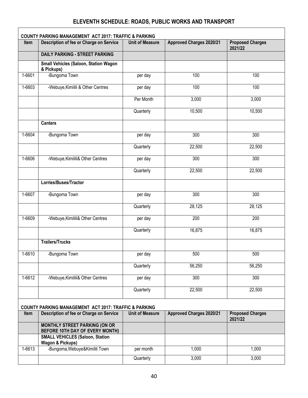## **ELEVENTH SCHEDULE: ROADS, PUBLIC WORKS AND TRANSPORT**

|            | <b>COUNTY PARKING MANAGEMENT ACT 2017: TRAFFIC &amp; PARKING</b>      |                        |                                 |                                    |
|------------|-----------------------------------------------------------------------|------------------------|---------------------------------|------------------------------------|
| Item       | Description of fee or Charge on Service                               | <b>Unit of Measure</b> | <b>Approved Charges 2020/21</b> | <b>Proposed Charges</b><br>2021/22 |
|            | <b>DAILY PARKING - STREET PARKING</b>                                 |                        |                                 |                                    |
|            | Small Vehicles (Saloon, Station Wagon<br>& Pickups)                   |                        |                                 |                                    |
| 1-6601     | -Bungoma Town                                                         | per day                | 100                             | 100                                |
| 1-6603     | -Webuye, Kimilili & Other Centres                                     | per day                | 100                             | 100                                |
|            |                                                                       | Per Month              | 3,000                           | 3,000                              |
|            |                                                                       | Quarterly              | 10,500                          | 10,500                             |
|            | <b>Canters</b>                                                        |                        |                                 |                                    |
| 1-6604     | -Bungoma Town                                                         | per day                | 300                             | 300                                |
|            |                                                                       | Quarterly              | 22,500                          | 22,500                             |
| 1-6606     | -Webuye, Kimilili& Other Centres                                      | per day                | 300                             | 300                                |
|            |                                                                       | Quarterly              | 22,500                          | 22,500                             |
|            | Lorries/Buses/Tractor                                                 |                        |                                 |                                    |
| 1-6607     | -Bungoma Town                                                         | per day                | 300                             | 300                                |
|            |                                                                       | Quarterly              | 28,125                          | 28,125                             |
| 1-6609     | -Webuye, Kimilili& Other Centres                                      | per day                | 200                             | 200                                |
|            |                                                                       | Quarterly              | 16,875                          | 16,875                             |
|            | <b>Trailers/Trucks</b>                                                |                        |                                 |                                    |
| 1-6610     | -Bungoma Town                                                         | per day                | 500                             | 500                                |
|            |                                                                       | Quarterly              | 56,250                          | 56,250                             |
| $1 - 6612$ | -Webuye, Kimilili& Other Centres                                      | per day                | $\overline{300}$                | 300                                |
|            |                                                                       | Quarterly              | 22,500                          | 22,500                             |
|            | COUNTY PARKING MANAGEMENT ACT 2017: TRAFFIC & PARKING                 |                        |                                 |                                    |
| Item       | Description of fee or Charge on Service                               | <b>Unit of Measure</b> | <b>Approved Charges 2020/21</b> | <b>Proposed Charges</b><br>2021/22 |
|            | MONTHLY STREET PARKING (ON OR<br>BEFORE 10TH DAY OF EVERY MONTH)      |                        |                                 |                                    |
|            | <b>SMALL VEHICLES (Saloon, Station</b><br><b>Wagon &amp; Pickups)</b> |                        |                                 |                                    |
| 1-6613     | -Bungoma, Webuye&Kimilili Town                                        | per month              | 1,000                           | 1,000                              |
|            |                                                                       | Quarterly              | 3,000                           | 3,000                              |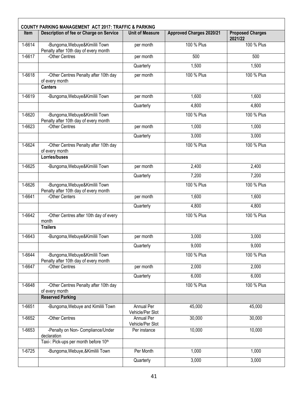| <b>Item</b> | Description of fee or Charge on Service                                 | <b>Unit of Measure</b>         | <b>Approved Charges 2020/21</b> | <b>Proposed Charges</b> |
|-------------|-------------------------------------------------------------------------|--------------------------------|---------------------------------|-------------------------|
| 1-6614      | -Bungoma, Webuye&Kimilili Town                                          | per month                      | 100 % Plus                      | 2021/22<br>100 % Plus   |
| 1-6617      | Penalty after 10th day of every month<br>-Other Centres                 | per month                      | 500                             | 500                     |
|             |                                                                         | Quarterly                      | 1,500                           | 1,500                   |
| 1-6618      | -Other Centres Penalty after 10th day                                   | per month                      | 100 % Plus                      | 100 % Plus              |
|             | of every month<br><b>Canters</b>                                        |                                |                                 |                         |
| 1-6619      | -Bungoma, Webuye&Kimilili Town                                          | per month                      | 1,600                           | 1,600                   |
|             |                                                                         | Quarterly                      | 4,800                           | 4,800                   |
| 1-6620      | -Bungoma, Webuye&Kimilili Town<br>Penalty after 10th day of every month |                                | 100 % Plus                      | 100 % Plus              |
| 1-6623      | -Other Centres                                                          | per month                      | 1,000                           | 1,000                   |
|             |                                                                         | Quarterly                      | 3,000                           | 3,000                   |
| 1-6624      | -Other Centres Penalty after 10th day<br>of every month                 |                                | 100 % Plus                      | 100 % Plus              |
|             | Lorries/buses                                                           |                                |                                 |                         |
| 1-6625      | -Bungoma, Webuye&Kimilili Town                                          | per month                      | 2,400                           | 2,400                   |
|             |                                                                         | Quarterly                      | 7,200                           | 7,200                   |
| 1-6626      | -Bungoma, Webuye&Kimilili Town<br>Penalty after 10th day of every month |                                | 100 % Plus                      | 100 % Plus              |
| 1-6641      | -Other Centers                                                          | per month                      | 1,600                           | 1,600                   |
|             |                                                                         | Quarterly                      | 4,800                           | 4,800                   |
| 1-6642      | -Other Centres after 10th day of every<br>month                         |                                | 100 % Plus                      | 100 % Plus              |
|             | <b>Trailers</b>                                                         |                                |                                 |                         |
| 1-6643      | -Bungoma, Webuye&Kimilili Town                                          | per month                      | 3,000                           | 3,000                   |
|             |                                                                         | Quarterly                      | 9,000                           | 9,000                   |
| 1-6644      | -Bungoma, Webuye&Kimilili Town<br>Penalty after 10th day of every month |                                | 100 % Plus                      | 100 % Plus              |
| 1-6647      | -Other Centres                                                          | per month                      | 2,000                           | 2,000                   |
|             |                                                                         | Quarterly                      | 6,000                           | 6,000                   |
| 1-6648      | -Other Centres Penalty after 10th day<br>of every month                 |                                | 100 % Plus                      | 100 % Plus              |
|             | <b>Reserved Parking</b>                                                 |                                |                                 |                         |
| 1-6651      | -Bungoma, Webuye and Kimilili Town                                      | Annual Per<br>Vehicle/Per Slot | 45,000                          | 45,000                  |
| 1-6652      | -Other Centres                                                          | Annual Per<br>Vehicle/Per Slot | 30,000                          | 30,000                  |
| 1-6653      | -Penalty on Non- Compliance/Under<br>declaration                        | Per instance                   | 10,000                          | 10,000                  |
|             | Taxi-: Pick-ups per month before 10th                                   |                                |                                 |                         |
| 1-6725      | -Bungoma, Webuye, & Kimilili Town                                       | Per Month                      | 1,000                           | 1,000                   |
|             |                                                                         | Quarterly                      | 3,000                           | 3,000                   |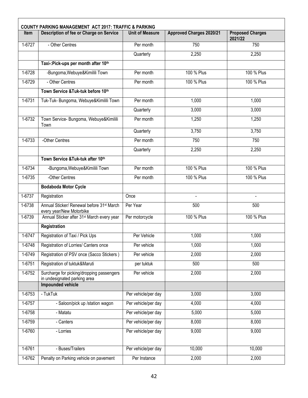| <b>Item</b> | Description of fee or Charge on Service                                           | <b>Unit of Measure</b> | <b>Approved Charges 2020/21</b> | <b>Proposed Charges</b><br>2021/22 |
|-------------|-----------------------------------------------------------------------------------|------------------------|---------------------------------|------------------------------------|
| 1-6727      | - Other Centres                                                                   | Per month              | 750                             | 750                                |
|             |                                                                                   | Quarterly              | 2,250                           | 2,250                              |
|             | Taxi-: Pick-ups per month after 10th                                              |                        |                                 |                                    |
| 1-6728      | -Bungoma, Webuye&Kimilili Town                                                    | Per month              | 100 % Plus                      | 100 % Plus                         |
| 1-6729      | - Other Centres                                                                   | Per month              | 100 % Plus                      | 100 % Plus                         |
|             | Town Service & Tuk-tuk before 10th                                                |                        |                                 |                                    |
| 1-6731      | Tuk-Tuk- Bungoma, Webuye&Kimilili Town                                            | Per month              | 1,000                           | 1,000                              |
|             |                                                                                   | Quarterly              | 3,000                           | 3,000                              |
| 1-6732      | Town Service- Bungoma, Webuye&Kimilili<br>Town                                    | Per month              | 1,250                           | 1,250                              |
|             |                                                                                   | Quarterly              | 3,750                           | 3,750                              |
| 1-6733      | -Other Centres                                                                    | Per month              | 750                             | 750                                |
|             |                                                                                   | Quarterly              | 2,250                           | 2,250                              |
|             | Town Service & Tuk-tuk after 10th                                                 |                        |                                 |                                    |
| 1-6734      | -Bungoma, Webuye&Kimilili Town                                                    | Per month              | 100 % Plus                      | 100 % Plus                         |
| 1-6735      | -Other Centres                                                                    | Per month              | 100 % Plus                      | 100 % Plus                         |
|             | <b>Bodaboda Motor Cycle</b>                                                       |                        |                                 |                                    |
| 1-6737      | Registration                                                                      | Once                   |                                 |                                    |
| 1-6738      | Annual Sticker/ Renewal before 31 <sup>st</sup> March<br>every year/New Motorbike | Per Year               | 500                             | 500                                |
| 1-6739      | Annual Sticker after 31 <sup>st</sup> March every year                            | Per motorcycle         | 100 % Plus                      | 100 % Plus                         |
|             | Registration                                                                      |                        |                                 |                                    |
| 1-6747      | Registration of Taxi / Pick Ups                                                   | Per Vehicle            | 1,000                           | 1,000                              |
| $1-6748$    | Registration of Lorries/ Canters once                                             | Per vehicle            | 1,000                           | 1,000                              |
| 1-6749      | Registration of PSV once (Sacco Stickers)                                         | Per vehicle            | 2,000                           | 2,000                              |
| 1-6751      | Registration of tuktuk&Maruti                                                     | per tuktuk             | 500                             | 500                                |
| 1-6752      | Surcharge for picking/dropping passengers<br>in undesignated parking area         | Per vehicle            | 2,000                           | 2,000                              |
|             | <b>Impounded vehicle</b>                                                          |                        |                                 |                                    |
| 1-6753      | - TukTuk                                                                          | Per vehicle/per day    | 3,000                           | 3,000                              |
| 1-6757      | - Saloon/pick up /station wagon                                                   | Per vehicle/per day    | 4,000                           | 4,000                              |
| 1-6758      | - Matatu                                                                          | Per vehicle/per day    | 5,000                           | 5,000                              |
| 1-6759      | - Canters                                                                         | Per vehicle/per day    | 8,000                           | 8,000                              |
| 1-6760      | - Lorries                                                                         | Per vehicle/per day    | 9,000                           | 9,000                              |
|             |                                                                                   |                        |                                 |                                    |
| 1-6761      | - Buses/Trailers                                                                  | Per vehicle/per day    | 10,000                          | 10,000                             |
| 1-6762      | Penalty on Parking vehicle on pavement                                            | Per Instance           | 2,000                           | 2,000                              |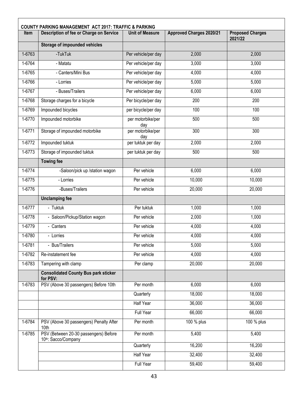| <b>Item</b> | <b>COUNTY PARKING MANAGEMENT ACT 2017: TRAFFIC &amp; PARKING</b><br>Description of fee or Charge on Service | <b>Unit of Measure</b>   | <b>Approved Charges 2020/21</b> | <b>Proposed Charges</b><br>2021/22 |
|-------------|-------------------------------------------------------------------------------------------------------------|--------------------------|---------------------------------|------------------------------------|
|             | <b>Storage of impounded vehicles</b>                                                                        |                          |                                 |                                    |
| 1-6763      | -TukTuk                                                                                                     | Per vehicle/per day      | 2,000                           | 2,000                              |
| 1-6764      | - Matatu                                                                                                    | Per vehicle/per day      | 3,000                           | 3,000                              |
| 1-6765      | - Canters/Mini Bus                                                                                          | Per vehicle/per day      | 4,000                           | 4,000                              |
| 1-6766      | - Lorries                                                                                                   | Per vehicle/per day      | 5,000                           | 5,000                              |
| 1-6767      | - Buses/Trailers                                                                                            | Per vehicle/per day      | 6,000                           | 6,000                              |
| 1-6768      | Storage charges for a bicycle                                                                               | Per bicycle/per day      | 200                             | 200                                |
| 1-6769      | Impounded bicycles                                                                                          | per bicycle/per day      | 100                             | 100                                |
| 1-6770      | Impounded motorbike                                                                                         | per motorbike/per<br>day | 500                             | 500                                |
| 1-6771      | Storage of impounded motorbike                                                                              | per motorbike/per<br>day | 300                             | 300                                |
| 1-6772      | Impounded tuktuk                                                                                            | per tuktuk per day       | 2,000                           | 2,000                              |
| 1-6773      | Storage of impounded tuktuk                                                                                 | per tuktuk per day       | 500                             | 500                                |
|             | <b>Towing fee</b>                                                                                           |                          |                                 |                                    |
| 1-6774      | -Saloon/pick up /station wagon                                                                              | Per vehicle              | 6,000                           | 6,000                              |
| $1-6775$    | - Lorries                                                                                                   | Per vehicle              | 10,000                          | 10,000                             |
| 1-6776      | -Buses/Trailers                                                                                             | Per vehicle              | 20,000                          | 20,000                             |
|             | <b>Unclamping fee</b>                                                                                       |                          |                                 |                                    |
| 1-6777      | - Tuktuk                                                                                                    | Per tuktuk               | 1,000                           | 1,000                              |
| 1-6778      | - Saloon/Pickup/Station wagon                                                                               | Per vehicle              | 2,000                           | 1,000                              |
| 1-6779      | - Canters                                                                                                   | Per vehicle              | 4,000                           | 4,000                              |
| 1-6780      | - Lorries                                                                                                   | Per vehicle              | 4,000                           | 4,000                              |
| 1-6781      | - Bus/Trailers                                                                                              | Per vehicle              | 5,000                           | 5,000                              |
| 1-6782      | Re-instatement fee                                                                                          | Per vehicle              | 4,000                           | 4,000                              |
| 1-6783      | Tampering with clamp                                                                                        | Per clamp                | 20,000                          | 20,000                             |
|             | <b>Consolidated County Bus park sticker</b><br>for PSV:                                                     |                          |                                 |                                    |
| 1-6783      | PSV (Above 30 passengers) Before 10th                                                                       | Per month                | 6,000                           | 6,000                              |
|             |                                                                                                             | Quarterly                | 18,000                          | 18,000                             |
|             |                                                                                                             | Half Year                | 36,000                          | 36,000                             |
|             |                                                                                                             | <b>Full Year</b>         | 66,000                          | 66,000                             |
| 1-6784      | PSV (Above 30 passengers) Penalty After<br>10th                                                             | Per month                | 100 % plus                      | 100 % plus                         |
| 1-6785      | PSV (Between 20-30 passengers) Before<br>10th: Sacco/Company                                                | Per month                | 5,400                           | 5,400                              |
|             |                                                                                                             | Quarterly                | 16,200                          | 16,200                             |
|             |                                                                                                             | Half Year                | 32,400                          | 32,400                             |
|             |                                                                                                             | <b>Full Year</b>         | 59,400                          | 59,400                             |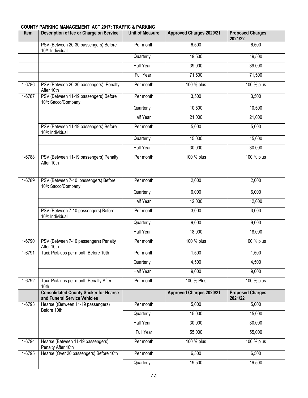| Item   | Description of fee or Charge on Service                                       | <b>Unit of Measure</b> | <b>Approved Charges 2020/21</b> | <b>Proposed Charges</b><br>2021/22 |
|--------|-------------------------------------------------------------------------------|------------------------|---------------------------------|------------------------------------|
|        | PSV (Between 20-30 passengers) Before<br>10th: Individual                     | Per month              | 6,500                           | 6,500                              |
|        |                                                                               | Quarterly              | 19,500                          | 19,500                             |
|        |                                                                               | Half Year              | 39,000                          | 39,000                             |
|        |                                                                               | <b>Full Year</b>       | 71,500                          | 71,500                             |
| 1-6786 | PSV (Between 20-30 passengers) Penalty<br>After 10th                          | Per month              | 100 % plus                      | 100 % plus                         |
| 1-6787 | PSV (Between 11-19 passengers) Before<br>10th: Sacco/Company                  | Per month              | 3,500                           | 3,500                              |
|        |                                                                               | Quarterly              | 10,500                          | 10,500                             |
|        |                                                                               | <b>Half Year</b>       | 21,000                          | 21,000                             |
|        | PSV (Between 11-19 passengers) Before<br>10th: Individual                     | Per month              | 5,000                           | 5,000                              |
|        |                                                                               | Quarterly              | 15,000                          | 15,000                             |
|        |                                                                               | <b>Half Year</b>       | 30,000                          | 30,000                             |
| 1-6788 | PSV (Between 11-19 passengers) Penalty<br>After 10th                          | Per month              | 100 % plus                      | 100 % plus                         |
| 1-6789 | PSV (Between 7-10 passengers) Before<br>10th: Sacco/Company                   | Per month              | 2,000                           | 2,000                              |
|        |                                                                               | Quarterly              | 6,000                           | 6,000                              |
|        |                                                                               | <b>Half Year</b>       | 12,000                          | 12,000                             |
|        | PSV (Between 7-10 passengers) Before<br>10th: Individual                      | Per month              | 3,000                           | 3,000                              |
|        |                                                                               | Quarterly              | 9,000                           | 9,000                              |
|        |                                                                               | Half Year              | 18,000                          | 18,000                             |
| 1-6790 | PSV (Between 7-10 passengers) Penalty<br>After 10th                           | Per month              | 100 % plus                      | 100 % plus                         |
| 1-6791 | Taxi: Pick-ups per month Before 10th                                          | Per month              | 1,500                           | 1,500                              |
|        |                                                                               | Quarterly              | 4,500                           | 4,500                              |
|        |                                                                               | <b>Half Year</b>       | 9,000                           | 9,000                              |
| 1-6792 | Taxi: Pick-ups per month Penalty After<br>10th                                | Per month              | 100 % Plus                      | 100 % plus                         |
|        | <b>Consolidated County Sticker for Hearse</b><br>and Funeral Service Vehicles |                        | <b>Approved Charges 2020/21</b> | <b>Proposed Charges</b><br>2021/22 |
| 1-6793 | Hearse ((Between 11-19 passengers)                                            | Per month              | 5,000                           | 5,000                              |
|        | Before 10th                                                                   | Quarterly              | 15,000                          | 15,000                             |
|        |                                                                               | <b>Half Year</b>       | 30,000                          | 30,000                             |
|        |                                                                               | <b>Full Year</b>       | 55,000                          | 55,000                             |
| 1-6794 | Hearse (Between 11-19 passengers)<br>Penalty After 10th                       | Per month              | 100 % plus                      | 100 % plus                         |
| 1-6795 | Hearse (Over 20 passengers) Before 10th                                       | Per month              | 6,500                           | 6,500                              |
|        |                                                                               | Quarterly              | 19,500                          | 19,500                             |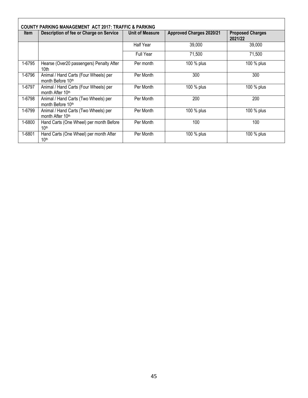|        |                                                                       | <b>COUNTY PARKING MANAGEMENT ACT 2017: TRAFFIC &amp; PARKING</b> |                                 |                                    |  |  |  |  |  |  |
|--------|-----------------------------------------------------------------------|------------------------------------------------------------------|---------------------------------|------------------------------------|--|--|--|--|--|--|
| ltem   | Description of fee or Charge on Service                               | Unit of Measure                                                  | <b>Approved Charges 2020/21</b> | <b>Proposed Charges</b><br>2021/22 |  |  |  |  |  |  |
|        |                                                                       | <b>Half Year</b>                                                 | 39,000                          | 39,000                             |  |  |  |  |  |  |
|        |                                                                       | Full Year                                                        | 71,500                          | 71,500                             |  |  |  |  |  |  |
| 1-6795 | Hearse (Over20 passengers) Penalty After<br>10th                      | Per month                                                        | 100 % plus                      | 100 % plus                         |  |  |  |  |  |  |
| 1-6796 | Animal / Hand Carts (Four Wheels) per<br>month Before 10th            | Per Month                                                        | 300                             | 300                                |  |  |  |  |  |  |
| 1-6797 | Animal / Hand Carts (Four Wheels) per<br>month After 10 <sup>th</sup> | Per Month                                                        | 100 % plus                      | 100 % plus                         |  |  |  |  |  |  |
| 1-6798 | Animal / Hand Carts (Two Wheels) per<br>month Before 10th             | Per Month                                                        | 200                             | 200                                |  |  |  |  |  |  |
| 1-6799 | Animal / Hand Carts (Two Wheels) per<br>month After 10th              | Per Month                                                        | 100 % plus                      | 100 % plus                         |  |  |  |  |  |  |
| 1-6800 | Hand Carts (One Wheel) per month Before<br>10 <sup>th</sup>           | Per Month                                                        | 100                             | 100                                |  |  |  |  |  |  |
| 1-6801 | Hand Carts (One Wheel) per month After<br>10 <sup>th</sup>            | Per Month                                                        | 100 % plus                      | 100 % plus                         |  |  |  |  |  |  |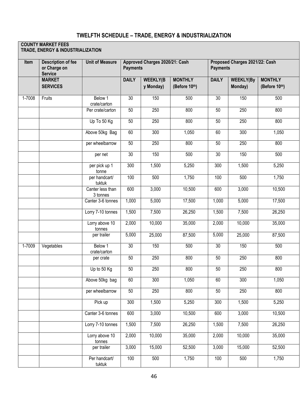### **TWELFTH SCHEDULE – TRADE, ENERGY & INDUSTRIALIZATION**

#### **COUNTY MARKET FEES**

**TRADE, ENERGY & INDUSTRIALIZATION**

| Item   | <b>Description of fee</b><br>or Charge on<br><b>Service</b> | <b>Unit of Measure</b>       |              | Approved Charges 2020/21: Cash<br><b>Payments</b> |                                 |                  | Proposed Charges 2021/22: Cash<br><b>Payments</b> |                                 |  |
|--------|-------------------------------------------------------------|------------------------------|--------------|---------------------------------------------------|---------------------------------|------------------|---------------------------------------------------|---------------------------------|--|
|        | <b>MARKET</b><br><b>SERVICES</b>                            |                              | <b>DAILY</b> | <b>WEEKLY(B</b><br>y Monday)                      | <b>MONTHLY</b><br>(Before 10th) | <b>DAILY</b>     | <b>WEEKLY(By</b><br>Monday)                       | <b>MONTHLY</b><br>(Before 10th) |  |
| 1-7008 | Fruits                                                      | Below 1<br>crate/carton      | 30           | 150                                               | 500                             | 30               | 150                                               | 500                             |  |
|        |                                                             | Per crate/carton             | 50           | 250                                               | 800                             | 50               | 250                                               | 800                             |  |
|        |                                                             | Up To 50 Kg                  | 50           | 250                                               | 800                             | 50               | 250                                               | 800                             |  |
|        |                                                             | Above 50kg Bag               | 60           | 300                                               | 1,050                           | 60               | 300                                               | 1,050                           |  |
|        |                                                             | per wheelbarrow              | 50           | 250                                               | 800                             | 50               | 250                                               | 800                             |  |
|        |                                                             | per net                      | 30           | 150                                               | 500                             | $\overline{30}$  | 150                                               | 500                             |  |
|        |                                                             | per pick up 1<br>tonne       | 300          | 1,500                                             | 5,250                           | $\overline{300}$ | 1,500                                             | 5,250                           |  |
|        |                                                             | per handcart/<br>tuktuk      | 100          | 500                                               | 1,750                           | 100              | 500                                               | 1,750                           |  |
|        |                                                             | Canter less than<br>3 tonnes | 600          | 3,000                                             | 10,500                          | 600              | 3,000                                             | 10,500                          |  |
|        |                                                             | Canter 3-6 tonnes            | 1,000        | 5,000                                             | 17,500                          | 1,000            | 5,000                                             | 17,500                          |  |
|        |                                                             | Lorry 7-10 tonnes            | 1,500        | 7,500                                             | 26,250                          | 1,500            | 7,500                                             | 26,250                          |  |
|        |                                                             | Lorry above 10<br>tonnes     | 2,000        | 10,000                                            | 35,000                          | 2,000            | 10,000                                            | 35,000                          |  |
|        |                                                             | per trailer                  | 5,000        | 25,000                                            | 87,500                          | 5,000            | 25,000                                            | 87,500                          |  |
| 1-7009 | Vegetables                                                  | Below 1<br>crate/carton      | 30           | 150                                               | 500                             | 30               | 150                                               | 500                             |  |
|        |                                                             | per crate                    | 50           | 250                                               | 800                             | 50               | 250                                               | 800                             |  |
|        |                                                             | Up to 50 Kg                  | 50           | 250                                               | 800                             | 50               | 250                                               | 800                             |  |
|        |                                                             | Above 50kg bag               | 60           | 300                                               | 1,050                           | 60               | 300                                               | 1,050                           |  |
|        |                                                             | per wheelbarrow              | 50           | 250                                               | 800                             | 50               | 250                                               | 800                             |  |
|        |                                                             | Pick up                      | 300          | 1,500                                             | 5,250                           | 300              | 1,500                                             | 5,250                           |  |
|        |                                                             | Canter 3-6 tonnes            | 600          | 3,000                                             | 10,500                          | 600              | 3,000                                             | 10,500                          |  |
|        |                                                             | Lorry 7-10 tonnes            | 1,500        | 7,500                                             | 26,250                          | 1,500            | 7,500                                             | 26,250                          |  |
|        |                                                             | Lorry above 10<br>tonnes     | 2,000        | 10,000                                            | 35,000                          | 2,000            | 10,000                                            | 35,000                          |  |
|        |                                                             | per trailer                  | 3,000        | 15,000                                            | 52,500                          | 3,000            | 15,000                                            | 52,500                          |  |
|        |                                                             | Per handcart/<br>tuktuk      | 100          | 500                                               | 1,750                           | 100              | 500                                               | 1,750                           |  |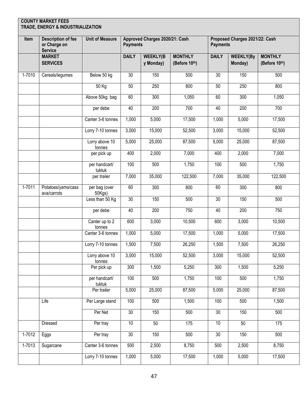| Item   | <b>Description of fee</b><br>or Charge on<br><b>Service</b> | <b>Unit of Measure</b>   | <b>Payments</b>    | Approved Charges 2020/21: Cash |                                 | <b>Payments</b> | Proposed Charges 2021/22: Cash |                                 |
|--------|-------------------------------------------------------------|--------------------------|--------------------|--------------------------------|---------------------------------|-----------------|--------------------------------|---------------------------------|
|        | <b>MARKET</b><br><b>SERVICES</b>                            |                          | <b>DAILY</b>       | <b>WEEKLY(B</b><br>y Monday)   | <b>MONTHLY</b><br>(Before 10th) | <b>DAILY</b>    | <b>WEEKLY(By</b><br>Monday)    | <b>MONTHLY</b><br>(Before 10th) |
| 1-7010 | Cereals/legumes                                             | Below 50 kg              | 30 <sup>°</sup>    | 150                            | 500                             | 30              | 150                            | 500                             |
|        |                                                             | 50 Kg                    | 50                 | 250                            | 800                             | 50              | 250                            | 800                             |
|        |                                                             | Above 50kg bag           | 60                 | 300                            | 1,050                           | 60              | 300                            | 1,050                           |
|        |                                                             | per debe                 | 40                 | 200                            | 700                             | 40              | 200                            | 700                             |
|        |                                                             | Canter 3-6 tonnes        | 1,000              | 5,000                          | 17,500                          | 1,000           | 5,000                          | 17,500                          |
|        |                                                             | Lorry 7-10 tonnes        | 3,000              | 15,000                         | 52,500                          | 3,000           | 15,000                         | 52,500                          |
|        |                                                             | Lorry above 10<br>tonnes | 5,000              | 25,000                         | 87,500                          | 5,000           | 25,000                         | 87,500                          |
|        |                                                             | per pick up              | 400                | 2,000                          | 7,000                           | 400             | 2,000                          | 7,000                           |
|        |                                                             | per handcart/<br>tuktuk  | 100                | 500                            | 1,750                           | 100             | 500                            | 1,750                           |
|        |                                                             | per trailer              | 7,000              | 35,000                         | 122,500                         | 7,000           | 35,000                         | 122,500                         |
| 1-7011 | Potatoes/yams/cass<br>ava/carrots                           | per bag (over<br>50Kgs)  | 60                 | 300                            | 800                             | 60              | $\overline{300}$               | 800                             |
|        |                                                             | Less than 50 Kg          | 30                 | 150                            | 500                             | 30              | 150                            | 500                             |
|        |                                                             | per debe                 | 40                 | 200                            | 750                             | 40              | 200                            | 750                             |
|        |                                                             | Canter up to 2<br>tonnes | 600                | 3,000                          | 10,500                          | 600             | 3,000                          | 10,500                          |
|        |                                                             | Canter 3-6 tonnes        | 1,000              | 5,000                          | 17,500                          | 1,000           | 5,000                          | 17,500                          |
|        |                                                             | Lorry 7-10 tonnes        | 1,500              | 7,500                          | 26,250                          | 1,500           | 7,500                          | 26,250                          |
|        |                                                             | Lorry above 10<br>tonnes | $\overline{3,000}$ | 15,000                         | 52,500                          | 3,000           | 15,000                         | 52,500                          |
|        |                                                             | Per pick up              | 300                | 1,500                          | 5,250                           | 300             | 1,500                          | 5,250                           |
|        |                                                             | per handcart/<br>tuktuk  | 100                | 500                            | 1,750                           | 100             | 500                            | 1,750                           |
|        |                                                             | Per trailer              | $\overline{5,000}$ | 25,000                         | 87,500                          | 5,000           | 25,000                         | 87,500                          |
|        | Life                                                        | Per Large stand          | 100                | 500                            | 1,500                           | 100             | 500                            | 1,500                           |
|        |                                                             | Per Net                  | 30                 | 150                            | 500                             | 30              | 150                            | 500                             |
|        | Dressed                                                     | Per tray                 | 10                 | 50                             | 175                             | 10              | 50                             | 175                             |
| 1-7012 | Eggs                                                        | Per tray                 | 30                 | 150                            | 500                             | 30              | 150                            | 500                             |
| 1-7013 | Sugarcane                                                   | Canter 3-6 tonnes        | 500                | 2,500                          | 8,750                           | 500             | 2,500                          | 8,750                           |
|        |                                                             | Lorry 7-10 tonnes        | $\frac{1}{1,000}$  | 5,000                          | 17,500                          | 1,000           | 5,000                          | 17,500                          |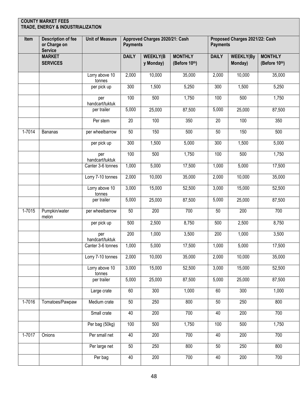| Item   | <b>Description of fee</b><br>or Charge on<br><b>Service</b> | <b>Unit of Measure</b>   | <b>Payments</b>  | Approved Charges 2020/21: Cash |                                 | Proposed Charges 2021/22: Cash<br><b>Payments</b> |                             |                                 |
|--------|-------------------------------------------------------------|--------------------------|------------------|--------------------------------|---------------------------------|---------------------------------------------------|-----------------------------|---------------------------------|
|        | <b>MARKET</b><br><b>SERVICES</b>                            |                          | <b>DAILY</b>     | <b>WEEKLY(B</b><br>y Monday)   | <b>MONTHLY</b><br>(Before 10th) | <b>DAILY</b>                                      | <b>WEEKLY(By</b><br>Monday) | <b>MONTHLY</b><br>(Before 10th) |
|        |                                                             | Lorry above 10<br>tonnes | 2,000            | 10,000                         | 35,000                          | 2,000                                             | 10,000                      | 35,000                          |
|        |                                                             | per pick up              | 300              | 1,500                          | 5,250                           | 300                                               | 1,500                       | 5,250                           |
|        |                                                             | per<br>handcart/tuktuk   | 100              | 500                            | 1,750                           | 100                                               | 500                         | 1,750                           |
|        |                                                             | per trailer              | 5,000            | 25,000                         | 87,500                          | 5,000                                             | 25,000                      | 87,500                          |
|        |                                                             | Per stem                 | 20               | 100                            | 350                             | $\overline{20}$                                   | 100                         | 350                             |
| 1-7014 | <b>Bananas</b>                                              | per wheelbarrow          | 50               | 150                            | 500                             | 50                                                | 150                         | 500                             |
|        |                                                             | per pick up              | 300              | 1,500                          | 5,000                           | 300                                               | 1,500                       | 5,000                           |
|        |                                                             | per<br>handcart/tuktuk   | 100              | 500                            | 1,750                           | 100                                               | 500                         | 1,750                           |
|        |                                                             | Canter 3-6 tonnes        | 1,000            | 5,000                          | 17,500                          | 1,000                                             | 5,000                       | 17,500                          |
|        |                                                             | Lorry 7-10 tonnes        | 2,000            | 10,000                         | 35,000                          | 2,000                                             | 10,000                      | 35,000                          |
|        |                                                             | Lorry above 10<br>tonnes | 3,000            | 15,000                         | 52,500                          | 3,000                                             | 15,000                      | 52,500                          |
|        |                                                             | per trailer              | 5,000            | 25,000                         | 87,500                          | $\frac{1}{5,000}$                                 | 25,000                      | 87,500                          |
| 1-7015 | Pumpkin/water<br>melon                                      | per wheelbarrow          | 50               | 200                            | 700                             | 50                                                | 200                         | 700                             |
|        |                                                             | per pick up              | 500              | 2,500                          | 8,750                           | 500                                               | 2,500                       | 8,750                           |
|        |                                                             | per<br>handcart/tuktuk   | $\overline{200}$ | 1,000                          | 3,500                           | $\overline{200}$                                  | 1,000                       | 3,500                           |
|        |                                                             | Canter 3-6 tonnes        | 1,000            | 5,000                          | 17,500                          | 1,000                                             | 5,000                       | 17,500                          |
|        |                                                             | Lorry 7-10 tonnes        | 2,000            | 10,000                         | 35,000                          | 2,000                                             | 10,000                      | 35,000                          |
|        |                                                             | Lorry above 10<br>tonnes | 3,000            | 15,000                         | 52,500                          | 3,000                                             | 15,000                      | 52,500                          |
|        |                                                             | per trailer              | 5,000            | 25,000                         | 87,500                          | 5,000                                             | 25,000                      | 87,500                          |
|        |                                                             | Large crate              | 60               | 300                            | 1,000                           | 60                                                | 300                         | 1,000                           |
| 1-7016 | Tomatoes/Pawpaw                                             | Medium crate             | 50               | 250                            | 800                             | 50                                                | 250                         | 800                             |
|        |                                                             | Small crate              | 40               | 200                            | 700                             | 40                                                | $\overline{200}$            | 700                             |
|        |                                                             | Per bag (50kg)           | 100              | 500                            | 1,750                           | 100                                               | 500                         | 1,750                           |
| 1-7017 | Onions                                                      | Per small net            | 40               | 200                            | 700                             | 40                                                | 200                         | 700                             |
|        |                                                             | Per large net            | 50               | 250                            | 800                             | 50                                                | 250                         | 800                             |
|        |                                                             | Per bag                  | 40               | 200                            | 700                             | 40                                                | 200                         | 700                             |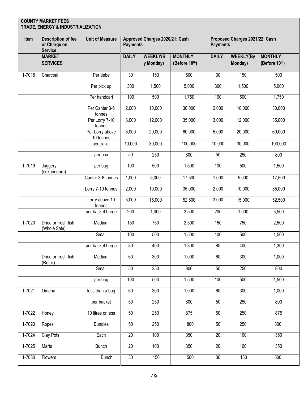|            | <b>COUNTY MARKET FEES</b><br>TRADE, ENERGY & INDUSTRIALIZATION |                              |                 |                                |                                 |                 |                                |                                 |
|------------|----------------------------------------------------------------|------------------------------|-----------------|--------------------------------|---------------------------------|-----------------|--------------------------------|---------------------------------|
| Item       | <b>Description of fee</b><br>or Charge on<br><b>Service</b>    | <b>Unit of Measure</b>       | <b>Payments</b> | Approved Charges 2020/21: Cash |                                 | <b>Payments</b> | Proposed Charges 2021/22: Cash |                                 |
|            | <b>MARKET</b><br><b>SERVICES</b>                               |                              | <b>DAILY</b>    | <b>WEEKLY(B</b><br>y Monday)   | <b>MONTHLY</b><br>(Before 10th) | <b>DAILY</b>    | <b>WEEKLY(By</b><br>Monday)    | <b>MONTHLY</b><br>(Before 10th) |
| 1-7018     | Charcoal                                                       | Per debe                     | $\overline{30}$ | 150                            | 500                             | $\overline{30}$ | 150                            | 500                             |
|            |                                                                | Per pick up                  | 300             | 1,500                          | 5,000                           | 300             | 1,500                          | 5,000                           |
|            |                                                                | Per handcart                 | 100             | 500                            | 1,750                           | 100             | 500                            | 1,750                           |
|            |                                                                | Per Canter 3-6<br>tonnes     | 2,000           | 10,000                         | 30,000                          | 2,000           | 10,000                         | 30,000                          |
|            |                                                                | Per Lorry 7-10<br>tonnes     | 3,000           | 12,000                         | 35,000                          | 3,000           | 12,000                         | 35,000                          |
|            |                                                                | Per Lorry above<br>10 tonnes | 5,000           | 20,000                         | 60,000                          | 5,000           | 20,000                         | 60,000                          |
|            |                                                                | per trailer                  | 10,000          | 30,000                         | 100,000                         | 10,000          | 30,000                         | 100,000                         |
|            |                                                                | per box                      | 50              | 250                            | 800                             | 50              | 250                            | 800                             |
| $1 - 7019$ | Juggery<br>(sukaringuru)                                       | per bag                      | 100             | 500                            | 1,500                           | 100             | 500                            | 1,500                           |
|            |                                                                | Canter 3-6 tonnes            | 1,000           | 5,000                          | 17,500                          | 1,000           | 5,000                          | 17,500                          |
|            |                                                                | Lorry 7-10 tonnes            | 2,000           | 10,000                         | 35,000                          | 2,000           | 10,000                         | 35,000                          |
|            |                                                                | Lorry above 10<br>tonnes     | 3,000           | 15,000                         | 52,500                          | 3,000           | 15,000                         | 52,500                          |
|            |                                                                | per basket Large             | 200             | 1,000                          | 3,500                           | 200             | 1,000                          | 3,500                           |
| 1-7020     | Dried or fresh fish<br>(Whole Sale)                            | Medium                       | 150             | 750                            | 2,500                           | 150             | 750                            | 2,500                           |
|            |                                                                | Small                        | 100             | 500                            | 1,500                           | 100             | 500                            | 1,500                           |
|            |                                                                | per basket Large             | 80              | 400                            | 1,300                           | 80              | 400                            | 1,300                           |
|            | Dried or fresh fish<br>(Retail)                                | Medium                       | 60              | 300                            | 1,000                           | 60              | 300                            | 1,000                           |
|            |                                                                | Small                        | 50              | 250                            | 800                             | 50              | 250                            | 800                             |
|            |                                                                | per bag                      | 100             | 500                            | 1,500                           | 100             | 500                            | 1,500                           |
| 1-7021     | Omena                                                          | less than a bag              | 60              | 300                            | 1,000                           | 60              | 300                            | 1,000                           |
|            |                                                                | per bucket                   | 50              | 250                            | 800                             | 50              | 250                            | 800                             |
| 1-7022     | Honey                                                          | 10 litres or less            | 50              | 250                            | 875                             | 50              | 250                            | 875                             |
| 1-7023     | Ropes                                                          | <b>Bundles</b>               | 50              | 250                            | 800                             | 50              | 250                            | 800                             |
| 1-7024     | <b>Clay Pots</b>                                               | Each                         | $\overline{20}$ | 100                            | 350                             | 20              | 100                            | 350                             |
| $1-7025$   | Marts                                                          | <b>Bunch</b>                 | 20              | 100                            | 350                             | 20              | 100                            | 350                             |
| 1-7030     | Flowers                                                        | <b>Bunch</b>                 | 30              | 150                            | 500                             | 30              | 150                            | 500                             |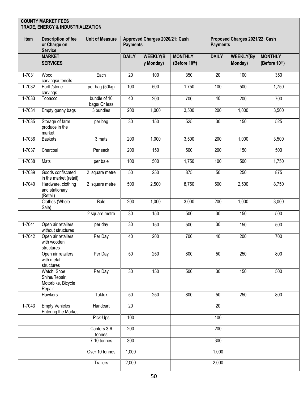| Item       | <b>Description of fee</b><br>or Charge on<br><b>Service</b>  | <b>Unit of Measure</b>        | <b>Payments</b>  | Approved Charges 2020/21: Cash |                                 | <b>Payments</b>  | Proposed Charges 2021/22: Cash |                                 |
|------------|--------------------------------------------------------------|-------------------------------|------------------|--------------------------------|---------------------------------|------------------|--------------------------------|---------------------------------|
|            | <b>MARKET</b><br><b>SERVICES</b>                             |                               | <b>DAILY</b>     | <b>WEEKLY(B</b><br>y Monday)   | <b>MONTHLY</b><br>(Before 10th) | <b>DAILY</b>     | <b>WEEKLY(By</b><br>Monday)    | <b>MONTHLY</b><br>(Before 10th) |
| 1-7031     | Wood<br>carvings/utensils                                    | Each                          | 20               | 100                            | 350                             | 20               | 100                            | 350                             |
| 1-7032     | Earth/stone<br>carvings                                      | per bag (50kg)                | 100              | 500                            | 1,750                           | 100              | 500                            | 1,750                           |
| 1-7033     | Tobacco                                                      | bundle of 10<br>bags/ Or less | 40               | 200                            | 700                             | 40               | 200                            | 700                             |
| 1-7034     | Empty gunny bags                                             | 3 bundles                     | 200              | 1,000                          | 3,500                           | 200              | 1,000                          | 3,500                           |
| $1 - 7035$ | Storage of farm<br>produce in the<br>market                  | per bag                       | 30               | 150                            | 525                             | 30               | 150                            | 525                             |
| 1-7036     | <b>Baskets</b>                                               | 3 mats                        | 200              | 1,000                          | 3,500                           | 200              | 1,000                          | 3,500                           |
| $1 - 7037$ | Charcoal                                                     | Per sack                      | 200              | 150                            | 500                             | $\overline{200}$ | 150                            | 500                             |
| 1-7038     | Mats                                                         | per bale                      | 100              | 500                            | 1,750                           | $\overline{100}$ | 500                            | 1,750                           |
| 1-7039     | Goods confiscated<br>in the market (retail)                  | 2 square metre                | 50               | 250                            | 875                             | 50               | 250                            | 875                             |
| $1 - 7040$ | Hardware, clothing<br>and stationary<br>(Retail)             | 2 square metre                | 500              | 2,500                          | 8,750                           | 500              | 2,500                          | 8,750                           |
|            | Clothes (Whole<br>Sale)                                      | Bale                          | $\overline{200}$ | 1,000                          | 3,000                           | $\overline{200}$ | 1,000                          | 3,000                           |
|            |                                                              | 2 square metre                | $\overline{30}$  | 150                            | 500                             | $\overline{30}$  | 150                            | 500                             |
| 1-7041     | Open air retailers<br>without structures                     | per day                       | 30               | 150                            | 500                             | 30               | 150                            | 500                             |
| 1-7042     | Open air retailers<br>with wooden<br>structures              | Per Day                       | 40               | 200                            | 700                             | 40               | 200                            | 700                             |
|            | Open air retailers<br>with metal<br>structures               | Per Day                       | 50               | 250                            | 800                             | 50               | 250                            | 800                             |
|            | Watch, Shoe<br>Shine/Repair,<br>Motorbike, Bicycle<br>Repair | Per Day                       | 30               | 150                            | 500                             | 30               | 150                            | 500                             |
|            | Hawkers                                                      | <b>Tuktuk</b>                 | 50               | 250                            | 800                             | 50               | 250                            | 800                             |
| 1-7043     | <b>Empty Vehicles</b><br><b>Entering the Market</b>          | Handcart                      | 20               |                                |                                 | 20               |                                |                                 |
|            |                                                              | Pick-Ups                      | 100              |                                |                                 | 100              |                                |                                 |
|            |                                                              | Canters 3-6<br>tonnes         | $\overline{200}$ |                                |                                 | 200              |                                |                                 |
|            |                                                              | 7-10 tonnes                   | 300              |                                |                                 | 300              |                                |                                 |
|            |                                                              | Over 10 tonnes                | 1,000            |                                |                                 | 1,000            |                                |                                 |
|            |                                                              | <b>Trailers</b>               | 2,000            |                                |                                 | 2,000            |                                |                                 |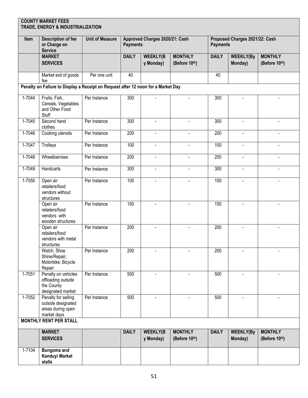|          | <b>COUNTY MARKET FEES</b><br>TRADE, ENERGY & INDUSTRIALIZATION                    |                        |                 |                                |                                 |                  |                                |                                 |
|----------|-----------------------------------------------------------------------------------|------------------------|-----------------|--------------------------------|---------------------------------|------------------|--------------------------------|---------------------------------|
| Item     | <b>Description of fee</b><br>or Charge on<br><b>Service</b>                       | <b>Unit of Measure</b> | <b>Payments</b> | Approved Charges 2020/21: Cash |                                 | <b>Payments</b>  | Proposed Charges 2021/22: Cash |                                 |
|          | <b>MARKET</b><br><b>SERVICES</b>                                                  |                        | <b>DAILY</b>    | <b>WEEKLY(B</b><br>y Monday)   | <b>MONTHLY</b><br>(Before 10th) | <b>DAILY</b>     | <b>WEEKLY(By</b><br>Monday)    | <b>MONTHLY</b><br>(Before 10th) |
|          | Market exit of goods<br>fee                                                       | Per one unit           | 40              |                                |                                 | 40               |                                |                                 |
|          | Penalty on Failure to Display a Receipt on Request after 12 noon for a Market Day |                        |                 |                                |                                 |                  |                                |                                 |
| 1-7044   | Fruits, Fish,<br>Cereals, Vegetables<br>and Other Food<br>Stuff                   | Per Instance           | 300             |                                | $\overline{a}$                  | $\overline{3}00$ | $\blacksquare$                 |                                 |
| 1-7045   | Second hand<br>clothes                                                            | Per Instance           | 300             | $\blacksquare$                 | $\blacksquare$                  | 300              | $\blacksquare$                 | $\blacksquare$                  |
| 1-7046   | Cooking utensils                                                                  | Per Instance           | 200             | $\blacksquare$                 | $\overline{\phantom{a}}$        | 200              | $\blacksquare$                 | $\blacksquare$                  |
| 1-7047   | Trolleys                                                                          | Per Instance           | 100             | $\blacksquare$                 | $\blacksquare$                  | 100              | $\blacksquare$                 | $\blacksquare$                  |
| 1-7048   | Wheelbarrows                                                                      | Per Instance           | 200             | $\blacksquare$                 | $\blacksquare$                  | $\overline{200}$ |                                | $\blacksquare$                  |
| 1-7049   | Handcarts                                                                         | Per Instance           | 300             | $\blacksquare$                 | $\blacksquare$                  | 300              |                                | $\blacksquare$                  |
| 1-7050   | Open air<br>retailers/food<br>vendors without<br>structures                       | Per Instance           | 100             |                                | $\overline{\phantom{0}}$        | 100              |                                |                                 |
|          | Open air<br>retailers/food<br>vendors with<br>wooden structures                   | Per Instance           | 150             |                                |                                 | 150              |                                |                                 |
|          | Open air<br>retailers/food<br>vendors with metal<br>structures                    | Per Instance           | 200             | $\blacksquare$                 | $\blacksquare$                  | $\overline{200}$ |                                | $\blacksquare$                  |
|          | Watch, Shoe<br>Shine/Repair,<br>Motorbike, Bicycle<br>Repair                      | Per Instance           | 200             |                                |                                 | 200              |                                |                                 |
| 1-7051   | Penalty on vehicles<br>offloading outside<br>the County<br>designated market      | Per Instance           | 500             |                                |                                 | 500              |                                |                                 |
| $1-7052$ | Penalty for selling<br>outside designated<br>areas during open<br>market days     | Per Instance           | 500             |                                |                                 | 500              |                                |                                 |
|          | <b>MONTHLY RENT PER STALL</b>                                                     |                        |                 |                                |                                 |                  |                                |                                 |
|          | <b>MARKET</b><br><b>SERVICES</b>                                                  |                        | <b>DAILY</b>    | <b>WEEKLY(B</b><br>y Monday)   | <b>MONTHLY</b><br>(Before 10th) | <b>DAILY</b>     | <b>WEEKLY(By</b><br>Monday)    | <b>MONTHLY</b><br>(Before 10th) |
| 1-7104   | <b>Bungoma and</b><br><b>Kanduyi Market</b><br>stalls                             |                        |                 |                                |                                 |                  |                                |                                 |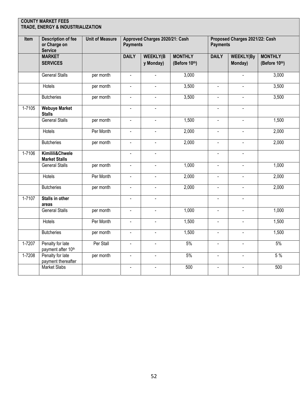|            | <b>COUNTY MARKET FEES</b><br>TRADE, ENERGY & INDUSTRIALIZATION |                        |                           |                                |                                 |                 |                                |                                 |
|------------|----------------------------------------------------------------|------------------------|---------------------------|--------------------------------|---------------------------------|-----------------|--------------------------------|---------------------------------|
| Item       | <b>Description of fee</b><br>or Charge on<br><b>Service</b>    | <b>Unit of Measure</b> | <b>Payments</b>           | Approved Charges 2020/21: Cash |                                 | <b>Payments</b> | Proposed Charges 2021/22: Cash |                                 |
|            | <b>MARKET</b><br><b>SERVICES</b>                               |                        | <b>DAILY</b>              | <b>WEEKLY(B</b><br>y Monday)   | <b>MONTHLY</b><br>(Before 10th) | <b>DAILY</b>    | <b>WEEKLY(By</b><br>Monday)    | <b>MONTHLY</b><br>(Before 10th) |
|            | <b>General Stalls</b>                                          | per month              | $\Box$                    | $\overline{a}$                 | 3,000                           |                 | $\mathbf{r}$                   | 3,000                           |
|            | <b>Hotels</b>                                                  | per month              | L.                        | $\overline{a}$                 | 3,500                           | $\mathbf{r}$    | $\mathbf{r}$                   | 3,500                           |
|            | <b>Butcheries</b>                                              | per month              | $\overline{a}$            |                                | 3,500                           | $\overline{a}$  |                                | 3,500                           |
| $1 - 7105$ | <b>Webuye Market</b><br><b>Stalls</b>                          |                        | $\blacksquare$            | $\blacksquare$                 |                                 | $\Box$          | $\mathbf{r}$                   |                                 |
|            | <b>General Stalls</b>                                          | per month              | $\mathbb{Z}^{\mathbb{Z}}$ | $\Box$                         | 1,500                           | $\mathbb{Z}^2$  | $\mathbf{r}$                   | 1,500                           |
|            | Hotels                                                         | Per Month              | $\blacksquare$            | $\overline{a}$                 | 2,000                           | $\Box$          |                                | 2,000                           |
|            | <b>Butcheries</b>                                              | per month              | $\blacksquare$            | $\blacksquare$                 | 2,000                           | $\blacksquare$  | $\blacksquare$                 | 2,000                           |
| 1-7106     | Kimilili&Chwele<br><b>Market Stalls</b>                        |                        | $\blacksquare$            | $\blacksquare$                 |                                 | $\blacksquare$  | $\blacksquare$                 |                                 |
|            | <b>General Stalls</b>                                          | per month              | $\blacksquare$            | $\overline{a}$                 | 1,000                           | $\mathbf{r}$    |                                | 1,000                           |
|            | <b>Hotels</b>                                                  | Per Month              | ä,                        | $\blacksquare$                 | 2,000                           | $\blacksquare$  |                                | 2,000                           |
|            | <b>Butcheries</b>                                              | per month              | ä,                        | $\blacksquare$                 | 2,000                           | $\Box$          | $\blacksquare$                 | 2,000                           |
| $1 - 7107$ | Stalls in other<br>areas                                       |                        | $\blacksquare$            | $\overline{\phantom{a}}$       |                                 | $\blacksquare$  | $\blacksquare$                 |                                 |
|            | <b>General Stalls</b>                                          | per month              | $\blacksquare$            | $\overline{a}$                 | 1,000                           | $\Box$          | $\blacksquare$                 | 1,000                           |
|            | <b>Hotels</b>                                                  | Per Month              | $\blacksquare$            | $\blacksquare$                 | 1,500                           | $\blacksquare$  | $\blacksquare$                 | 1,500                           |
|            | <b>Butcheries</b>                                              | per month              | $\blacksquare$            | $\blacksquare$                 | 1,500                           | $\blacksquare$  | $\blacksquare$                 | 1,500                           |
| 1-7207     | Penalty for late<br>payment after 10th                         | Per Stall              | $\Delta$                  | $\blacksquare$                 | 5%                              | $\blacksquare$  | $\mathbf{r}$                   | 5%                              |
| 1-7208     | Penalty for late<br>payment thereafter                         | per month              | $\blacksquare$            | $\blacksquare$                 | 5%                              | $\blacksquare$  | $\blacksquare$                 | 5%                              |
|            | <b>Market Slabs</b>                                            |                        | $\blacksquare$            | $\overline{a}$                 | 500                             | $\blacksquare$  | $\blacksquare$                 | 500                             |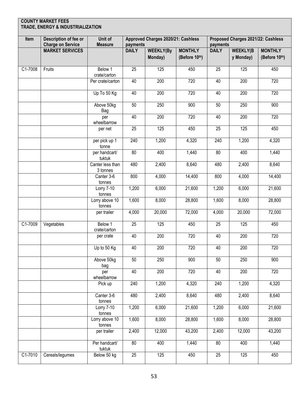| Item    | Description of fee or<br><b>Charge on Service</b> | Unit of<br><b>Measure</b>    | payments        | Approved Charges 2020/21: Cashless |                                 | Proposed Charges 2021/22: Cashless<br>payments |                              |                                 |  |
|---------|---------------------------------------------------|------------------------------|-----------------|------------------------------------|---------------------------------|------------------------------------------------|------------------------------|---------------------------------|--|
|         | <b>MARKET SERVICES</b>                            |                              | <b>DAILY</b>    | <b>WEEKLY(By</b><br>Monday)        | <b>MONTHLY</b><br>(Before 10th) | <b>DAILY</b>                                   | <b>WEEKLY(B</b><br>y Monday) | <b>MONTHLY</b><br>(Before 10th) |  |
| C1-7008 | Fruits                                            | Below 1<br>crate/carton      | 25              | 125                                | 450                             | 25                                             | 125                          | 450                             |  |
|         |                                                   | Per crate/carton             | 40              | 200                                | 720                             | 40                                             | 200                          | 720                             |  |
|         |                                                   | $Up$ To 50 Kg                | 40              | 200                                | 720                             | 40                                             | 200                          | 720                             |  |
|         |                                                   | Above 50kg<br>Bag            | 50              | 250                                | 900                             | 50                                             | 250                          | 900                             |  |
|         |                                                   | per<br>wheelbarrow           | 40              | 200                                | 720                             | 40                                             | 200                          | 720                             |  |
|         |                                                   | per net                      | 25              | 125                                | 450                             | 25                                             | 125                          | 450                             |  |
|         |                                                   | per pick up 1<br>tonne       | 240             | 1,200                              | 4,320                           | 240                                            | 1,200                        | 4,320                           |  |
|         |                                                   | per handcart/<br>tuktuk      | 80              | 400                                | 1,440                           | 80                                             | 400                          | 1,440                           |  |
|         |                                                   | Canter less than<br>3 tonnes | 480             | 2,400                              | 8,640                           | 480                                            | 2,400                        | 8,640                           |  |
|         |                                                   | Canter 3-6<br>tonnes         | 800             | 4,000                              | 14,400                          | 800                                            | 4,000                        | 14,400                          |  |
|         |                                                   | Lorry 7-10<br>tonnes         | 1,200           | 6,000                              | 21,600                          | 1,200                                          | 6,000                        | 21,600                          |  |
|         |                                                   | Lorry above 10<br>tonnes     | 1,600           | 8,000                              | 28,800                          | 1,600                                          | 8,000                        | 28,800                          |  |
|         |                                                   | per trailer                  | 4,000           | 20,000                             | 72,000                          | 4,000                                          | 20,000                       | 72,000                          |  |
| C1-7009 | Vegetables                                        | Below 1<br>crate/carton      | $\overline{25}$ | 125                                | 450                             | 25                                             | 125                          | 450                             |  |
|         |                                                   | per crate                    | 40              | 200                                | 720                             | 40                                             | 200                          | 720                             |  |
|         |                                                   | Up to 50 Kg                  | 40              | 200                                | 720                             | 40                                             | 200                          | 720                             |  |
|         |                                                   | Above 50kg<br>bag            | 50              | 250                                | 900                             | 50                                             | 250                          | 900                             |  |
|         |                                                   | per<br>wheelbarrow           | 40              | 200                                | 720                             | 40                                             | 200                          | 720                             |  |
|         |                                                   | Pick up                      | 240             | 1,200                              | 4,320                           | 240                                            | 1,200                        | 4,320                           |  |
|         |                                                   | Canter 3-6<br>tonnes         | 480             | 2,400                              | 8,640                           | 480                                            | 2,400                        | 8,640                           |  |
|         |                                                   | Lorry 7-10<br>tonnes         | 1,200           | 6,000                              | 21,600                          | 1,200                                          | 6,000                        | 21,600                          |  |
|         |                                                   | Lorry above 10<br>tonnes     | 1,600           | 8,000                              | 28,800                          | 1,600                                          | 8,000                        | 28,800                          |  |
|         |                                                   | per trailer                  | 2,400           | 12,000                             | 43,200                          | 2,400                                          | 12,000                       | 43,200                          |  |
|         |                                                   | Per handcart/<br>tuktuk      | 80              | 400                                | 1,440                           | 80                                             | 400                          | 1,440                           |  |
| C1-7010 | Cereals/legumes                                   | Below 50 kg                  | 25              | 125                                | 450                             | 25                                             | 125                          | 450                             |  |

г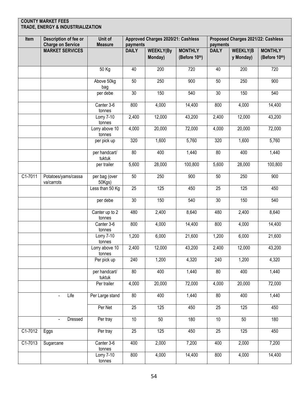| Item    | Description of fee or<br><b>Charge on Service</b> | Unit of<br><b>Measure</b>                | payments        | Approved Charges 2020/21: Cashless |                                 | payments        | Proposed Charges 2021/22: Cashless |                                 |
|---------|---------------------------------------------------|------------------------------------------|-----------------|------------------------------------|---------------------------------|-----------------|------------------------------------|---------------------------------|
|         | <b>MARKET SERVICES</b>                            |                                          | <b>DAILY</b>    | <b>WEEKLY(By</b><br>Monday)        | <b>MONTHLY</b><br>(Before 10th) | <b>DAILY</b>    | <b>WEEKLY(B</b><br>y Monday)       | <b>MONTHLY</b><br>(Before 10th) |
|         |                                                   | 50 Kg                                    | 40              | 200                                | 720                             | 40              | 200                                | 720                             |
|         |                                                   | Above 50kg<br>bag                        | 50              | 250                                | 900                             | 50              | 250                                | 900                             |
|         |                                                   | per debe                                 | 30              | 150                                | 540                             | 30              | 150                                | 540                             |
|         |                                                   | Canter 3-6<br>tonnes                     | 800             | 4,000                              | 14,400                          | 800             | 4,000                              | 14,400                          |
|         |                                                   | Lorry 7-10<br>tonnes                     | 2,400           | 12,000                             | 43,200                          | 2,400           | 12,000                             | 43,200                          |
|         |                                                   | Lorry above 10<br>tonnes                 | 4,000           | 20,000                             | 72,000                          | 4,000           | 20,000                             | 72,000                          |
|         |                                                   | per pick up                              | 320             | 1,600                              | 5,760                           | 320             | 1,600                              | 5,760                           |
|         |                                                   | per handcart/<br>tuktuk                  | 80              | 400                                | 1,440                           | 80              | 400                                | 1,440                           |
|         |                                                   | per trailer                              | 5,600           | 28,000                             | 100,800                         | 5,600           | 28,000                             | 100,800                         |
| C1-7011 | Potatoes/yams/cassa<br>va/carrots                 | per bag (over<br>50Kgs)                  | 50              | 250                                | 900                             | 50              | 250                                | 900                             |
|         |                                                   | Less than 50 Kg                          | 25              | 125                                | 450                             | 25              | 125                                | 450                             |
|         |                                                   | per debe                                 | $\overline{30}$ | 150                                | 540                             | $\overline{30}$ | 150                                | 540                             |
|         |                                                   | Canter up to 2<br>tonnes                 | 480             | 2,400                              | 8,640                           | 480             | 2,400                              | 8,640                           |
|         |                                                   | Canter 3-6<br>tonnes                     | 800             | 4,000                              | 14,400                          | 800             | 4,000                              | 14,400                          |
|         |                                                   | <b>Lorry 7-10</b><br>tonnes              | 1,200           | 6,000                              | 21,600                          | 1,200           | 6,000                              | 21,600                          |
|         |                                                   | Lorry above 10<br>tonnes                 | 2,400           | 12,000                             | 43,200                          | 2,400           | 12,000                             | 43,200                          |
|         |                                                   | Per pick up                              | 240             | 1,200                              | 4,320                           | 240             | 1,200                              | 4,320                           |
|         |                                                   | per handcart/<br>tuktuk                  | 80              | 400                                | 1,440                           | $\overline{80}$ | 400                                | 1,440                           |
|         |                                                   | Per trailer                              | 4,000           | 20,000                             | 72,000                          | 4,000           | 20,000                             | 72,000                          |
|         | Life<br>٠                                         | Per Large stand                          | 80              | 400                                | 1,440                           | 80              | 400                                | 1,440                           |
|         |                                                   | Per Net                                  | 25              | 125                                | 450                             | 25              | 125                                | 450                             |
|         | Dressed<br>$\blacksquare$                         | Per tray                                 | 10              | 50                                 | 180                             | 10              | 50                                 | 180                             |
| C1-7012 | Eggs                                              | Per tray                                 | 25              | 125                                | 450                             | 25              | 125                                | 450                             |
| C1-7013 | Sugarcane                                         | Canter 3-6<br>tonnes                     | 400             | 2,000                              | 7,200                           | 400             | 2,000                              | 7,200                           |
|         |                                                   | $\overline{\text{Lorry}}$ 7-10<br>tonnes | 800             | 4,000                              | 14,400                          | 800             | 4,000                              | 14,400                          |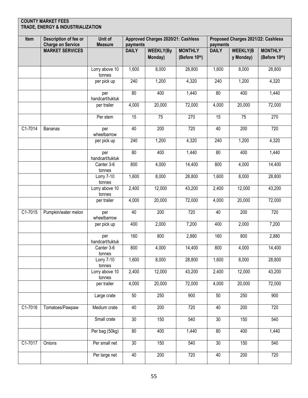| Item      | Description of fee or<br><b>Charge on Service</b> | Unit of<br><b>Measure</b> | payments        | Approved Charges 2020/21: Cashless |                                 | payments        | Proposed Charges 2021/22: Cashless |                                 |
|-----------|---------------------------------------------------|---------------------------|-----------------|------------------------------------|---------------------------------|-----------------|------------------------------------|---------------------------------|
|           | <b>MARKET SERVICES</b>                            |                           | <b>DAILY</b>    | <b>WEEKLY(By</b><br>Monday)        | <b>MONTHLY</b><br>(Before 10th) | <b>DAILY</b>    | <b>WEEKLY(B</b><br>y Monday)       | <b>MONTHLY</b><br>(Before 10th) |
|           |                                                   | Lorry above 10<br>tonnes  | 1,600           | 8,000                              | 28,800                          | 1,600           | 8,000                              | 28,800                          |
|           |                                                   | per pick up               | 240             | 1,200                              | 4,320                           | 240             | 1,200                              | 4,320                           |
|           |                                                   | per<br>handcart/tuktuk    | $\overline{80}$ | 400                                | 1,440                           | 80              | 400                                | 1,440                           |
|           |                                                   | per trailer               | 4,000           | 20,000                             | 72,000                          | 4,000           | 20,000                             | 72,000                          |
|           |                                                   | Per stem                  | 15              | 75                                 | 270                             | 15              | 75                                 | 270                             |
| C1-7014   | <b>Bananas</b>                                    | per<br>wheelbarrow        | 40              | 200                                | 720                             | 40              | 200                                | 720                             |
|           |                                                   | per pick up               | 240             | 1,200                              | 4,320                           | 240             | 1,200                              | 4,320                           |
|           |                                                   | per<br>handcart/tuktuk    | 80              | 400                                | 1,440                           | 80              | 400                                | 1,440                           |
|           |                                                   | Canter 3-6<br>tonnes      | 800             | 4,000                              | 14,400                          | 800             | 4,000                              | 14,400                          |
|           |                                                   | Lorry 7-10<br>tonnes      | 1,600           | 8,000                              | 28,800                          | 1,600           | 8,000                              | 28,800                          |
|           |                                                   | Lorry above 10<br>tonnes  | 2,400           | 12,000                             | 43,200                          | 2,400           | 12,000                             | 43,200                          |
|           |                                                   | per trailer               | 4,000           | 20,000                             | 72,000                          | 4,000           | 20,000                             | 72,000                          |
| $C1-7015$ | Pumpkin/water melon                               | per<br>wheelbarrow        | 40              | 200                                | 720                             | 40              | 200                                | 720                             |
|           |                                                   | per pick up               | 400             | 2,000                              | 7,200                           | 400             | 2,000                              | 7,200                           |
|           |                                                   | per<br>handcart/tuktuk    | 160             | 800                                | 2,880                           | 160             | 800                                | 2,880                           |
|           |                                                   | Canter 3-6<br>tonnes      | 800             | 4,000                              | 14,400                          | 800             | 4,000                              | 14,400                          |
|           |                                                   | Lorry 7-10<br>tonnes      | 1,600           | 8,000                              | 28,800                          | 1,600           | 8,000                              | 28,800                          |
|           |                                                   | Lorry above 10<br>tonnes  | 2,400           | 12,000                             | 43,200                          | 2,400           | 12,000                             | 43,200                          |
|           |                                                   | per trailer               | 4,000           | 20,000                             | 72,000                          | 4,000           | 20,000                             | 72,000                          |
|           |                                                   | Large crate               | 50              | 250                                | 900                             | 50              | 250                                | 900                             |
| C1-7016   | Tomatoes/Pawpaw                                   | Medium crate              | 40              | 200                                | 720                             | 40              | 200                                | 720                             |
|           |                                                   | Small crate               | $\overline{30}$ | 150                                | 540                             | $\overline{30}$ | 150                                | 540                             |
|           |                                                   | Per bag (50kg)            | 80              | 400                                | 1,440                           | 80              | 400                                | 1,440                           |
| C1-7017   | Onions                                            | Per small net             | $\overline{30}$ | 150                                | 540                             | 30              | 150                                | 540                             |
|           |                                                   | Per large net             | 40              | 200                                | 720                             | 40              | 200                                | 720                             |
|           |                                                   |                           |                 |                                    |                                 |                 |                                    |                                 |

г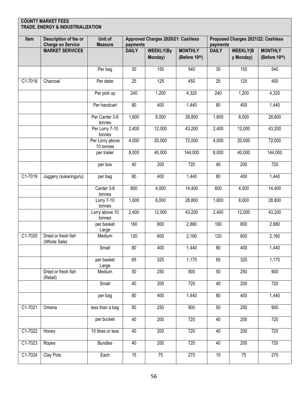| Item      | Description of fee or<br><b>Charge on Service</b> | Unit of<br><b>Measure</b>    | payments        | Approved Charges 2020/21: Cashless |                                 | payments         | Proposed Charges 2021/22: Cashless |                                 |
|-----------|---------------------------------------------------|------------------------------|-----------------|------------------------------------|---------------------------------|------------------|------------------------------------|---------------------------------|
|           | <b>MARKET SERVICES</b>                            |                              | <b>DAILY</b>    | <b>WEEKLY(By</b><br>Monday)        | <b>MONTHLY</b><br>(Before 10th) | <b>DAILY</b>     | <b>WEEKLY(B</b><br>y Monday)       | <b>MONTHLY</b><br>(Before 10th) |
|           |                                                   | Per bag                      | 30              | 150                                | 540                             | 30               | 150                                | 540                             |
| C1-7018   | Charcoal                                          | Per debe                     | 25              | 125                                | 450                             | 25               | 125                                | 450                             |
|           |                                                   | Per pick up                  | 240             | 1,200                              | 4,320                           | $\overline{240}$ | 1,200                              | 4,320                           |
|           |                                                   | Per handcart                 | 80              | 400                                | 1,440                           | 80               | 400                                | 1,440                           |
|           |                                                   | Per Canter 3-6<br>tonnes     | 1,600           | 8,000                              | 28,800                          | 1,600            | 8,000                              | 28,800                          |
|           |                                                   | Per Lorry 7-10<br>tonnes     | 2,400           | 12,000                             | 43,200                          | 2,400            | 12,000                             | 43,200                          |
|           |                                                   | Per Lorry above<br>10 tonnes | 4,000           | 20,000                             | 72,000                          | 4,000            | 20,000                             | 72,000                          |
|           |                                                   | per trailer                  | 8,000           | 40,000                             | 144,000                         | 8,000            | 40,000                             | 144,000                         |
|           |                                                   | per box                      | 40              | 200                                | 720                             | 40               | 200                                | 720                             |
| C1-7019   | Juggery (sukaringuru)                             | per bag                      | $\overline{80}$ | 400                                | 1,440                           | 80               | 400                                | 1,440                           |
|           |                                                   | Canter 3-6<br>tonnes         | 800             | 4,000                              | 14,400                          | 800              | 4,000                              | 14,400                          |
|           |                                                   | Lorry 7-10<br>tonnes         | 1,600           | 8,000                              | 28,800                          | 1,600            | 8,000                              | 28,800                          |
|           |                                                   | Lorry above 10<br>tonnes     | 2,400           | 12,000                             | 43,200                          | 2,400            | 12,000                             | 43,200                          |
|           |                                                   | per basket<br>Large          | 160             | 800                                | 2,880                           | 160              | 800                                | 2,880                           |
| C1-7020   | Dried or fresh fish<br>(Whole Sale)               | Medium                       | 120             | 600                                | 2,160                           | 120              | 600                                | 2,160                           |
|           |                                                   | Small                        | 80              | 400                                | 1,440                           | 80               | 400                                | 1,440                           |
|           |                                                   | per basket<br>Large          | 65              | 325                                | 1,170                           | 65               | 325                                | 1,170                           |
|           | Dried or fresh fish<br>(Retail)                   | Medium                       | 50              | 250                                | 900                             | 50               | 250                                | $\overline{900}$                |
|           |                                                   | Small                        | 40              | 200                                | 720                             | 40               | $\overline{200}$                   | 720                             |
|           |                                                   | per bag                      | $\overline{80}$ | 400                                | 1,440                           | 80               | 400                                | 1,440                           |
| C1-7021   | Omena                                             | less than a bag              | 50              | 250                                | 900                             | 50               | 250                                | 900                             |
|           |                                                   | per bucket                   | 40              | 200                                | 720                             | 40               | 200                                | 720                             |
| C1-7022   | Honey                                             | 10 litres or less            | 40              | 200                                | 720                             | 40               | 200                                | 720                             |
| $C1-7023$ | Ropes                                             | <b>Bundles</b>               | 40              | 200                                | 720                             | 40               | 200                                | 720                             |
| C1-7024   | Clay Pots                                         | Each                         | 15              | 75                                 | 270                             | 15               | 75                                 | 270                             |
|           |                                                   |                              |                 |                                    |                                 |                  |                                    |                                 |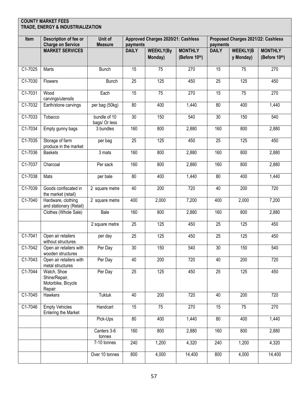| Description of fee or<br><b>Charge on Service</b>            | Unit of<br><b>Measure</b>                                                                 |                 | Approved Charges 2020/21: Cashless |                                 |                 | Proposed Charges 2021/22: Cashless |                                 |
|--------------------------------------------------------------|-------------------------------------------------------------------------------------------|-----------------|------------------------------------|---------------------------------|-----------------|------------------------------------|---------------------------------|
| <b>MARKET SERVICES</b>                                       |                                                                                           | <b>DAILY</b>    | <b>WEEKLY(By</b><br>Monday)        | <b>MONTHLY</b><br>(Before 10th) | <b>DAILY</b>    | <b>WEEKLY(B</b><br>y Monday)       | <b>MONTHLY</b><br>(Before 10th) |
| Marts                                                        | <b>Bunch</b>                                                                              | 15              | 75                                 | 270                             | 15              | 75                                 | 270                             |
| Flowers                                                      | <b>Bunch</b>                                                                              | 25              | 125                                | 450                             | 25              | 125                                | 450                             |
| Wood<br>carvings/utensils                                    | Each                                                                                      | 15              | $\overline{75}$                    | 270                             | 15              | $\overline{75}$                    | 270                             |
| Earth/stone carvings                                         | per bag (50kg)                                                                            | 80              | 400                                | 1,440                           | 80              | 400                                | 1,440                           |
| Tobacco                                                      | bundle of 10                                                                              | $\overline{30}$ | 150                                | 540                             | 30              | 150                                | 540                             |
| Empty gunny bags                                             | 3 bundles                                                                                 | 160             | 800                                | 2,880                           | 160             | 800                                | 2,880                           |
| Storage of farm<br>produce in the market                     | per bag                                                                                   | $\overline{25}$ | 125                                | 450                             | $\overline{25}$ | 125                                | 450                             |
| <b>Baskets</b>                                               | 3 mats                                                                                    | 160             | 800                                | 2,880                           | 160             | 800                                | 2,880                           |
| Charcoal                                                     | Per sack                                                                                  | 160             | 800                                | 2,880                           | 160             | 800                                | 2,880                           |
| Mats                                                         | per bale                                                                                  | 80              | 400                                | 1,440                           | 80              | 400                                | 1,440                           |
| Goods confiscated in                                         | 2 square metre                                                                            | 40              | 200                                | 720                             | 40              | 200                                | 720                             |
| Hardware, clothing                                           | 2 square metre                                                                            | 400             | 2,000                              | 7,200                           | 400             | 2,000                              | 7,200                           |
| Clothes (Whole Sale)                                         | <b>Bale</b>                                                                               | 160             | 800                                | 2,880                           | 160             | 800                                | 2,880                           |
|                                                              | 2 square metre                                                                            | $\overline{25}$ | $\overline{125}$                   | 450                             | $\overline{25}$ | 125                                | 450                             |
| Open air retailers                                           | per day                                                                                   | 25              | 125                                | 450                             | 25              | 125                                | 450                             |
| Open air retailers with                                      | Per Day                                                                                   | 30              | 150                                | 540                             | 30              | 150                                | 540                             |
| Open air retailers with<br>metal structures                  | Per Day                                                                                   | 40              | 200                                | 720                             | 40              | 200                                | 720                             |
| Watch, Shoe<br>Shine/Repair,<br>Motorbike, Bicycle<br>Repair | Per Day                                                                                   | $\overline{25}$ | 125                                | 450                             | $\overline{25}$ | 125                                | 450                             |
| Hawkers                                                      | <b>Tuktuk</b>                                                                             | 40              | 200                                | 720                             | 40              | 200                                | 720                             |
| <b>Empty Vehicles</b><br><b>Entering the Market</b>          | Handcart                                                                                  | 15              | 75                                 | 270                             | 15              | 75                                 | 270                             |
|                                                              | Pick-Ups                                                                                  | 80              | 400                                | 1,440                           | 80              | 400                                | 1,440                           |
|                                                              | Canters 3-6<br>tonnes                                                                     | 160             | 800                                | 2,880                           | 160             | 800                                | 2,880                           |
|                                                              | 7-10 tonnes                                                                               | 240             | 1,200                              | 4,320                           | 240             | 1,200                              | 4,320                           |
|                                                              | Over 10 tonnes                                                                            | 800             | 4,000                              | 14,400                          | 800             | 4,000                              | 14,400                          |
|                                                              | the market (retail)<br>and stationary (Retail)<br>without structures<br>wooden structures | bags/ Or less   |                                    | payments                        |                 |                                    | payments                        |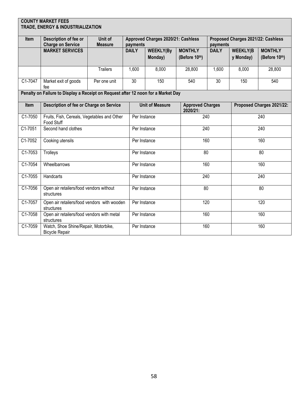| <b>COUNTY MARKET FEES</b><br>TRADE, ENERGY & INDUSTRIALIZATION                    |                                                               |                           |                          |                                    |                |                                     |                                                |                           |  |  |
|-----------------------------------------------------------------------------------|---------------------------------------------------------------|---------------------------|--------------------------|------------------------------------|----------------|-------------------------------------|------------------------------------------------|---------------------------|--|--|
|                                                                                   |                                                               |                           |                          |                                    |                |                                     |                                                |                           |  |  |
| Item                                                                              | Description of fee or                                         | Unit of<br><b>Measure</b> |                          | Approved Charges 2020/21: Cashless |                |                                     | Proposed Charges 2021/22: Cashless<br>payments |                           |  |  |
|                                                                                   | <b>Charge on Service</b><br><b>MARKET SERVICES</b>            |                           | payments<br><b>DAILY</b> | <b>WEEKLY(By</b>                   | <b>MONTHLY</b> | <b>DAILY</b>                        | <b>WEEKLY(B</b>                                | <b>MONTHLY</b>            |  |  |
|                                                                                   |                                                               |                           |                          | Monday)                            | (Before 10th)  |                                     | y Monday)                                      | (Before 10th)             |  |  |
|                                                                                   |                                                               | <b>Trailers</b>           | 1,600                    | 8,000                              | 28,800         | 1,600                               | 8,000                                          | 28,800                    |  |  |
|                                                                                   |                                                               |                           |                          |                                    |                |                                     |                                                |                           |  |  |
| C1-7047                                                                           | Market exit of goods<br>fee                                   | Per one unit              | 30                       | 150                                | 540            | 30                                  | 150                                            | 540                       |  |  |
| Penalty on Failure to Display a Receipt on Request after 12 noon for a Market Day |                                                               |                           |                          |                                    |                |                                     |                                                |                           |  |  |
| Item                                                                              | Description of fee or Charge on Service                       |                           |                          | <b>Unit of Measure</b>             |                | <b>Approved Charges</b><br>2020/21: |                                                | Proposed Charges 2021/22: |  |  |
| C1-7050                                                                           | Fruits, Fish, Cereals, Vegetables and Other<br>Food Stuff     |                           |                          | Per Instance                       |                | 240                                 |                                                | 240                       |  |  |
| $C1-7051$                                                                         | Second hand clothes                                           |                           |                          | Per Instance                       |                | 240                                 |                                                | 240                       |  |  |
| C1-7052                                                                           | Cooking utensils                                              |                           | Per Instance             |                                    | 160            |                                     |                                                | 160                       |  |  |
| $C1-7053$                                                                         | Trolleys                                                      |                           |                          | Per Instance                       |                | $\overline{80}$                     |                                                | $\overline{80}$           |  |  |
| C1-7054                                                                           | Wheelbarrows                                                  |                           |                          | Per Instance                       |                | 160                                 |                                                | 160                       |  |  |
| C1-7055                                                                           | Handcarts                                                     |                           | Per Instance             |                                    |                | 240                                 |                                                | 240                       |  |  |
| C1-7056                                                                           | Open air retailers/food vendors without<br>structures         |                           | Per Instance             |                                    |                | $\overline{80}$                     |                                                | $\overline{80}$           |  |  |
| C1-7057                                                                           | Open air retailers/food vendors with wooden<br>structures     |                           | Per Instance             |                                    | 120            |                                     | 120                                            |                           |  |  |
| C1-7058                                                                           | Open air retailers/food vendors with metal<br>structures      |                           | Per Instance             |                                    |                | 160                                 |                                                | 160                       |  |  |
| C1-7059                                                                           | Watch, Shoe Shine/Repair, Motorbike,<br><b>Bicycle Repair</b> |                           |                          | Per Instance                       |                | 160                                 |                                                | 160                       |  |  |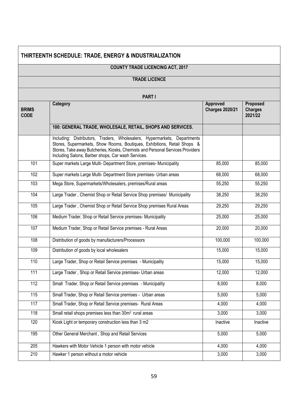### **THIRTEENTH SCHEDULE: TRADE, ENERGY & INDUSTRIALIZATION**

### **COUNTY TRADE LICENCING ACT, 2017**

#### **TRADE LICENCE**

|                             | <b>PART I</b><br>Category                                                                                                                                                                                                                                                                    | Approved               | Proposed                  |
|-----------------------------|----------------------------------------------------------------------------------------------------------------------------------------------------------------------------------------------------------------------------------------------------------------------------------------------|------------------------|---------------------------|
| <b>BRIMS</b><br><b>CODE</b> |                                                                                                                                                                                                                                                                                              | <b>Charges 2020/21</b> | <b>Charges</b><br>2021/22 |
|                             | 100: GENERAL TRADE, WHOLESALE, RETAIL, SHOPS AND SERVICES.                                                                                                                                                                                                                                   |                        |                           |
|                             | Including: Distributors, Traders, Wholesalers, Hypermarkets, Departments<br>Stores, Supermarkets, Show Rooms, Boutiques, Exhibitions, Retail Shops &<br>Stores, Take away Butcheries, Kiosks, Chemists and Personal Services Providers<br>Including Salons, Barber shops, Car wash Services. |                        |                           |
| 101                         | Super markets Large Multi- Department Store, premises- Municipality                                                                                                                                                                                                                          | 85,000                 | 85,000                    |
| 102                         | Super markets Large Multi- Department Store premises- Urban areas                                                                                                                                                                                                                            | 68,000                 | 68,000                    |
| 103                         | Mega Store, Supermarkets/Wholesalers, premises/Rural areas                                                                                                                                                                                                                                   | 55,250                 | 55,250                    |
| 104                         | Large Trader, Chemist Shop or Retail Service Shop premises/ Municipality                                                                                                                                                                                                                     | 38,250                 | 38,250                    |
| 105                         | Large Trader, Chemist Shop or Retail Service Shop premises Rural Areas                                                                                                                                                                                                                       | 29,250                 | 29,250                    |
| 106                         | Medium Trader, Shop or Retail Service premises- Municipality                                                                                                                                                                                                                                 | 25,000                 | 25,000                    |
| 107                         | Medium Trader, Shop or Retail Service premises - Rural Areas                                                                                                                                                                                                                                 | 20,000                 | 20,000                    |
| 108                         | Distribution of goods by manufacturers/Processors                                                                                                                                                                                                                                            | 100,000                | 100,000                   |
| 109                         | Distribution of goods by local wholesalers                                                                                                                                                                                                                                                   | 15,000                 | 15,000                    |
| 110                         | Large Trader, Shop or Retail Service premises - Municipality                                                                                                                                                                                                                                 | 15,000                 | 15,000                    |
| 111                         | Large Trader, Shop or Retail Service premises- Urban areas                                                                                                                                                                                                                                   | 12,000                 | 12,000                    |
| 112                         | Small Trader, Shop or Retail Service premises - Municipality                                                                                                                                                                                                                                 | 8,000                  | 8,000                     |
| 115                         | Small Trader, Shop or Retail Service premises - Urban areas                                                                                                                                                                                                                                  | 5,000                  | 5,000                     |
| 117                         | Small Trader, Shop or Retail Service premises- Rural Areas                                                                                                                                                                                                                                   | 4,000                  | 4,000                     |
| 118                         | Small retail shops premises less than 30m <sup>2</sup> rural areas                                                                                                                                                                                                                           | 3,000                  | 3,000                     |
| 120                         | Kiosk Light or temporary construction less than 3 m2                                                                                                                                                                                                                                         | Inactive               | Inactive                  |
| 195                         | Other General Merchant, Shop and Retail Services                                                                                                                                                                                                                                             | 5,000                  | 5,000                     |
| 205                         | Hawkers with Motor Vehicle 1 person with motor vehicle                                                                                                                                                                                                                                       | 4,000                  | 4,000                     |
| 210                         | Hawker 1 person without a motor vehicle                                                                                                                                                                                                                                                      | 3,000                  | 3,000                     |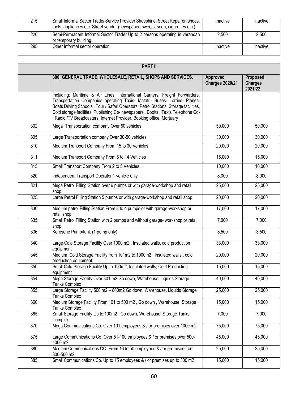| 215 | Small Informal Sector Trade/ Service Provider Shoeshine, Street Repairer: shoes,<br>tools, appliances etc. Street vendor (newspaper, sweets, soda, cigarettes etc.) | Inactive | Inactive |
|-----|---------------------------------------------------------------------------------------------------------------------------------------------------------------------|----------|----------|
| 220 | Semi-Permanent Informal Sector Trader Up to 2 persons operating in verandah<br>or temporary building.                                                               | 2.500    | 2.500    |
| 295 | Other Informal sector operation.                                                                                                                                    | Inactive | Inactive |

| <b>PART II</b> |                                                                                                                                                                                                                                                                                                                                                                                                              |                                    |                                       |  |
|----------------|--------------------------------------------------------------------------------------------------------------------------------------------------------------------------------------------------------------------------------------------------------------------------------------------------------------------------------------------------------------------------------------------------------------|------------------------------------|---------------------------------------|--|
|                | 300: GENERAL TRADE, WHOLESALE, RETAIL, SHOPS AND SERVICES.                                                                                                                                                                                                                                                                                                                                                   | Approved<br><b>Charges 2020/21</b> | Proposed<br><b>Charges</b><br>2021/22 |  |
|                | Including: Maritime & Air Lines, International Carriers, Freight Forwarders,<br>Transportation Companies operating Taxis- Matatu- Buses- Lorries- Planes-<br>Boats Driving Schools, Tour / Safari Operators, Petrol Stations, Storage facilities,<br>Cold storage facilities, Publishing Co- newspapers, Books, Texts Telephone Co-<br>, Radio /TV Broadcasters, Internet Provider, Booking office, Mortuary |                                    |                                       |  |
| 302            | Mega Transportation company Over 50 vehicles                                                                                                                                                                                                                                                                                                                                                                 | 50,000                             | 50,000                                |  |
| 305            | Large Transportation company Over 30-50 vehicles                                                                                                                                                                                                                                                                                                                                                             | 30,000                             | 30,000                                |  |
| 310            | Medium Transport Company From 15 to 30 Vehicles                                                                                                                                                                                                                                                                                                                                                              | 20,000                             | 20,000                                |  |
| 311            | Medium Transport Company From 6 to 14 Vehicles                                                                                                                                                                                                                                                                                                                                                               | 15,000                             | 15,000                                |  |
| 315            | Small Transport Company From 2 to 5 Vehicles                                                                                                                                                                                                                                                                                                                                                                 | 10,000                             | 10,000                                |  |
| 320            | Independent Transport Operator 1 vehicle only                                                                                                                                                                                                                                                                                                                                                                | 8,000                              | 8,000                                 |  |
| 321            | Mega Petrol Filling Station over 6 pumps or with garage-workshop and retail<br>shop                                                                                                                                                                                                                                                                                                                          | 25,000                             | 25,000                                |  |
| 325            | Large Petrol Filling Station 5 pumps or with garage-workshop and retail shop                                                                                                                                                                                                                                                                                                                                 | 20,000                             | 20,000                                |  |
| 330            | Medium petrol Filling Station From 3 to 4 pumps or with garage-workshop or<br>retail shop                                                                                                                                                                                                                                                                                                                    | 17,000                             | 17,000                                |  |
| 335            | Small Petrol Filling Station with 2 pumps and without garage- workshop or retail<br>shop                                                                                                                                                                                                                                                                                                                     | 7,000                              | 7,000                                 |  |
| 336            | Kerosene Pump/tank (1 pump only)                                                                                                                                                                                                                                                                                                                                                                             | 3,500                              | 3,500                                 |  |
| 340            | Large Cold Storage Facility Over 1000 m2, Insulated walls, cold production<br>equipment                                                                                                                                                                                                                                                                                                                      | 33,000                             | 33,000                                |  |
| 345            | Medium Cold Storage Facility from 101m2 to 1000m2, Insulated walls, cold<br>production equipment                                                                                                                                                                                                                                                                                                             | 20,000                             | 20,000                                |  |
| 350            | Small Cold Storage Facility Up to 100m2, Insulated walls, Cold Production<br>equipment                                                                                                                                                                                                                                                                                                                       | 15,000                             | 15,000                                |  |
| 354            | Mega Storage Facility Over 801 m2 Go down, Warehouse, Liquids Storage<br><b>Tanks Complex</b>                                                                                                                                                                                                                                                                                                                | 40,000                             | 40,000                                |  |
| 355            | Large Storage Facility 500 m2 - 800m2 Go down, Warehouse, Liquids Storage<br><b>Tanks Complex</b>                                                                                                                                                                                                                                                                                                            | 25,000                             | 25,000                                |  |
| 360            | Medium Storage Facility From 101 to 500 m2, Go down, Warehouse, Storage<br><b>Tanks Complex</b>                                                                                                                                                                                                                                                                                                              | 15,000                             | 15,000                                |  |
| 365            | Small Storage Facility Up to 100m2, Go down, Warehouse, Storage Tanks<br>Complex                                                                                                                                                                                                                                                                                                                             | 7,000                              | 7,000                                 |  |
| 370            | Mega Communications Co. Over 101 employees & / or premises over 1000 m2                                                                                                                                                                                                                                                                                                                                      | 75,000                             | 75,000                                |  |
| 375            | Large Communications Co. Over 51-100 employees & / or premises over 500-<br>1000 m2                                                                                                                                                                                                                                                                                                                          | 45,000                             | 45,000                                |  |
| 380            | Medium Communications CO. From 16 to 50 employees & / or premises from<br>300-500 m2                                                                                                                                                                                                                                                                                                                         | 25,000                             | 25,000                                |  |
| 385            | Small Communications Co. Up to 15 employees & / or premises up to 300 m2                                                                                                                                                                                                                                                                                                                                     | 15,000                             | 15,000                                |  |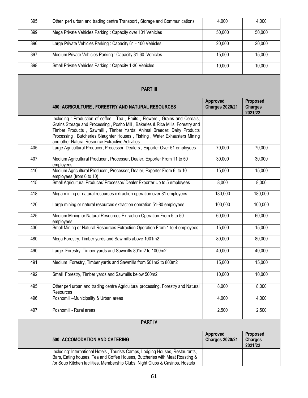| 395 | Other peri urban and trading centre Transport, Storage and Communications<br>4,000                                                                                                                                                                                                                                                                                      |                                           | 4,000                                 |
|-----|-------------------------------------------------------------------------------------------------------------------------------------------------------------------------------------------------------------------------------------------------------------------------------------------------------------------------------------------------------------------------|-------------------------------------------|---------------------------------------|
| 399 | Mega Private Vehicles Parking: Capacity over 101 Vehicles                                                                                                                                                                                                                                                                                                               |                                           | 50,000                                |
| 396 | Large Private Vehicles Parking: Capacity 61 - 100 Vehicles                                                                                                                                                                                                                                                                                                              | 20,000                                    | 20,000                                |
| 397 | Medium Private Vehicles Parking: Capacity 31-60 Vehicles                                                                                                                                                                                                                                                                                                                | 15,000                                    | 15,000                                |
| 398 | Small Private Vehicles Parking: Capacity 1-30 Vehicles                                                                                                                                                                                                                                                                                                                  | 10,000                                    | 10,000                                |
|     | <b>PART III</b>                                                                                                                                                                                                                                                                                                                                                         |                                           |                                       |
|     | 400: AGRICULTURE, FORESTRY AND NATURAL RESOURCES                                                                                                                                                                                                                                                                                                                        | <b>Approved</b><br><b>Charges 2020/21</b> | Proposed<br><b>Charges</b><br>2021/22 |
|     | Including: Production of coffee, Tea, Fruits, Flowers, Grains and Cereals;<br>Grains Storage and Processing, Posho Mill, Bakeries & Rice Mills, Forestry and<br>Timber Products, Sawmill, Timber Yards: Animal Breeder: Dairy Products<br>Processing, Butcheries Slaughter Houses, Fishing, Water Exhausters Mining<br>and other Natural Resource Extractive Activities |                                           |                                       |
| 405 | Large Agricultural Producer, Processor, Dealers, Exporter Over 51 employees                                                                                                                                                                                                                                                                                             | 70,000                                    | 70,000                                |
| 407 | Medium Agricultural Producer, Processer, Dealer, Exporter From 11 to 50<br>employees                                                                                                                                                                                                                                                                                    | 30,000                                    | 30,000                                |
| 410 | Medium Agricultural Producer, Processer, Dealer, Exporter From 6 to 10<br>employees (from 6 to 10)                                                                                                                                                                                                                                                                      | 15,000                                    | 15,000                                |
| 415 | Small Agricultural Producer/ Processor/ Dealer Exporter Up to 5 employees                                                                                                                                                                                                                                                                                               | 8,000                                     | 8,000                                 |
| 418 | Mega mining or natural resources extraction operation over 81 employees                                                                                                                                                                                                                                                                                                 | 180,000                                   | 180,000                               |
| 420 | Large mining or natural resources extraction operation 51-80 employees                                                                                                                                                                                                                                                                                                  | 100,000                                   | 100,000                               |
| 425 | Medium Mining or Natural Resources Extraction Operation From 5 to 50<br>employees                                                                                                                                                                                                                                                                                       | 60,000                                    | 60,000                                |
| 430 | Small Mining or Natural Resources Extraction Operation From 1 to 4 employees                                                                                                                                                                                                                                                                                            | 15,000                                    | 15,000                                |
| 480 | Mega Forestry, Timber yards and Sawmills above 1001m2                                                                                                                                                                                                                                                                                                                   | 80,000                                    | 80,000                                |
| 490 | Large Forestry, Timber yards and Sawmills 801m2 to 1000m2                                                                                                                                                                                                                                                                                                               | 40,000                                    | 40,000                                |
| 491 | Medium Forestry, Timber yards and Sawmills from 501m2 to 800m2                                                                                                                                                                                                                                                                                                          | 15,000                                    | 15,000                                |
| 492 | Small Forestry, Timber yards and Sawmills below 500m2                                                                                                                                                                                                                                                                                                                   | 10,000                                    | 10,000                                |
| 495 | Other peri urban and trading centre Agricultural processing, Forestry and Natural<br>Resources                                                                                                                                                                                                                                                                          | 8,000                                     | 8,000                                 |
| 496 | Poshomill -Municipality & Urban areas                                                                                                                                                                                                                                                                                                                                   | 4,000                                     | 4,000                                 |
| 497 | Poshomill - Rural areas                                                                                                                                                                                                                                                                                                                                                 | 2,500                                     | 2,500                                 |
|     | <b>PART IV</b>                                                                                                                                                                                                                                                                                                                                                          |                                           |                                       |
|     | <b>500: ACCOMODATION AND CATERING</b>                                                                                                                                                                                                                                                                                                                                   | Approved<br><b>Charges 2020/21</b>        | Proposed<br><b>Charges</b><br>2021/22 |
|     | Including: International Hotels, Tourists Camps, Lodging Houses, Restaurants,<br>Bars, Eating houses, Tea and Coffee Houses, Butcheries with Meat Roasting &<br>/or Soup Kitchen facilities, Membership Clubs, Night Clubs & Casinos, Hostels                                                                                                                           |                                           |                                       |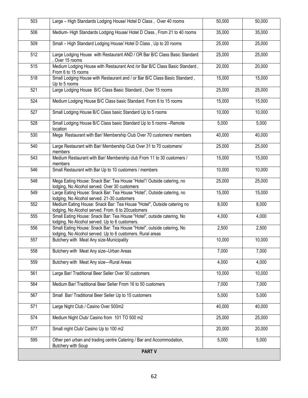| 503              | Large - High Standards Lodging House/ Hotel D Class, Over 40 rooms                                                                   |        | 50,000 |
|------------------|--------------------------------------------------------------------------------------------------------------------------------------|--------|--------|
| 506              | Medium-High Standards Lodging House/ Hotel D Class, From 21 to 40 rooms                                                              | 35,000 | 35,000 |
| 509              | Small - High Standard Lodging House/ Hotel D Class, Up to 20 rooms                                                                   | 25,000 | 25,000 |
| 512              | Large Lodging House with Restaurant AND / OR Bar B/C Class Basic Standard<br>, Over 15 rooms                                         | 25,000 | 25,000 |
| 515              | Medium Lodging House with Restaurant And /or Bar B/C Class Basic Standard,<br>From 6 to 15 rooms                                     | 20,000 | 20,000 |
| 518              | Small Lodging House with Restaurant and / or Bar B/C Class Basic Standard,<br>Up to 5 rooms                                          | 15,000 | 15,000 |
| 521              | Large Lodging House B/C Class Basic Standard, Over 15 rooms                                                                          | 25,000 | 25,000 |
| 524              | Medium Lodging House B/C Class basic Standard. From 6 to 15 rooms                                                                    | 15,000 | 15,000 |
| 527              | Small Lodging House B/C Class basic Standard Up to 5 rooms                                                                           | 10,000 | 10,000 |
| 528              | Small Lodging House B/C Class basic Standard Up to 5 rooms -Remote<br>location                                                       | 5,000  | 5,000  |
| 530              | Mega Restaurant with Bar/ Membership Club Over 70 customers/ members                                                                 | 40,000 | 40,000 |
| 540              | Large Restaurant with Bar/ Membership Club Over 31 to 70 customers/<br>members                                                       | 25,000 | 25,000 |
| $\overline{543}$ | Medium Restaurant with Bar/ Membership club From 11 to 30 customers /<br>members                                                     | 15,000 | 15,000 |
| 546              | Small Restaurant with Bar Up to 10 customers / members                                                                               | 10,000 | 10,000 |
| 548              | Mega Eating House: Snack Bar: Tea House "Hotel"/ Outside catering, no<br>lodging, No Alcohol served. Over 30 customers               | 25,000 | 25,000 |
| 549              | Large Eating House: Snack Bar: Tea House "Hotel", Outside catering, no<br>lodging, No Alcohol served. 21-30 customers                | 15,000 | 15,000 |
| 552              | Medium Eating House: Snack Bar: Tea House "Hotel", Outside catering no<br>lodging, No Alcohol served. From 6 to 20customers          | 8,000  | 8,000  |
| 555              | Small Eating House: Snack Bar: Tea House "Hotel", outside catering, No<br>lodging, No Alcohol served. Up to 6 customers.             | 4,000  | 4,000  |
| 556              | Small Eating House: Snack Bar: Tea House "Hotel", outside catering, No<br>lodging, No Alcohol served. Up to 6 customers. Rural areas | 2,500  | 2,500  |
| 557              | Butchery with Meat Any size-Municipality                                                                                             | 10,000 | 10,000 |
| 558              | Butchery with Meat Any size--Urban Areas                                                                                             | 7,000  | 7,000  |
| 559              | Butchery with Meat Any size-Rural Areas                                                                                              | 4,000  | 4,000  |
| 561              | Large Bar/ Traditional Beer Seller Over 50 customers                                                                                 | 10,000 | 10,000 |
| 564              | Medium Bar/ Traditional Beer Seller From 16 to 50 customers                                                                          | 7,000  | 7,000  |
| 567              | Small Bar/ Traditional Beer Seller Up to 15 customers                                                                                | 5,000  | 5,000  |
| 571              | Large Night Club / Casino Over 500m2                                                                                                 | 40,000 | 40,000 |
| 574              | Medium Night Club/ Casino from 101 TO 500 m2                                                                                         | 25,000 | 25,000 |
| 577              | Small night Club/ Casino Up to 100 m2                                                                                                | 20,000 | 20,000 |
| 595              | Other peri urban and trading centre Catering / Bar and Accommodation,<br><b>Butchery with Soup</b>                                   | 5,000  | 5,000  |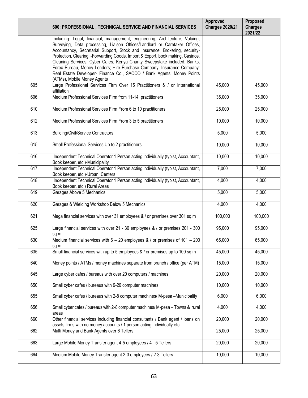|     | 600: PROFESSIONAL, TECHNICAL SERVICE AND FINANCIAL SERVICES                                                                                                                                                                                                                                                                                                                                                                                                                                                                                                                                |         | Proposed<br><b>Charges</b><br>2021/22 |
|-----|--------------------------------------------------------------------------------------------------------------------------------------------------------------------------------------------------------------------------------------------------------------------------------------------------------------------------------------------------------------------------------------------------------------------------------------------------------------------------------------------------------------------------------------------------------------------------------------------|---------|---------------------------------------|
|     | Including: Legal, financial, management, engineering, Architecture, Valuing,<br>Surveying, Data processing, Liaison Offices/Landlord or Caretaker Offices,<br>Accountancy, Secretarial Support, Stock and Insurance, Brokering, security-<br>Protection, Clearing -Forwarding Goods, Import & Export, book making, Casinos,<br>Cleaning Services, Cyber Cafes, Kenya Charity Sweepstake included. Banks,<br>Forex Bureau, Money Lenders; Hire Purchase Company, Insurance Company:<br>Real Estate Developer- Finance Co., SACCO / Bank Agents, Money Points<br>(ATMs), Mobile Money Agents |         |                                       |
| 605 | Large Professional Services Firm Over 15 Practitioners & / or International<br>affiliation                                                                                                                                                                                                                                                                                                                                                                                                                                                                                                 | 45,000  | 45,000                                |
| 606 | Medium Professional Services Firm from 11-14 practitioners                                                                                                                                                                                                                                                                                                                                                                                                                                                                                                                                 | 35,000  | 35,000                                |
| 610 | Medium Professional Services Firm From 6 to 10 practitioners                                                                                                                                                                                                                                                                                                                                                                                                                                                                                                                               | 25,000  | 25,000                                |
| 612 | Medium Professional Services Firm From 3 to 5 practitioners                                                                                                                                                                                                                                                                                                                                                                                                                                                                                                                                | 10,000  | 10,000                                |
| 613 | <b>Building/Civil/Service Contractors</b>                                                                                                                                                                                                                                                                                                                                                                                                                                                                                                                                                  | 5,000   | $\frac{1}{5,000}$                     |
| 615 | Small Professional Services Up to 2 practitioners                                                                                                                                                                                                                                                                                                                                                                                                                                                                                                                                          | 10,000  | 10,000                                |
| 616 | Independent Technical Operator 1 Person acting individually (typist, Accountant,<br>Book keeper, etc.)-Municipality                                                                                                                                                                                                                                                                                                                                                                                                                                                                        | 10,000  | 10,000                                |
| 617 | Independent Technical Operator 1 Person acting individually (typist, Accountant,<br>Book keeper, etc.)-Urban Centers                                                                                                                                                                                                                                                                                                                                                                                                                                                                       | 7,000   | 7,000                                 |
| 618 | Independent Technical Operator 1 Person acting individually (typist, Accountant,<br>Book keeper, etc.) Rural Areas                                                                                                                                                                                                                                                                                                                                                                                                                                                                         | 4,000   | 4,000                                 |
| 619 | Garages Above 5 Mechanics                                                                                                                                                                                                                                                                                                                                                                                                                                                                                                                                                                  | 5,000   | 5,000                                 |
| 620 | Garages & Wielding Workshop Below 5 Mechanics                                                                                                                                                                                                                                                                                                                                                                                                                                                                                                                                              | 4,000   | 4,000                                 |
| 621 | Mega financial services with over 31 employees & / or premises over 301 sq.m                                                                                                                                                                                                                                                                                                                                                                                                                                                                                                               | 100,000 |                                       |
| 625 | Large financial services with over 21 - 30 employees & / or premises 201 - 300<br>95,000<br>sq.m                                                                                                                                                                                                                                                                                                                                                                                                                                                                                           |         | 95,000                                |
| 630 | Medium financial services with $6 - 20$ employees & / or premises of 101 - 200<br>sq.m                                                                                                                                                                                                                                                                                                                                                                                                                                                                                                     | 65,000  | 65,000                                |
| 635 | Small financial services with up to 5 employees & / or premises up to 100 sq.m                                                                                                                                                                                                                                                                                                                                                                                                                                                                                                             | 45,000  | 45,000                                |
| 640 | Money points / ATMs / money machines separate from branch / office (per ATM)                                                                                                                                                                                                                                                                                                                                                                                                                                                                                                               | 15,000  | 15,000                                |
| 645 | Large cyber cafes / bureaus with over 20 computers / machines                                                                                                                                                                                                                                                                                                                                                                                                                                                                                                                              | 20,000  | 20,000                                |
| 650 | Small cyber cafes / bureaus with 9-20 computer machines                                                                                                                                                                                                                                                                                                                                                                                                                                                                                                                                    | 10,000  | 10,000                                |
| 655 | Small cyber cafes / bureaus with 2-8 computer machines/ M-pesa -Municipality                                                                                                                                                                                                                                                                                                                                                                                                                                                                                                               | 6,000   | 6,000                                 |
| 656 | Small cyber cafes / bureaus with 2-8 computer machines/ M-pesa - Towns & rural<br>areas                                                                                                                                                                                                                                                                                                                                                                                                                                                                                                    | 4,000   | 4,000                                 |
| 660 | Other financial services including financial consultants / Bank agent / loans on<br>assets firms with no money accounts / 1 person acting individually etc.                                                                                                                                                                                                                                                                                                                                                                                                                                | 20,000  | 20,000                                |
| 662 | Multi Money and Bank Agents over 6 Tellers                                                                                                                                                                                                                                                                                                                                                                                                                                                                                                                                                 | 25,000  | 25,000                                |
| 663 | Large Mobile Money Transfer agent 4-5 employees / 4 - 5 Tellers                                                                                                                                                                                                                                                                                                                                                                                                                                                                                                                            | 20,000  | 20,000                                |
| 664 | Medium Mobile Money Transfer agent 2-3 employees / 2-3 Tellers                                                                                                                                                                                                                                                                                                                                                                                                                                                                                                                             | 10,000  | 10,000                                |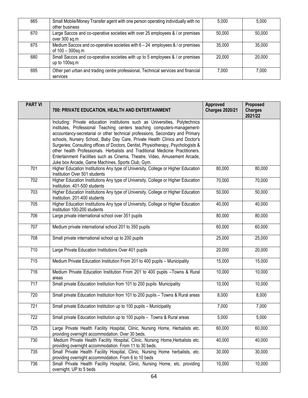| 665 | Small Mobile/Money Transfer agent with one person operating individually with no<br>other business   | 5,000  | 5,000  |
|-----|------------------------------------------------------------------------------------------------------|--------|--------|
| 670 | Large Saccos and co-operative societies with over 25 employees & / or premises<br>over 300 sq.m      | 50,000 | 50,000 |
| 675 | Medium Saccos and co-operative societies with $6 - 24$ employees & / or premises<br>of 100 - 300sq.m | 35,000 | 35,000 |
| 680 | Small Saccos and co-operative societies with up to 5 employees & / or premises<br>up to 100sq.m      | 20,000 | 20,000 |
| 695 | Other peri urban and trading centre professional, Technical services and financial<br>services       | 7,000  | 7.000  |

| <b>PART VI</b> | 700: PRIVATE EDUCATION, HEALTH AND ENTERTAINMENT                                                                                                             |        | Proposed<br><b>Charges</b><br>2021/22 |
|----------------|--------------------------------------------------------------------------------------------------------------------------------------------------------------|--------|---------------------------------------|
|                | Including: Private education institutions such as Universities, Polytechnics                                                                                 |        |                                       |
|                | institutes, Professional Teaching centers teaching computers-management-                                                                                     |        |                                       |
|                | accountancy-secretarial or other technical professions, Secondary and Primary<br>schools, Nursery School, Baby Day Care, Private Health Clinics and Doctor's |        |                                       |
|                | Surgeries; Consulting offices of Doctors, Dentist, Physiotherapy, Psychologists &                                                                            |        |                                       |
|                | other health Professionals. Herbalists and Traditional Medicine Practitioners.                                                                               |        |                                       |
|                | Entertainment Facilities such as Cinema, Theatre, Video, Amusement Arcade,                                                                                   |        |                                       |
| 701            | Juke box Arcade, Game Machines, Sports Club, Gym.<br>Higher Education Institutions Any type of University, College or Higher Education                       | 80,000 | 80,000                                |
|                | Institution Over 501 students                                                                                                                                |        |                                       |
| 702            | Higher Education Institutions Any type of University, College or Higher Education<br>Institution. 401-500 students                                           | 70,000 | 70,000                                |
| 703            | Higher Education Institutions Any type of University, College or Higher Education<br>Institution. 201-400 students                                           | 50,000 | 50,000                                |
| 705            | Higher Education Institutions Any type of University, College or Higher Education<br>Institution 100-200 students                                            | 40,000 | 40,000                                |
| 706            | Large private international school over 351 pupils                                                                                                           | 80,000 | 80,000                                |
| 707            | Medium private international school 201 to 350 pupils                                                                                                        | 60,000 | 60,000                                |
| 708            | Small private international school up to 200 pupils                                                                                                          | 25,000 | 25,000                                |
| 710            | Large Private Education Institutions Over 401 pupils                                                                                                         | 20,000 | 20,000                                |
| 715            | Medium Private Education Institution From 201 to 400 pupils - Municipality                                                                                   | 15,000 | 15,000                                |
| 716            | Medium Private Education Institution From 201 to 400 pupils -Towns & Rural<br>areas                                                                          | 10,000 | 10,000                                |
| 717            | Small private Education Institution from 101 to 200 pupils Municipality                                                                                      | 10,000 | 10,000                                |
| 720            | Small private Education Institution from 101 to 200 pupils - Towns & Rural areas                                                                             | 8,000  | 8,000                                 |
| 721            | Small private Education Institution up to 100 pupils - Municipality                                                                                          | 7,000  | 7,000                                 |
| 722            | Small private Education Institution up to 100 pupils - Towns & Rural areas                                                                                   | 5,000  | 5,000                                 |
| 725            | Large Private Health Facility Hospital, Clinic, Nursing Home, Herbalists etc.<br>providing overnight accommodation. Over 30 beds.                            | 60,000 | 60,000                                |
| 730            | Medium Private Health Facility Hospital, Clinic, Nursing Home, Herbalists etc.<br>providing overnight accommodation. From 11 to 30 beds.                     | 40,000 | 40,000                                |
| 735            | Small Private Health Facility Hospital, Clinic, Nursing Home herbalists, etc.<br>providing overnight accommodation. From 6 to 10 beds                        | 30,000 | 30,000                                |
| 736            | Small Private Health Facility Hospital, Clinic, Nursing Home, etc. providing<br>overnight. UP to 5 beds                                                      | 10,000 | 10,000                                |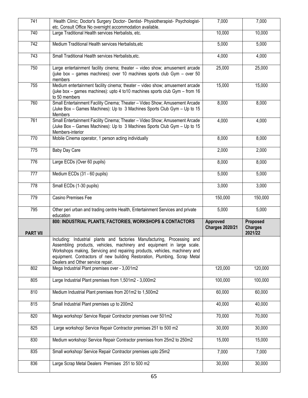| 741             | Health Clinic; Doctor's Surgery Doctor- Dentist- Physiotherapist- Psychologist-<br>etc. Consult Office No overnight accommodation available.                                                                                                                                                                                                        | $\overline{7,000}$                 | 7,000                                 |
|-----------------|-----------------------------------------------------------------------------------------------------------------------------------------------------------------------------------------------------------------------------------------------------------------------------------------------------------------------------------------------------|------------------------------------|---------------------------------------|
| 740             | Large Traditional Health services Herbalists, etc.                                                                                                                                                                                                                                                                                                  | 10,000                             | 10,000                                |
| 742             | Medium Traditional Health services Herbalists, etc<br>5,000                                                                                                                                                                                                                                                                                         |                                    | 5,000                                 |
| 743             | Small Traditional Health services Herbalists, etc.                                                                                                                                                                                                                                                                                                  | 4,000                              | 4,000                                 |
| 750             | Large entertainment facility cinema; theater - video show; amusement arcade<br>(juke box - games machines): over 10 machines sports club Gym - over 50<br>members                                                                                                                                                                                   |                                    | 25,000                                |
| 755             | Medium entertainment facility cinema; theater - video show; amusement arcade<br>(juke box - games machines): upto 4 to 10 machines sports club Gym - from 16<br>to 50 members                                                                                                                                                                       | 15,000                             | 15,000                                |
| 760             | Small Entertainment Facility Cinema; Theater - Video Show; Amusement Arcade<br>(Juke Box - Games Machines): Up to 3 Machines Sports Club Gym - Up to 15<br>Members                                                                                                                                                                                  | 8,000                              | 8,000                                 |
| 761             | Small Entertainment Facility Cinema; Theater - Video Show; Amusement Arcade<br>(Juke Box - Games Machines): Up to 3 Machines Sports Club Gym - Up to 15<br>Members-interior                                                                                                                                                                         | 4,000                              | 4,000                                 |
| 770             | Mobile Cinema operator, 1 person acting individually                                                                                                                                                                                                                                                                                                | 8,000                              | 8,000                                 |
| 775             | Baby Day Care                                                                                                                                                                                                                                                                                                                                       | 2,000                              | 2,000                                 |
| 776             | Large ECDs (Over 60 pupils)                                                                                                                                                                                                                                                                                                                         | 8,000                              | 8,000                                 |
| 777             | Medium ECDs (31 - 60 pupils)                                                                                                                                                                                                                                                                                                                        | 5,000                              | 5,000                                 |
| 778             | Small ECDs (1-30 pupils)                                                                                                                                                                                                                                                                                                                            | 3,000                              | 3,000                                 |
| 779             | Casino Premises Fee                                                                                                                                                                                                                                                                                                                                 |                                    |                                       |
|                 |                                                                                                                                                                                                                                                                                                                                                     | 150,000                            | 150,000                               |
| 795             | Other peri urban and trading centre Health, Entertainment Services and private<br>education                                                                                                                                                                                                                                                         | 5,000                              | 5,000                                 |
|                 | 800: INDUSTRIAL PLANTS, FACTORIES, WORKSHOPS & CONTACTORS                                                                                                                                                                                                                                                                                           | Approved<br><b>Charges 2020/21</b> | Proposed<br><b>Charges</b><br>2021/22 |
| <b>PART VII</b> | Including: Industrial plants and factories Manufacturing, Processing and<br>Assembling products, vehicles, machinery and equipment in large scale.<br>Workshops making, Servicing and repairing products, vehicles, machinery and<br>equipment. Contractors of new building Restoration, Plumbing, Scrap Metal<br>Dealers and Other service repair. |                                    |                                       |
| 802             | Mega Industrial Plant premises over - 3,001m2                                                                                                                                                                                                                                                                                                       | 120,000                            | 120,000                               |
| 805             | Large Industrial Plant premises from 1,501m2 - 3,000m2                                                                                                                                                                                                                                                                                              | 100,000                            | 100,000                               |
| 810             | Medium Industrial Plant premises from 201m2 to 1,500m2                                                                                                                                                                                                                                                                                              | 60,000                             | 60,000                                |
| 815             | Small Industrial Plant premises up to 200m2                                                                                                                                                                                                                                                                                                         | 40,000                             | 40,000                                |
| 820             | Mega workshop/ Service Repair Contractor premises over 501m2                                                                                                                                                                                                                                                                                        | 70,000                             | 70,000                                |
| 825             | Large workshop/ Service Repair Contractor premises 251 to 500 m2                                                                                                                                                                                                                                                                                    | 30,000                             | 30,000                                |
| 830             | Medium workshop/ Service Repair Contractor premises from 25m2 to 250m2                                                                                                                                                                                                                                                                              | 15,000                             | 15,000                                |
| 835             | Small workshop/ Service Repair Contractor premises upto 25m2                                                                                                                                                                                                                                                                                        | 7,000                              | 7,000                                 |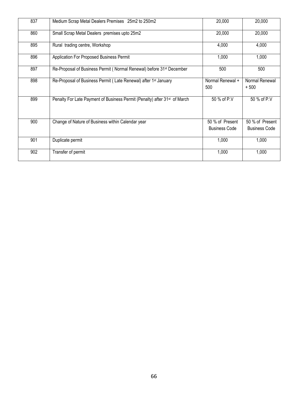| 837 | Medium Scrap Metal Dealers Premises 25m2 to 250m2                                     | 20,000                                  | 20,000                                  |
|-----|---------------------------------------------------------------------------------------|-----------------------------------------|-----------------------------------------|
| 860 | Small Scrap Metal Dealers premises upto 25m2                                          | 20,000                                  | 20,000                                  |
| 895 | Rural trading centre, Workshop                                                        | 4,000                                   | 4,000                                   |
| 896 | Application For Proposed Business Permit                                              | 1,000                                   | 1,000                                   |
| 897 | Re-Proposal of Business Permit (Normal Renewal) before 31 <sup>st</sup> December      | 500                                     |                                         |
| 898 | Re-Proposal of Business Permit (Late Renewal) after 1 <sup>st</sup> January           | Normal Renewal +<br>500                 | Normal Renewal<br>$+500$                |
| 899 | Penalty For Late Payment of Business Permit (Penalty) after 31 <sup>st</sup> of March | 50 % of P.V                             | 50 % of P.V                             |
| 900 | Change of Nature of Business within Calendar year                                     | 50 % of Present<br><b>Business Code</b> | 50 % of Present<br><b>Business Code</b> |
| 901 | Duplicate permit                                                                      | 1,000                                   | 1,000                                   |
| 902 | Transfer of permit                                                                    | 1,000                                   | 1,000                                   |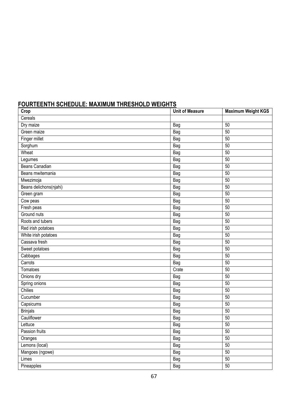## **FOURTEENTH SCHEDULE: MAXIMUM THRESHOLD WEIGHTS**

| Crop                   | <b>Unit of Measure</b> | <b>Maximum Weight KGS</b> |
|------------------------|------------------------|---------------------------|
| Cereals                |                        |                           |
| Dry maize              | <b>Bag</b>             | 50                        |
| Green maize            | <b>Bag</b>             | 50                        |
| Finger millet          | Bag                    | 50                        |
| Sorghum                | <b>Bag</b>             | 50                        |
| Wheat                  | Bag                    | 50                        |
| Legumes                | <b>Bag</b>             | 50                        |
| <b>Beans Canadian</b>  | Bag                    | 50                        |
| Beans mwitemania       | Bag                    | 50                        |
| Mwezimoja              | Bag                    | 50                        |
| Beans delichons(njahi) | Bag                    | 50                        |
| Green gram             | Bag                    | 50                        |
| Cow peas               | Bag                    | 50                        |
| Fresh peas             | Bag                    | 50                        |
| Ground nuts            | Bag                    | 50                        |
| Roots and tubers       | Bag                    | 50                        |
| Red irish potatoes     | <b>Bag</b>             | 50                        |
| White irish potatoes   | <b>Bag</b>             | 50                        |
| Cassava fresh          | <b>Bag</b>             | 50                        |
| Sweet potatoes         | Bag                    | 50                        |
| Cabbages               | Bag                    | 50                        |
| Carrots                | Bag                    | 50                        |
| Tomatoes               | Crate                  | 50                        |
| Onions dry             | Bag                    | 50                        |
| Spring onions          | Bag                    | 50                        |
| Chilies                | Bag                    | 50                        |
| Cucumber               | Bag                    | 50                        |
| Capsicums              | <b>Bag</b>             | 50                        |
| <b>Brinjals</b>        | Bag                    | 50                        |
| Cauliflower            | Bag                    | 50                        |
| Lettuce                | Bag                    | 50                        |
| Passion fruits         | Bag                    | 50                        |
| Oranges                | Bag                    | 50                        |
| Lemons (local)         | Bag                    | 50                        |
| Mangoes (ngowe)        | Bag                    | 50                        |
| Limes                  | <b>Bag</b>             | 50                        |
| Pineapples             | <b>Bag</b>             | 50                        |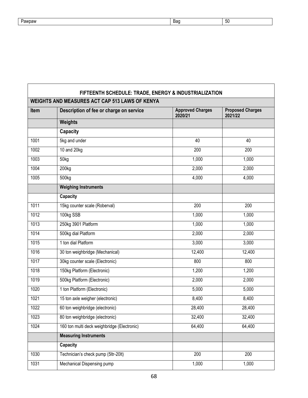| awpaw<br>. In | Bad | ้วบ |
|---------------|-----|-----|

 $\overline{1}$ 

| FIFTEENTH SCHEDULE: TRADE, ENERGY & INDUSTRIALIZATION |                                             |                                    |                                    |  |  |  |
|-------------------------------------------------------|---------------------------------------------|------------------------------------|------------------------------------|--|--|--|
| <b>WEIGHTS AND MEASURES ACT CAP 513 LAWS OF KENYA</b> |                                             |                                    |                                    |  |  |  |
| <b>Item</b>                                           | Description of fee or charge on service     | <b>Approved Charges</b><br>2020/21 | <b>Proposed Charges</b><br>2021/22 |  |  |  |
|                                                       | Weights                                     |                                    |                                    |  |  |  |
|                                                       | <b>Capacity</b>                             |                                    |                                    |  |  |  |
| 1001                                                  | 5kg and under                               | 40                                 | 40                                 |  |  |  |
| 1002                                                  | 10 and 20kg                                 | 200                                | 200                                |  |  |  |
| 1003                                                  | 50 <sub>kg</sub>                            | 1,000                              | 1,000                              |  |  |  |
| 1004                                                  | 200kg                                       | 2,000                              | 2,000                              |  |  |  |
| 1005                                                  | 500kg                                       | 4,000                              | 4,000                              |  |  |  |
|                                                       | <b>Weighing Instruments</b>                 |                                    |                                    |  |  |  |
|                                                       | Capacity                                    |                                    |                                    |  |  |  |
| 1011                                                  | 15kg counter scale (Roberval)               | 200                                | 200                                |  |  |  |
| 1012                                                  | 100kg SSB                                   | 1,000                              | 1,000                              |  |  |  |
| 1013                                                  | 250kg 3901 Platform                         | 1,000                              | 1,000                              |  |  |  |
| 1014                                                  | 500kg dial Platform                         | 2,000                              | 2,000                              |  |  |  |
| 1015                                                  | 1 ton dial Platform                         | 3,000                              | 3,000                              |  |  |  |
| 1016                                                  | 30 ton weighbridge (Mechanical)             | 12,400                             | 12,400                             |  |  |  |
| 1017                                                  | 30kg counter scale (Electronic)             | 800                                | 800                                |  |  |  |
| 1018                                                  | 150kg Platform (Electronic)                 | 1,200                              | 1,200                              |  |  |  |
| 1019                                                  | 500kg Platform (Electronic)                 | 2,000                              | 2,000                              |  |  |  |
| 1020                                                  | 1 ton Platform (Electronic)                 | 5,000                              | 5,000                              |  |  |  |
| 1021                                                  | 15 ton axle weigher (electronic)            | 8,400                              | 8,400                              |  |  |  |
| 1022                                                  | 60 ton weighbridge (electronic)             | 28,400                             | 28,400                             |  |  |  |
| 1023                                                  | 80 ton weighbridge (electronic)             | 32,400                             | 32,400                             |  |  |  |
| 1024                                                  | 160 ton multi deck weighbridge (Electronic) | 64,400                             | 64,400                             |  |  |  |
|                                                       | <b>Measuring Instruments</b>                |                                    |                                    |  |  |  |
|                                                       | Capacity                                    |                                    |                                    |  |  |  |
| 1030                                                  | Technician's check pump (5ltr-20lt)         | 200                                | 200                                |  |  |  |
| 1031                                                  | Mechanical Dispensing pump                  | 1,000                              | 1,000                              |  |  |  |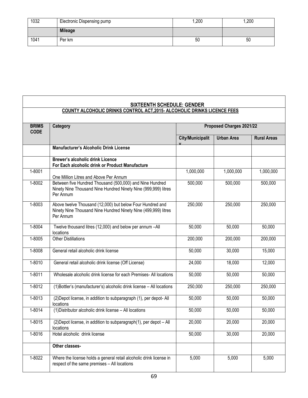| 1032 | Electronic Dispensing pump | 1,200 | ,200 |
|------|----------------------------|-------|------|
|      | <b>Mileage</b>             |       |      |
| 1041 | Per km                     | 50    | 50   |

٦

| <b>SIXTEENTH SCHEDULE: GENDER</b>                                        |                                                                                                                                          |                          |                   |                    |  |
|--------------------------------------------------------------------------|------------------------------------------------------------------------------------------------------------------------------------------|--------------------------|-------------------|--------------------|--|
| COUNTY ALCOHOLIC DRINKS CONTROL ACT, 2015- ALCOHOLIC DRINKS LICENCE FEES |                                                                                                                                          |                          |                   |                    |  |
| <b>BRIMS</b><br><b>CODE</b>                                              | Category                                                                                                                                 | Proposed Charges 2021/22 |                   |                    |  |
|                                                                          |                                                                                                                                          | <b>City/Municipalit</b>  | <b>Urban Area</b> | <b>Rural Areas</b> |  |
|                                                                          | <b>Manufacturer's Alcoholic Drink License</b>                                                                                            |                          |                   |                    |  |
|                                                                          | Brewer's alcoholic drink Licence<br>For Each alcoholic drink or Product Manufacture                                                      |                          |                   |                    |  |
| 1-8001                                                                   | One Million Litres and Above Per Annum                                                                                                   | 1,000,000                | 1,000,000         | 1,000,000          |  |
| $1 - 8002$                                                               | Between five Hundred Thousand (500,000) and Nine Hundred<br>Ninety Nine Thousand Nine Hundred Ninety Nine (999,999) litres<br>Per Annum  | 500,000                  | 500,000           | 500,000            |  |
| $1 - 8003$                                                               | Above twelve Thousand (12,000) but below Four Hundred and<br>Ninety Nine Thousand Nine Hundred Ninety Nine (499,999) litres<br>Per Annum | 250,000                  | 250,000           | 250,000            |  |
| 1-8004                                                                   | Twelve thousand litres (12,000) and below per annum -All<br>locations                                                                    | 50,000                   | 50,000            | 50,000             |  |
| 1-8005                                                                   | <b>Other Distillations</b>                                                                                                               | 200,000                  | 200,000           | 200,000            |  |
| 1-8008                                                                   | General retail alcoholic drink license                                                                                                   | 50,000                   | 30,000            | 15,000             |  |
| 1-8010                                                                   | General retail alcoholic drink license (Off License)                                                                                     | 24,000                   | 18,000            | 12,000             |  |
| $1 - 8011$                                                               | Wholesale alcoholic drink license for each Premises- All locations                                                                       | 50,000                   | 50,000            | 50,000             |  |
| $1 - 8012$                                                               | (1)Bottler's (manufacturer's) alcoholic drink license - All locations                                                                    | 250,000                  | 250,000           | 250,000            |  |
| $1 - 8013$                                                               | (2) Depot license, in addition to subparagraph (1), per depot- All<br>locations                                                          | 50,000                   | 50,000            | 50,000             |  |
| 1-8014                                                                   | (1) Distributor alcoholic drink license - All locations                                                                                  | 50,000                   | 50,000            | 50,000             |  |
| 1-8015                                                                   | (2) Depot license, in addition to subparagraph(1), per depot - All<br>locations                                                          | 20,000                   | 20.000            | 20,000             |  |
| $1 - 8016$                                                               | Hotel alcoholic drink license                                                                                                            | 50,000                   | 30,000            | 20,000             |  |
|                                                                          | Other classes-                                                                                                                           |                          |                   |                    |  |
| $1 - 8022$                                                               | Where the license holds a general retail alcoholic drink license in<br>respect of the same premises - All locations                      | 5,000                    | 5,000             | 5,000              |  |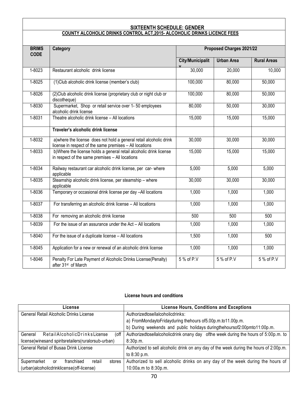#### **SIXTEENTH SCHEDULE: GENDER COUNTY ALCOHOLIC DRINKS CONTROL ACT,2015- ALCOHOLIC DRINKS LICENCE FEES**

| <b>BRIMS</b><br><b>CODE</b> | Category                                                                                                                       | Proposed Charges 2021/22 |                   |                    |
|-----------------------------|--------------------------------------------------------------------------------------------------------------------------------|--------------------------|-------------------|--------------------|
|                             |                                                                                                                                | <b>City/Municipalit</b>  | <b>Urban Area</b> | <b>Rural Areas</b> |
| 1-8023                      | Restaurant alcoholic drink license                                                                                             | 30,000                   | 20,000            | 10,000             |
| 1-8025                      | (1) Club alcoholic drink license (member's club)                                                                               | 100,000                  | 80,000            | 50,000             |
| 1-8026                      | (2) Club alcoholic drink license (proprietary club or night club or<br>discotheque)                                            | 100,000                  | 80,000            | 50,000             |
| 1-8030                      | Supermarket, Shop or retail service over 1-50 employees<br>alcoholic drink license                                             | 80,000                   | 50,000            | 30,000             |
| 1-8031                      | Theatre alcoholic drink license - All locations                                                                                | 15,000                   | 15,000            | 15,000             |
|                             | Traveler's alcoholic drink license                                                                                             |                          |                   |                    |
| 1-8032                      | a) where the license does not hold a general retail alcoholic drink<br>license in respect of the same premises - All locations | 30,000                   | 30,000            | 30,000             |
| 1-8033                      | b) Where the license holds a general retail alcoholic drink license<br>in respect of the same premises - All locations         | 15,000                   | 15,000            | 15,000             |
| 1-8034                      | Railway restaurant car alcoholic drink license, per car-where<br>applicable                                                    | 5,000                    | 5,000             | 5,000              |
| 1-8035                      | Steamship alcoholic drink license, per steamship - where<br>applicable                                                         | 30,000                   | 30,000            | 30,000             |
| 1-8036                      | Temporary or occasional drink license per day -All locations                                                                   | 1,000                    | 1,000             | 1,000              |
| $1 - 8037$                  | For transferring an alcoholic drink license - All locations                                                                    | 1,000                    | 1,000             | 1,000              |
| 1-8038                      | For removing an alcoholic drink license                                                                                        | 500                      | 500               | 500                |
| 1-8039                      | For the issue of an assurance under the Act - All locations                                                                    | 1,000                    | 1,000             | 1,000              |
| $1 - 8040$                  | For the issue of a duplicate license - All locations                                                                           | 1,500                    | 1,000             | 500                |
| $1 - 8045$                  | Application for a new or renewal of an alcoholic drink license                                                                 | 1,000                    | 1,000             | 1,000              |
| 1-8046                      | Penalty For Late Payment of Alcoholic Drinks License(Penalty)<br>after 31 <sup>st</sup> of March                               | 5 % of P.V               | 5 % of P.V        | 5 % of P.V         |

#### **License hours and conditions**

| License                                                  | <b>License Hours, Conditions and Exceptions</b>                                           |  |
|----------------------------------------------------------|-------------------------------------------------------------------------------------------|--|
| General Retail Alcoholic Drinks License                  | Authorizedtosellalcoholicdrinks:                                                          |  |
|                                                          | a) FromMondaytoFridayduring thehours of 5.00p.m.to 11.00p.m.                              |  |
|                                                          | b) During weekends and public holidays duringthehoursof2:00pmto11:00p.m.                  |  |
| (off<br>RetailAlcoholicDrinksLicense<br>General          | Authorized to sellal coholic drink on any day of the week during the hours of 5:00p.m. to |  |
| license) winesand spirits retailers (rural or sub-urban) | 8:30p.m.                                                                                  |  |
| General Retail of Busaa Drink License                    | Authorized to sell alcoholic drink on any day of the week during the hours of 2:00p.m.    |  |
|                                                          | to 8:30 p.m.                                                                              |  |
| Supermarket<br>franchised<br>retail<br>stores<br>or      | Authorized to sell alcoholic drinks on any day of the week during the hours of            |  |
| (urban)alcoholicdrinklicense(off-license)                | 10:00a.m to 8:30p.m.                                                                      |  |